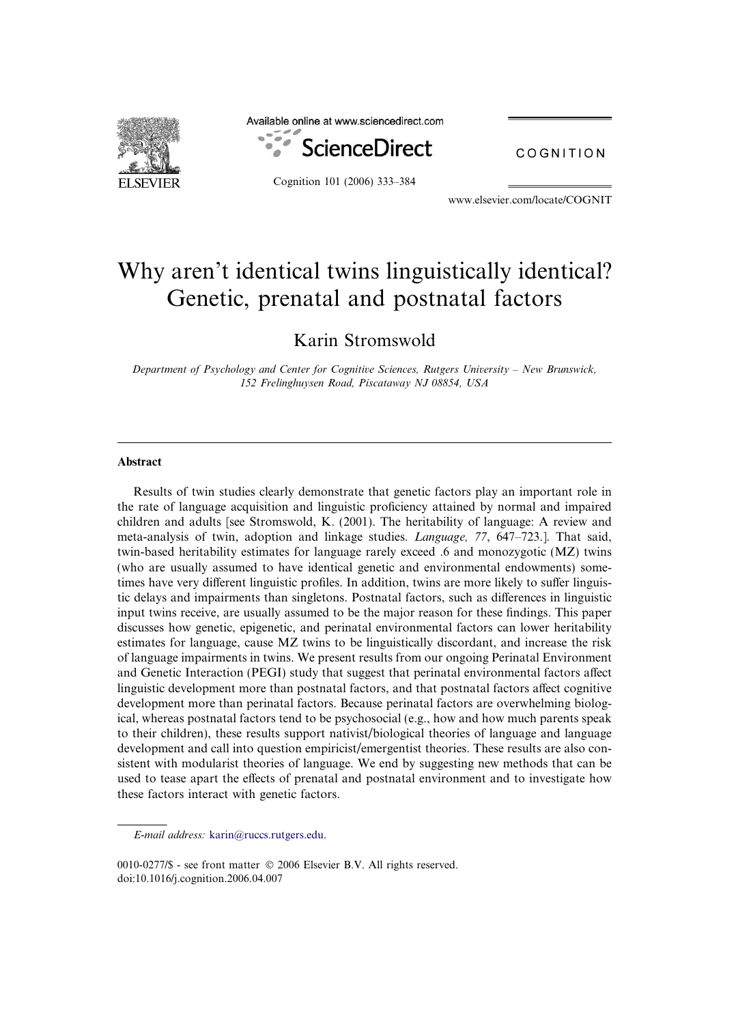

Available online at www.sciencedirect.com



COGNITION

Cognition 101 (2006) 333–384

www.elsevier.com/locate/COGNIT

# Why aren't identical twins linguistically identical? Genetic, prenatal and postnatal factors

## Karin Stromswold

Department of Psychology and Center for Cognitive Sciences, Rutgers University – New Brunswick, 152 Frelinghuysen Road, Piscataway NJ 08854, USA

## Abstract

Results of twin studies clearly demonstrate that genetic factors play an important role in the rate of language acquisition and linguistic proficiency attained by normal and impaired children and adults [see Stromswold, K. (2001). The heritability of language: A review and meta-analysis of twin, adoption and linkage studies. *Language*, 77, 647–723.]. That said, twin-based heritability estimates for language rarely exceed .6 and monozygotic (MZ) twins (who are usually assumed to have identical genetic and environmental endowments) sometimes have very different linguistic profiles. In addition, twins are more likely to suffer linguistic delays and impairments than singletons. Postnatal factors, such as differences in linguistic input twins receive, are usually assumed to be the major reason for these findings. This paper discusses how genetic, epigenetic, and perinatal environmental factors can lower heritability estimates for language, cause MZ twins to be linguistically discordant, and increase the risk of language impairments in twins. We present results from our ongoing Perinatal Environment and Genetic Interaction (PEGI) study that suggest that perinatal environmental factors affect linguistic development more than postnatal factors, and that postnatal factors affect cognitive development more than perinatal factors. Because perinatal factors are overwhelming biological, whereas postnatal factors tend to be psychosocial (e.g., how and how much parents speak to their children), these results support nativist/biological theories of language and language development and call into question empiricist/emergentist theories. These results are also consistent with modularist theories of language. We end by suggesting new methods that can be used to tease apart the effects of prenatal and postnatal environment and to investigate how these factors interact with genetic factors.

E-mail address: [karin@ruccs.rutgers.edu.](mailto:karin@ruccs.rutgers.edu.)

<sup>0010-0277/\$ -</sup> see front matter © 2006 Elsevier B.V. All rights reserved. doi:10.1016/j.cognition.2006.04.007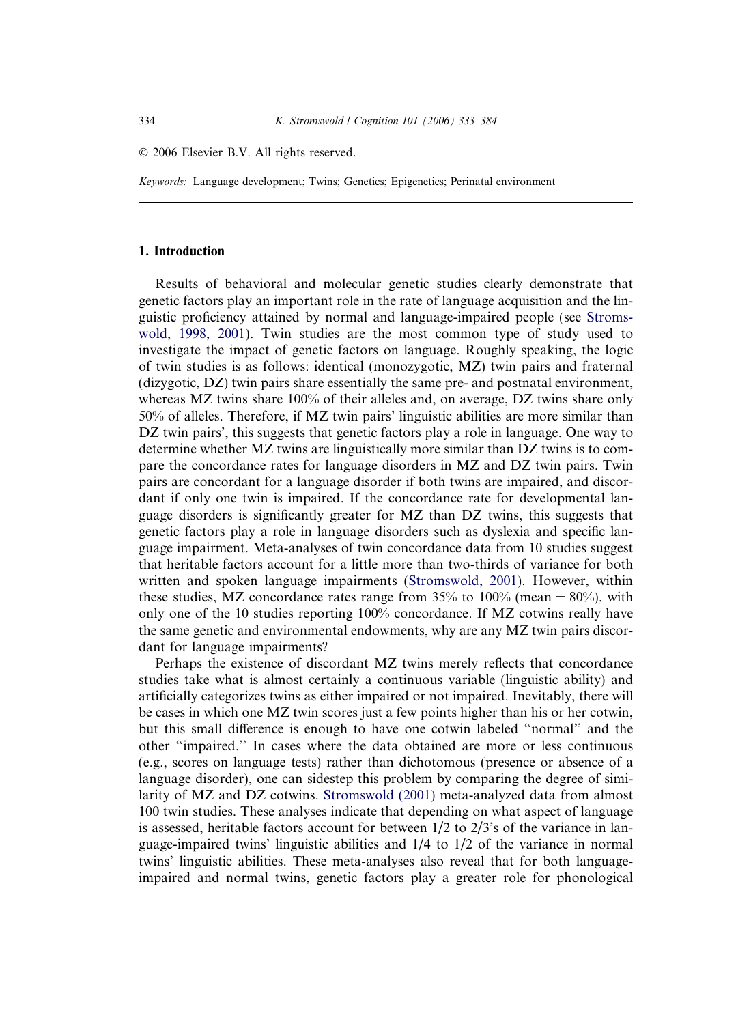<span id="page-1-0"></span>© 2006 Elsevier B.V. All rights reserved.

Keywords: Language development; Twins; Genetics; Epigenetics; Perinatal environment

#### 1. Introduction

Results of behavioral and molecular genetic studies clearly demonstrate that genetic factors play an important role in the rate of language acquisition and the linguistic proficiency attained by normal and language-impaired people (see [Stroms](#page-49-0)[wold, 1998, 2001\)](#page-49-0). Twin studies are the most common type of study used to investigate the impact of genetic factors on language. Roughly speaking, the logic of twin studies is as follows: identical (monozygotic, MZ) twin pairs and fraternal (dizygotic, DZ) twin pairs share essentially the same pre- and postnatal environment, whereas MZ twins share 100% of their alleles and, on average, DZ twins share only 50% of alleles. Therefore, if MZ twin pairs' linguistic abilities are more similar than DZ twin pairs', this suggests that genetic factors play a role in language. One way to determine whether MZ twins are linguistically more similar than DZ twins is to compare the concordance rates for language disorders in MZ and DZ twin pairs. Twin pairs are concordant for a language disorder if both twins are impaired, and discordant if only one twin is impaired. If the concordance rate for developmental language disorders is significantly greater for MZ than DZ twins, this suggests that genetic factors play a role in language disorders such as dyslexia and specific language impairment. Meta-analyses of twin concordance data from 10 studies suggest that heritable factors account for a little more than two-thirds of variance for both written and spoken language impairments [\(Stromswold, 2001](#page-49-0)). However, within these studies, MZ concordance rates range from 35% to 100% (mean  $= 80\%$ ), with only one of the 10 studies reporting 100% concordance. If MZ cotwins really have the same genetic and environmental endowments, why are any MZ twin pairs discordant for language impairments?

Perhaps the existence of discordant MZ twins merely reflects that concordance studies take what is almost certainly a continuous variable (linguistic ability) and artificially categorizes twins as either impaired or not impaired. Inevitably, there will be cases in which one MZ twin scores just a few points higher than his or her cotwin, but this small difference is enough to have one cotwin labeled ''normal'' and the other ''impaired.'' In cases where the data obtained are more or less continuous (e.g., scores on language tests) rather than dichotomous (presence or absence of a language disorder), one can sidestep this problem by comparing the degree of similarity of MZ and DZ cotwins. [Stromswold \(2001\)](#page-49-0) meta-analyzed data from almost 100 twin studies. These analyses indicate that depending on what aspect of language is assessed, heritable factors account for between  $1/2$  to  $2/3$ 's of the variance in language-impaired twins' linguistic abilities and 1/4 to 1/2 of the variance in normal twins' linguistic abilities. These meta-analyses also reveal that for both languageimpaired and normal twins, genetic factors play a greater role for phonological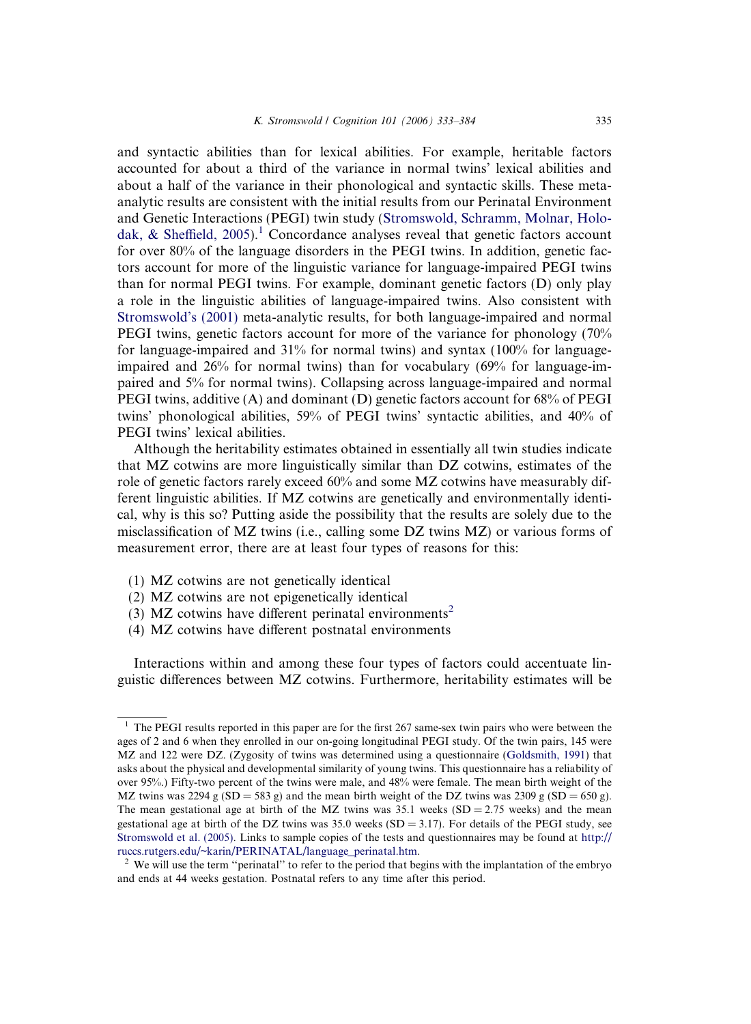and syntactic abilities than for lexical abilities. For example, heritable factors accounted for about a third of the variance in normal twins' lexical abilities and about a half of the variance in their phonological and syntactic skills. These metaanalytic results are consistent with the initial results from our Perinatal Environment and Genetic Interactions (PEGI) twin study ([Stromswold, Schramm, Molnar, Holo](#page-49-0)[dak, & Sheffield, 2005](#page-49-0)).<sup>1</sup> Concordance analyses reveal that genetic factors account for over 80% of the language disorders in the PEGI twins. In addition, genetic factors account for more of the linguistic variance for language-impaired PEGI twins than for normal PEGI twins. For example, dominant genetic factors (D) only play a role in the linguistic abilities of language-impaired twins. Also consistent with [Stromswold's \(2001\)](#page-49-0) meta-analytic results, for both language-impaired and normal PEGI twins, genetic factors account for more of the variance for phonology (70% for language-impaired and  $31\%$  for normal twins) and syntax (100% for languageimpaired and 26% for normal twins) than for vocabulary (69% for language-impaired and 5% for normal twins). Collapsing across language-impaired and normal PEGI twins, additive (A) and dominant (D) genetic factors account for 68% of PEGI twins' phonological abilities, 59% of PEGI twins' syntactic abilities, and 40% of PEGI twins' lexical abilities.

Although the heritability estimates obtained in essentially all twin studies indicate that MZ cotwins are more linguistically similar than DZ cotwins, estimates of the role of genetic factors rarely exceed 60% and some MZ cotwins have measurably different linguistic abilities. If MZ cotwins are genetically and environmentally identical, why is this so? Putting aside the possibility that the results are solely due to the misclassification of MZ twins (i.e., calling some DZ twins MZ) or various forms of measurement error, there are at least four types of reasons for this:

- (1) MZ cotwins are not genetically identical
- (2) MZ cotwins are not epigenetically identical
- (3) MZ cotwins have different perinatal environments<sup>2</sup>
- (4) MZ cotwins have different postnatal environments

Interactions within and among these four types of factors could accentuate linguistic differences between MZ cotwins. Furthermore, heritability estimates will be

 $1$  The PEGI results reported in this paper are for the first 267 same-sex twin pairs who were between the ages of 2 and 6 when they enrolled in our on-going longitudinal PEGI study. Of the twin pairs, 145 were MZ and 122 were DZ. (Zygosity of twins was determined using a questionnaire [\(Goldsmith, 1991\)](#page-43-0) that asks about the physical and developmental similarity of young twins. This questionnaire has a reliability of over 95%.) Fifty-two percent of the twins were male, and 48% were female. The mean birth weight of the MZ twins was 2294 g (SD = 583 g) and the mean birth weight of the DZ twins was 2309 g (SD = 650 g). The mean gestational age at birth of the MZ twins was 35.1 weeks ( $SD = 2.75$  weeks) and the mean gestational age at birth of the DZ twins was  $35.0$  weeks (SD = 3.17). For details of the PEGI study, see [Stromswold et al. \(2005\)](#page-49-0). Links to sample copies of the tests and questionnaires may be found at [http://](http://ruccs.rutgers.edu/~karin/PERINATAL/language_perinatal.htm) [ruccs.rutgers.edu/~karin/PERINATAL/language\\_perinatal.htm.](http://ruccs.rutgers.edu/~karin/PERINATAL/language_perinatal.htm) <sup>2</sup> We will use the term ''perinatal'' to refer to the period that begins with the implantation of the embryo

and ends at 44 weeks gestation. Postnatal refers to any time after this period.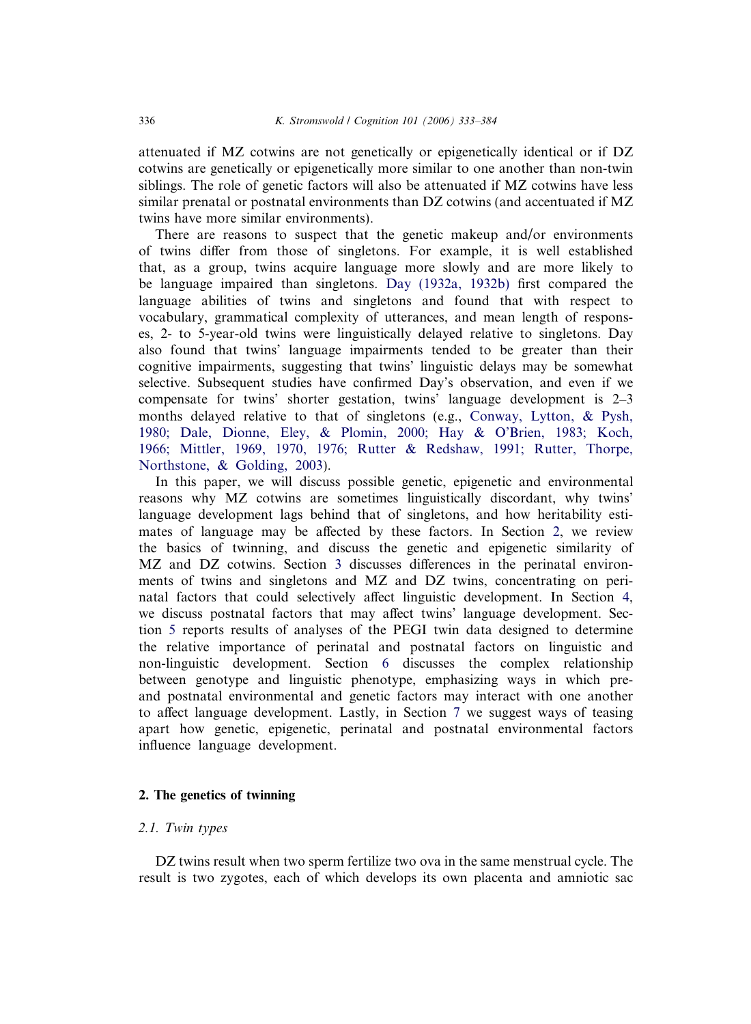attenuated if MZ cotwins are not genetically or epigenetically identical or if DZ cotwins are genetically or epigenetically more similar to one another than non-twin siblings. The role of genetic factors will also be attenuated if MZ cotwins have less similar prenatal or postnatal environments than DZ cotwins (and accentuated if MZ twins have more similar environments).

There are reasons to suspect that the genetic makeup and/or environments of twins differ from those of singletons. For example, it is well established that, as a group, twins acquire language more slowly and are more likely to be language impaired than singletons. [Day \(1932a, 1932b\)](#page-42-0) first compared the language abilities of twins and singletons and found that with respect to vocabulary, grammatical complexity of utterances, and mean length of responses, 2- to 5-year-old twins were linguistically delayed relative to singletons. Day also found that twins' language impairments tended to be greater than their cognitive impairments, suggesting that twins' linguistic delays may be somewhat selective. Subsequent studies have confirmed Day's observation, and even if we compensate for twins' shorter gestation, twins' language development is 2–3 months delayed relative to that of singletons (e.g., [Conway, Lytton, & Pysh,](#page-42-0) [1980; Dale, Dionne, Eley, & Plomin, 2000; Hay & O'Brien, 1983; Koch,](#page-42-0) [1966; Mittler, 1969, 1970, 1976; Rutter & Redshaw, 1991; Rutter, Thorpe,](#page-42-0) [Northstone, & Golding, 2003](#page-42-0)).

In this paper, we will discuss possible genetic, epigenetic and environmental reasons why MZ cotwins are sometimes linguistically discordant, why twins' language development lags behind that of singletons, and how heritability estimates of language may be affected by these factors. In Section 2, we review the basics of twinning, and discuss the genetic and epigenetic similarity of MZ and DZ cotwins. Section [3](#page-8-0) discusses differences in the perinatal environments of twins and singletons and MZ and DZ twins, concentrating on perinatal factors that could selectively affect linguistic development. In Section [4](#page-19-0), we discuss postnatal factors that may affect twins' language development. Section [5](#page-22-0) reports results of analyses of the PEGI twin data designed to determine the relative importance of perinatal and postnatal factors on linguistic and non-linguistic development. Section [6](#page-28-0) discusses the complex relationship between genotype and linguistic phenotype, emphasizing ways in which preand postnatal environmental and genetic factors may interact with one another to affect language development. Lastly, in Section [7](#page-31-0) we suggest ways of teasing apart how genetic, epigenetic, perinatal and postnatal environmental factors influence language development.

## 2. The genetics of twinning

## 2.1. Twin types

DZ twins result when two sperm fertilize two ova in the same menstrual cycle. The result is two zygotes, each of which develops its own placenta and amniotic sac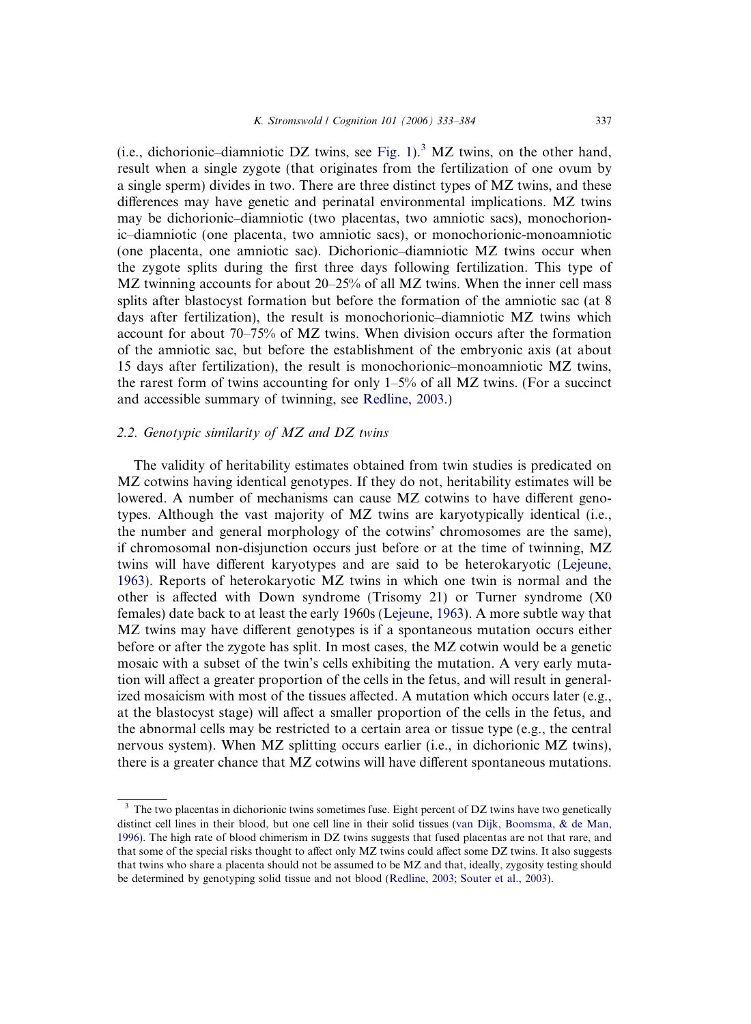<span id="page-4-0"></span>(i.e., dichorionic–diamniotic DZ twins, see [Fig. 1](#page-5-0)).<sup>3</sup> MZ twins, on the other hand, result when a single zygote (that originates from the fertilization of one ovum by a single sperm) divides in two. There are three distinct types of MZ twins, and these differences may have genetic and perinatal environmental implications. MZ twins may be dichorionic–diamniotic (two placentas, two amniotic sacs), monochorionic–diamniotic (one placenta, two amniotic sacs), or monochorionic-monoamniotic (one placenta, one amniotic sac). Dichorionic–diamniotic MZ twins occur when the zygote splits during the first three days following fertilization. This type of MZ twinning accounts for about 20–25% of all MZ twins. When the inner cell mass splits after blastocyst formation but before the formation of the amniotic sac (at 8 days after fertilization), the result is monochorionic–diamniotic MZ twins which account for about 70–75% of MZ twins. When division occurs after the formation of the amniotic sac, but before the establishment of the embryonic axis (at about 15 days after fertilization), the result is monochorionic–monoamniotic MZ twins, the rarest form of twins accounting for only  $1-5%$  of all MZ twins. (For a succinct and accessible summary of twinning, see [Redline, 2003](#page-47-0).)

## 2.2. Genotypic similarity of MZ and DZ twins

The validity of heritability estimates obtained from twin studies is predicated on MZ cotwins having identical genotypes. If they do not, heritability estimates will be lowered. A number of mechanisms can cause MZ cotwins to have different genotypes. Although the vast majority of MZ twins are karyotypically identical (i.e., the number and general morphology of the cotwins' chromosomes are the same), if chromosomal non-disjunction occurs just before or at the time of twinning, MZ twins will have different karyotypes and are said to be heterokaryotic ([Lejeune,](#page-45-0) [1963\)](#page-45-0). Reports of heterokaryotic MZ twins in which one twin is normal and the other is affected with Down syndrome (Trisomy 21) or Turner syndrome (X0 females) date back to at least the early 1960s ([Lejeune, 1963](#page-45-0)). A more subtle way that MZ twins may have different genotypes is if a spontaneous mutation occurs either before or after the zygote has split. In most cases, the MZ cotwin would be a genetic mosaic with a subset of the twin's cells exhibiting the mutation. A very early mutation will affect a greater proportion of the cells in the fetus, and will result in generalized mosaicism with most of the tissues affected. A mutation which occurs later (e.g., at the blastocyst stage) will affect a smaller proportion of the cells in the fetus, and the abnormal cells may be restricted to a certain area or tissue type (e.g., the central nervous system). When MZ splitting occurs earlier (i.e., in dichorionic MZ twins), there is a greater chance that MZ cotwins will have different spontaneous mutations.

<sup>&</sup>lt;sup>3</sup> The two placentas in dichorionic twins sometimes fuse. Eight percent of DZ twins have two genetically distinct cell lines in their blood, but one cell line in their solid tissues ([van Dijk, Boomsma, & de Man,](#page-50-0) [1996\)](#page-50-0). The high rate of blood chimerism in DZ twins suggests that fused placentas are not that rare, and that some of the special risks thought to affect only MZ twins could affect some DZ twins. It also suggests that twins who share a placenta should not be assumed to be MZ and that, ideally, zygosity testing should be determined by genotyping solid tissue and not blood [\(Redline, 2003; Souter et al., 2003\)](#page-47-0).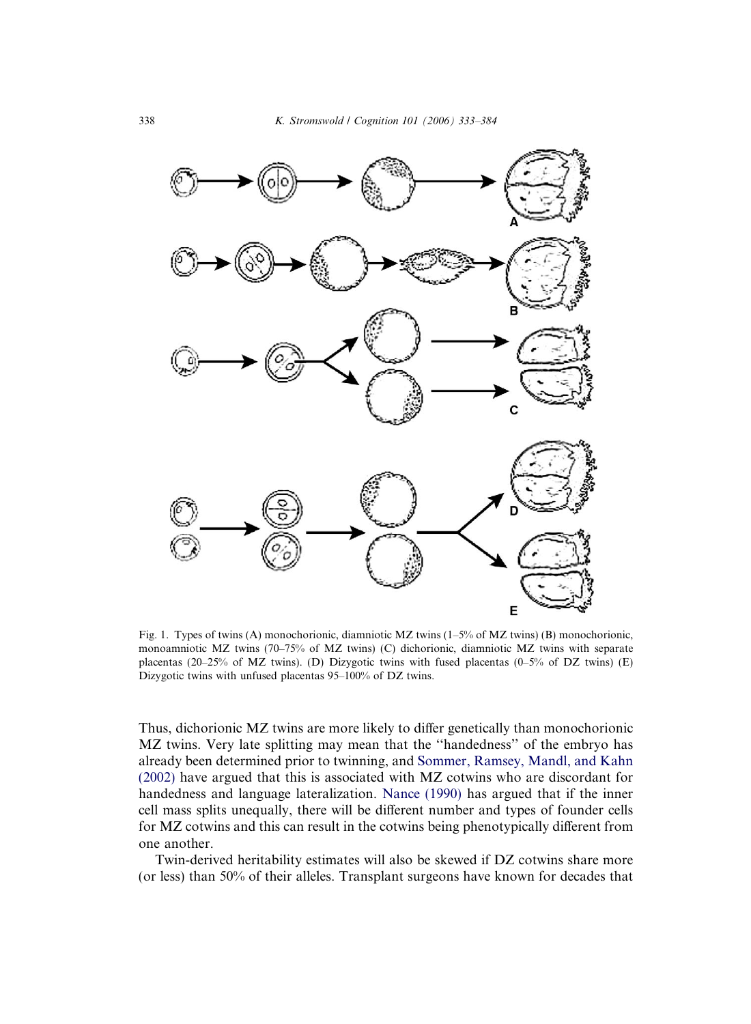<span id="page-5-0"></span>

Fig. 1. Types of twins (A) monochorionic, diamniotic MZ twins (1–5% of MZ twins) (B) monochorionic, monoamniotic MZ twins (70–75% of MZ twins) (C) dichorionic, diamniotic MZ twins with separate placentas (20–25% of MZ twins). (D) Dizygotic twins with fused placentas (0–5% of DZ twins) (E) Dizygotic twins with unfused placentas 95–100% of DZ twins.

Thus, dichorionic MZ twins are more likely to differ genetically than monochorionic MZ twins. Very late splitting may mean that the ''handedness'' of the embryo has already been determined prior to twinning, and [Sommer, Ramsey, Mandl, and Kahn](#page-48-0) [\(2002\)](#page-48-0) have argued that this is associated with MZ cotwins who are discordant for handedness and language lateralization. [Nance \(1990\)](#page-46-0) has argued that if the inner cell mass splits unequally, there will be different number and types of founder cells for MZ cotwins and this can result in the cotwins being phenotypically different from one another.

Twin-derived heritability estimates will also be skewed if DZ cotwins share more (or less) than 50% of their alleles. Transplant surgeons have known for decades that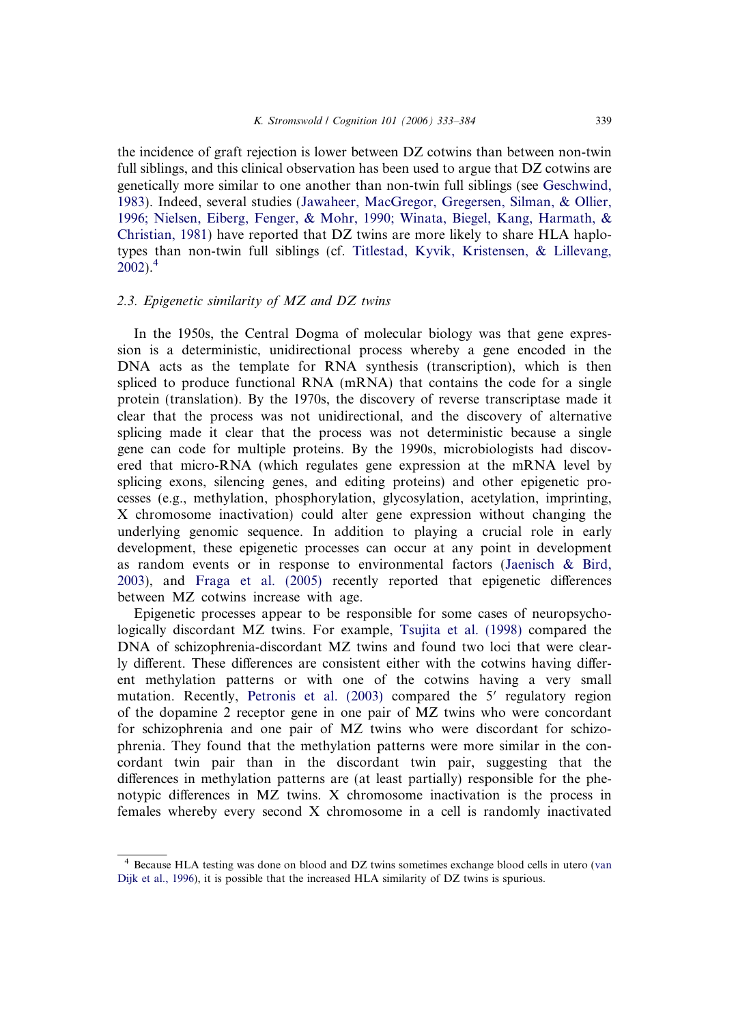the incidence of graft rejection is lower between DZ cotwins than between non-twin full siblings, and this clinical observation has been used to argue that DZ cotwins are genetically more similar to one another than non-twin full siblings (see [Geschwind,](#page-42-0) [1983\)](#page-42-0). Indeed, several studies [\(Jawaheer, MacGregor, Gregersen, Silman, & Ollier,](#page-44-0) [1996; Nielsen, Eiberg, Fenger, & Mohr, 1990; Winata, Biegel, Kang, Harmath, &](#page-44-0) [Christian, 1981\)](#page-44-0) have reported that DZ twins are more likely to share HLA haplotypes than non-twin full siblings (cf. [Titlestad, Kyvik, Kristensen, & Lillevang,](#page-49-0)  $2002$ ).<sup>4</sup>

## 2.3. Epigenetic similarity of MZ and DZ twins

In the 1950s, the Central Dogma of molecular biology was that gene expression is a deterministic, unidirectional process whereby a gene encoded in the DNA acts as the template for RNA synthesis (transcription), which is then spliced to produce functional RNA (mRNA) that contains the code for a single protein (translation). By the 1970s, the discovery of reverse transcriptase made it clear that the process was not unidirectional, and the discovery of alternative splicing made it clear that the process was not deterministic because a single gene can code for multiple proteins. By the 1990s, microbiologists had discovered that micro-RNA (which regulates gene expression at the mRNA level by splicing exons, silencing genes, and editing proteins) and other epigenetic processes (e.g., methylation, phosphorylation, glycosylation, acetylation, imprinting, X chromosome inactivation) could alter gene expression without changing the underlying genomic sequence. In addition to playing a crucial role in early development, these epigenetic processes can occur at any point in development as random events or in response to environmental factors ([Jaenisch & Bird,](#page-44-0) [2003\)](#page-44-0), and [Fraga et al. \(2005\)](#page-42-0) recently reported that epigenetic differences between MZ cotwins increase with age.

Epigenetic processes appear to be responsible for some cases of neuropsychologically discordant MZ twins. For example, [Tsujita et al. \(1998\)](#page-49-0) compared the DNA of schizophrenia-discordant MZ twins and found two loci that were clearly different. These differences are consistent either with the cotwins having different methylation patterns or with one of the cotwins having a very small mutation. Recently, Petronis et al.  $(2003)$  compared the 5' regulatory region of the dopamine 2 receptor gene in one pair of MZ twins who were concordant for schizophrenia and one pair of MZ twins who were discordant for schizophrenia. They found that the methylation patterns were more similar in the concordant twin pair than in the discordant twin pair, suggesting that the differences in methylation patterns are (at least partially) responsible for the phenotypic differences in MZ twins. X chromosome inactivation is the process in females whereby every second X chromosome in a cell is randomly inactivated

<sup>4</sup> Because HLA testing was done on blood and DZ twins sometimes exchange blood cells in utero [\(van](#page-50-0) [Dijk et al., 1996\)](#page-50-0), it is possible that the increased HLA similarity of DZ twins is spurious.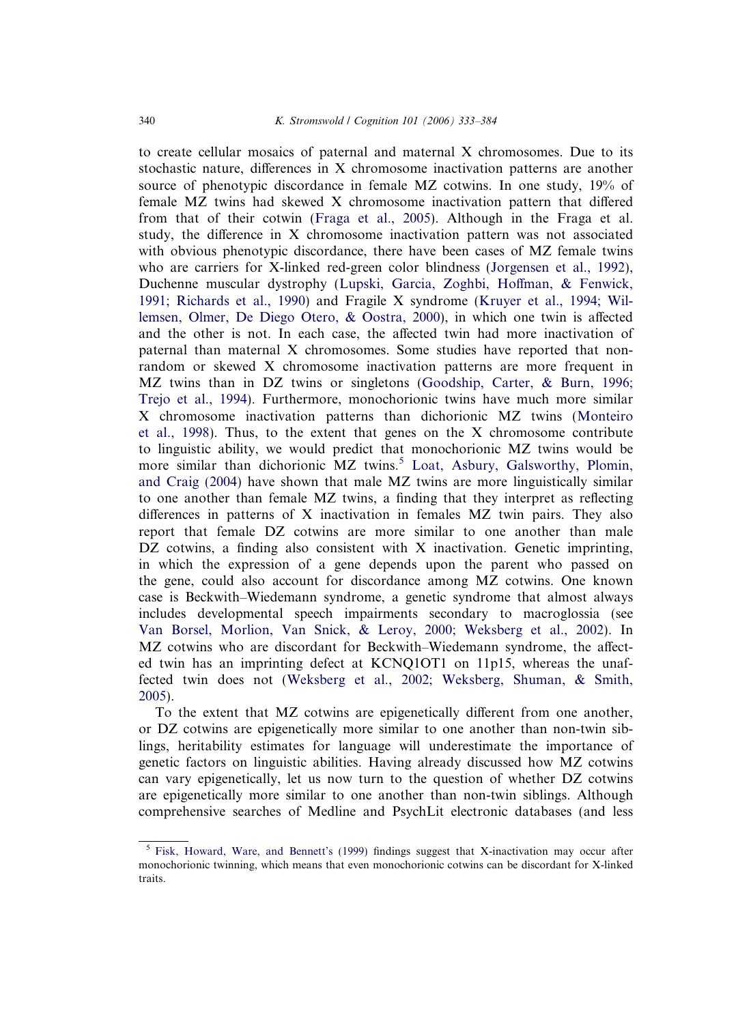to create cellular mosaics of paternal and maternal X chromosomes. Due to its stochastic nature, differences in X chromosome inactivation patterns are another source of phenotypic discordance in female MZ cotwins. In one study, 19% of female MZ twins had skewed X chromosome inactivation pattern that differed from that of their cotwin [\(Fraga et al., 2005](#page-42-0)). Although in the Fraga et al. study, the difference in X chromosome inactivation pattern was not associated with obvious phenotypic discordance, there have been cases of MZ female twins who are carriers for X-linked red-green color blindness [\(Jorgensen et al., 1992](#page-44-0)), Duchenne muscular dystrophy [\(Lupski, Garcia, Zoghbi, Hoffman, & Fenwick,](#page-45-0) [1991; Richards et al., 1990](#page-45-0)) and Fragile X syndrome [\(Kruyer et al., 1994; Wil](#page-45-0)[lemsen, Olmer, De Diego Otero, & Oostra, 2000](#page-45-0)), in which one twin is affected and the other is not. In each case, the affected twin had more inactivation of paternal than maternal X chromosomes. Some studies have reported that nonrandom or skewed X chromosome inactivation patterns are more frequent in MZ twins than in DZ twins or singletons [\(Goodship, Carter, & Burn, 1996;](#page-43-0) [Trejo et al., 1994](#page-43-0)). Furthermore, monochorionic twins have much more similar X chromosome inactivation patterns than dichorionic MZ twins ([Monteiro](#page-46-0) [et al., 1998\)](#page-46-0). Thus, to the extent that genes on the X chromosome contribute to linguistic ability, we would predict that monochorionic MZ twins would be more similar than dichorionic  $MZ$  twins.<sup>5</sup> [Loat, Asbury, Galsworthy, Plomin,](#page-45-0) [and Craig \(2004\)](#page-45-0) have shown that male MZ twins are more linguistically similar to one another than female MZ twins, a finding that they interpret as reflecting differences in patterns of X inactivation in females MZ twin pairs. They also report that female DZ cotwins are more similar to one another than male DZ cotwins, a finding also consistent with X inactivation. Genetic imprinting, in which the expression of a gene depends upon the parent who passed on the gene, could also account for discordance among MZ cotwins. One known case is Beckwith–Wiedemann syndrome, a genetic syndrome that almost always includes developmental speech impairments secondary to macroglossia (see [Van Borsel, Morlion, Van Snick, & Leroy, 2000; Weksberg et al., 2002\)](#page-50-0). In MZ cotwins who are discordant for Beckwith–Wiedemann syndrome, the affected twin has an imprinting defect at KCNQ1OT1 on 11p15, whereas the unaffected twin does not [\(Weksberg et al., 2002; Weksberg, Shuman, & Smith,](#page-50-0) [2005\)](#page-50-0).

To the extent that MZ cotwins are epigenetically different from one another, or DZ cotwins are epigenetically more similar to one another than non-twin siblings, heritability estimates for language will underestimate the importance of genetic factors on linguistic abilities. Having already discussed how MZ cotwins can vary epigenetically, let us now turn to the question of whether DZ cotwins are epigenetically more similar to one another than non-twin siblings. Although comprehensive searches of Medline and PsychLit electronic databases (and less

 $<sup>5</sup>$  [Fisk, Howard, Ware, and Bennett's \(1999\)](#page-42-0) findings suggest that X-inactivation may occur after</sup> monochorionic twinning, which means that even monochorionic cotwins can be discordant for X-linked traits.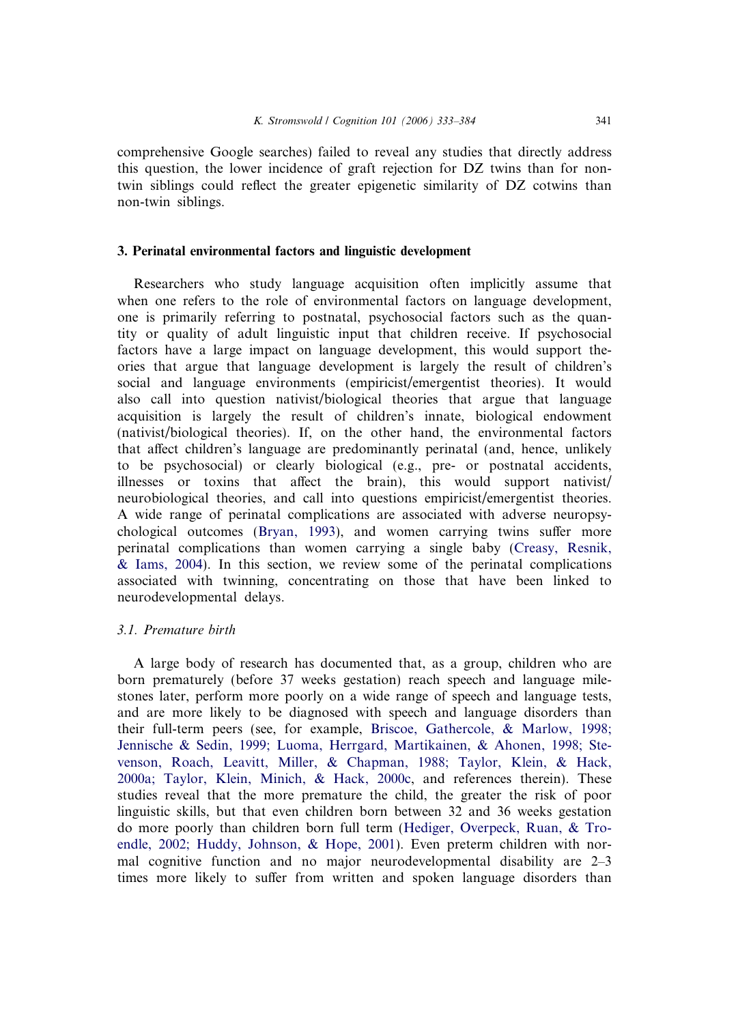<span id="page-8-0"></span>comprehensive Google searches) failed to reveal any studies that directly address this question, the lower incidence of graft rejection for DZ twins than for nontwin siblings could reflect the greater epigenetic similarity of DZ cotwins than non-twin siblings.

#### 3. Perinatal environmental factors and linguistic development

Researchers who study language acquisition often implicitly assume that when one refers to the role of environmental factors on language development, one is primarily referring to postnatal, psychosocial factors such as the quantity or quality of adult linguistic input that children receive. If psychosocial factors have a large impact on language development, this would support theories that argue that language development is largely the result of children's social and language environments (empiricist/emergentist theories). It would also call into question nativist/biological theories that argue that language acquisition is largely the result of children's innate, biological endowment (nativist/biological theories). If, on the other hand, the environmental factors that affect children's language are predominantly perinatal (and, hence, unlikely to be psychosocial) or clearly biological (e.g., pre- or postnatal accidents, illnesses or toxins that affect the brain), this would support nativist/ neurobiological theories, and call into questions empiricist/emergentist theories. A wide range of perinatal complications are associated with adverse neuropsychological outcomes [\(Bryan, 1993](#page-41-0)), and women carrying twins suffer more perinatal complications than women carrying a single baby ([Creasy, Resnik,](#page-42-0) [& Iams, 2004](#page-42-0)). In this section, we review some of the perinatal complications associated with twinning, concentrating on those that have been linked to neurodevelopmental delays.

## 3.1. Premature birth

A large body of research has documented that, as a group, children who are born prematurely (before 37 weeks gestation) reach speech and language milestones later, perform more poorly on a wide range of speech and language tests, and are more likely to be diagnosed with speech and language disorders than their full-term peers (see, for example, [Briscoe, Gathercole, & Marlow, 1998;](#page-41-0) [Jennische & Sedin, 1999; Luoma, Herrgard, Martikainen, & Ahonen, 1998; Ste](#page-41-0)[venson, Roach, Leavitt, Miller, & Chapman, 1988; Taylor, Klein, & Hack,](#page-41-0) [2000a; Taylor, Klein, Minich, & Hack, 2000c,](#page-41-0) and references therein). These studies reveal that the more premature the child, the greater the risk of poor linguistic skills, but that even children born between 32 and 36 weeks gestation do more poorly than children born full term ([Hediger, Overpeck, Ruan, & Tro](#page-43-0)[endle, 2002; Huddy, Johnson, & Hope, 2001\)](#page-43-0). Even preterm children with normal cognitive function and no major neurodevelopmental disability are 2–3 times more likely to suffer from written and spoken language disorders than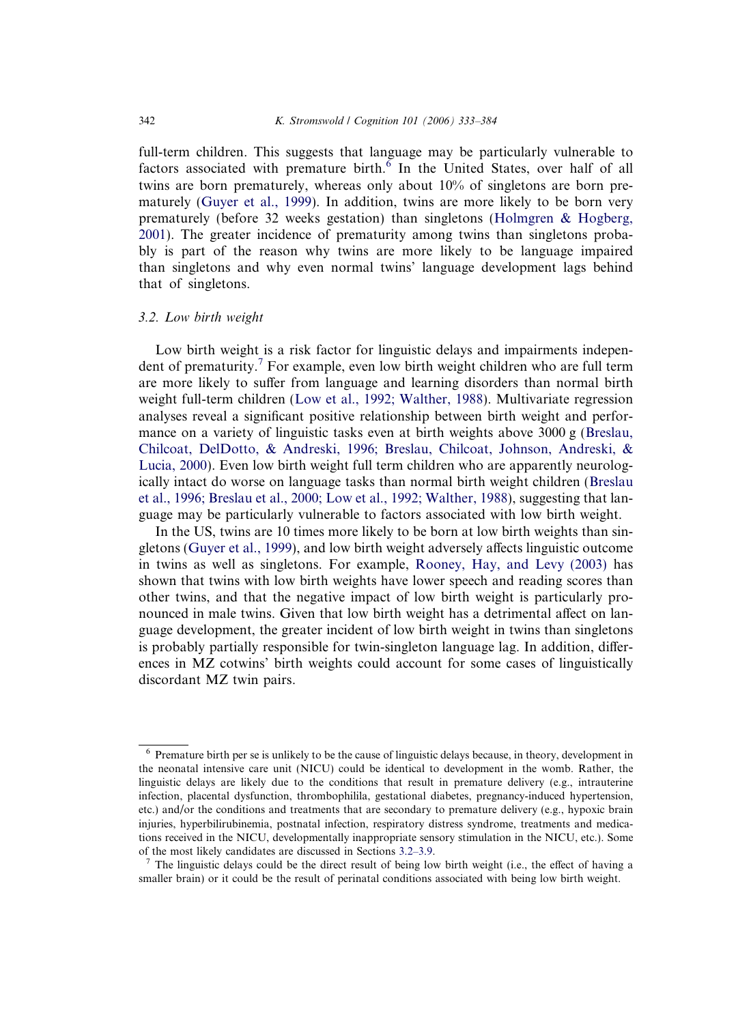full-term children. This suggests that language may be particularly vulnerable to factors associated with premature birth. $6$  In the United States, over half of all twins are born prematurely, whereas only about 10% of singletons are born prematurely ([Guyer et al., 1999](#page-43-0)). In addition, twins are more likely to be born very prematurely (before 32 weeks gestation) than singletons [\(Holmgren & Hogberg,](#page-44-0) [2001\)](#page-44-0). The greater incidence of prematurity among twins than singletons probably is part of the reason why twins are more likely to be language impaired than singletons and why even normal twins' language development lags behind that of singletons.

#### 3.2. Low birth weight

Low birth weight is a risk factor for linguistic delays and impairments independent of prematurity.<sup>7</sup> For example, even low birth weight children who are full term are more likely to suffer from language and learning disorders than normal birth weight full-term children ([Low et al., 1992; Walther, 1988](#page-45-0)). Multivariate regression analyses reveal a significant positive relationship between birth weight and performance on a variety of linguistic tasks even at birth weights above 3000 g ([Breslau,](#page-41-0) [Chilcoat, DelDotto, & Andreski, 1996; Breslau, Chilcoat, Johnson, Andreski, &](#page-41-0) [Lucia, 2000](#page-41-0)). Even low birth weight full term children who are apparently neurologically intact do worse on language tasks than normal birth weight children [\(Breslau](#page-41-0) [et al., 1996; Breslau et al., 2000; Low et al., 1992; Walther, 1988](#page-41-0)), suggesting that language may be particularly vulnerable to factors associated with low birth weight.

In the US, twins are 10 times more likely to be born at low birth weights than singletons ([Guyer et al., 1999\)](#page-43-0), and low birth weight adversely affects linguistic outcome in twins as well as singletons. For example, [Rooney, Hay, and Levy \(2003\)](#page-48-0) has shown that twins with low birth weights have lower speech and reading scores than other twins, and that the negative impact of low birth weight is particularly pronounced in male twins. Given that low birth weight has a detrimental affect on language development, the greater incident of low birth weight in twins than singletons is probably partially responsible for twin-singleton language lag. In addition, differences in MZ cotwins' birth weights could account for some cases of linguistically discordant MZ twin pairs.

<sup>&</sup>lt;sup>6</sup> Premature birth per se is unlikely to be the cause of linguistic delays because, in theory, development in the neonatal intensive care unit (NICU) could be identical to development in the womb. Rather, the linguistic delays are likely due to the conditions that result in premature delivery (e.g., intrauterine infection, placental dysfunction, thrombophilila, gestational diabetes, pregnancy-induced hypertension, etc.) and/or the conditions and treatments that are secondary to premature delivery (e.g., hypoxic brain injuries, hyperbilirubinemia, postnatal infection, respiratory distress syndrome, treatments and medications received in the NICU, developmentally inappropriate sensory stimulation in the NICU, etc.). Some of the most likely candidates are discussed in Sections 3.2–3.9. <sup>7</sup> The linguistic delays could be the direct result of being low birth weight (i.e., the effect of having a

smaller brain) or it could be the result of perinatal conditions associated with being low birth weight.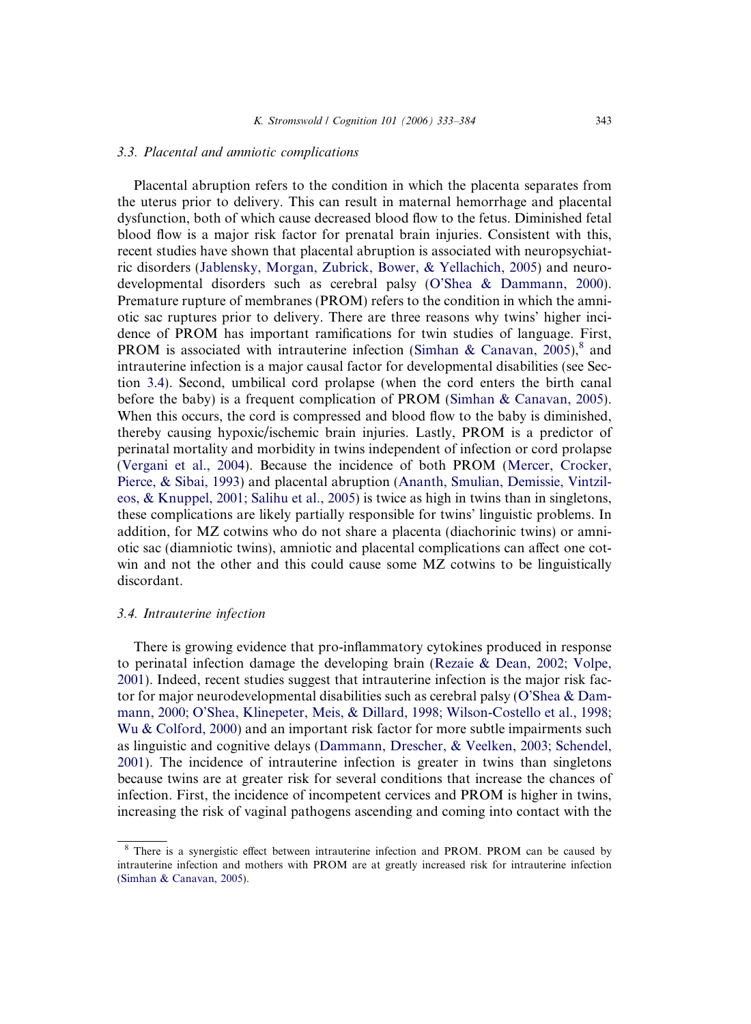#### <span id="page-10-0"></span>3.3. Placental and amniotic complications

Placental abruption refers to the condition in which the placenta separates from the uterus prior to delivery. This can result in maternal hemorrhage and placental dysfunction, both of which cause decreased blood flow to the fetus. Diminished fetal blood flow is a major risk factor for prenatal brain injuries. Consistent with this, recent studies have shown that placental abruption is associated with neuropsychiatric disorders ([Jablensky, Morgan, Zubrick, Bower, & Yellachich, 2005\)](#page-44-0) and neurodevelopmental disorders such as cerebral palsy ([O'Shea & Dammann, 2000\)](#page-46-0). Premature rupture of membranes (PROM) refers to the condition in which the amniotic sac ruptures prior to delivery. There are three reasons why twins' higher incidence of PROM has important ramifications for twin studies of language. First, PROM is associated with intrauterine infection (Simhan & Canavan,  $2005$ ),  $8$  and intrauterine infection is a major causal factor for developmental disabilities (see Section 3.4). Second, umbilical cord prolapse (when the cord enters the birth canal before the baby) is a frequent complication of PROM [\(Simhan & Canavan, 2005\)](#page-48-0). When this occurs, the cord is compressed and blood flow to the baby is diminished, thereby causing hypoxic/ischemic brain injuries. Lastly, PROM is a predictor of perinatal mortality and morbidity in twins independent of infection or cord prolapse [\(Vergani et al., 2004\)](#page-50-0). Because the incidence of both PROM [\(Mercer, Crocker,](#page-46-0) [Pierce, & Sibai, 1993\)](#page-46-0) and placental abruption [\(Ananth, Smulian, Demissie, Vintzil](#page-40-0)[eos, & Knuppel, 2001; Salihu et al., 2005\)](#page-40-0) is twice as high in twins than in singletons, these complications are likely partially responsible for twins' linguistic problems. In addition, for MZ cotwins who do not share a placenta (diachorinic twins) or amniotic sac (diamniotic twins), amniotic and placental complications can affect one cotwin and not the other and this could cause some MZ cotwins to be linguistically discordant.

#### 3.4. Intrauterine infection

There is growing evidence that pro-inflammatory cytokines produced in response to perinatal infection damage the developing brain [\(Rezaie & Dean, 2002; Volpe,](#page-47-0) [2001\)](#page-47-0). Indeed, recent studies suggest that intrauterine infection is the major risk fac-tor for major neurodevelopmental disabilities such as cerebral palsy ([O'Shea & Dam](#page-46-0)[mann, 2000; O'Shea, Klinepeter, Meis, & Dillard, 1998; Wilson-Costello et al., 1998;](#page-46-0) [Wu & Colford, 2000\)](#page-46-0) and an important risk factor for more subtle impairments such as linguistic and cognitive delays ([Dammann, Drescher, & Veelken, 2003; Schendel,](#page-42-0) [2001\)](#page-42-0). The incidence of intrauterine infection is greater in twins than singletons because twins are at greater risk for several conditions that increase the chances of infection. First, the incidence of incompetent cervices and PROM is higher in twins, increasing the risk of vaginal pathogens ascending and coming into contact with the

<sup>8</sup> There is a synergistic effect between intrauterine infection and PROM. PROM can be caused by intrauterine infection and mothers with PROM are at greatly increased risk for intrauterine infection ([Simhan & Canavan, 2005](#page-48-0)).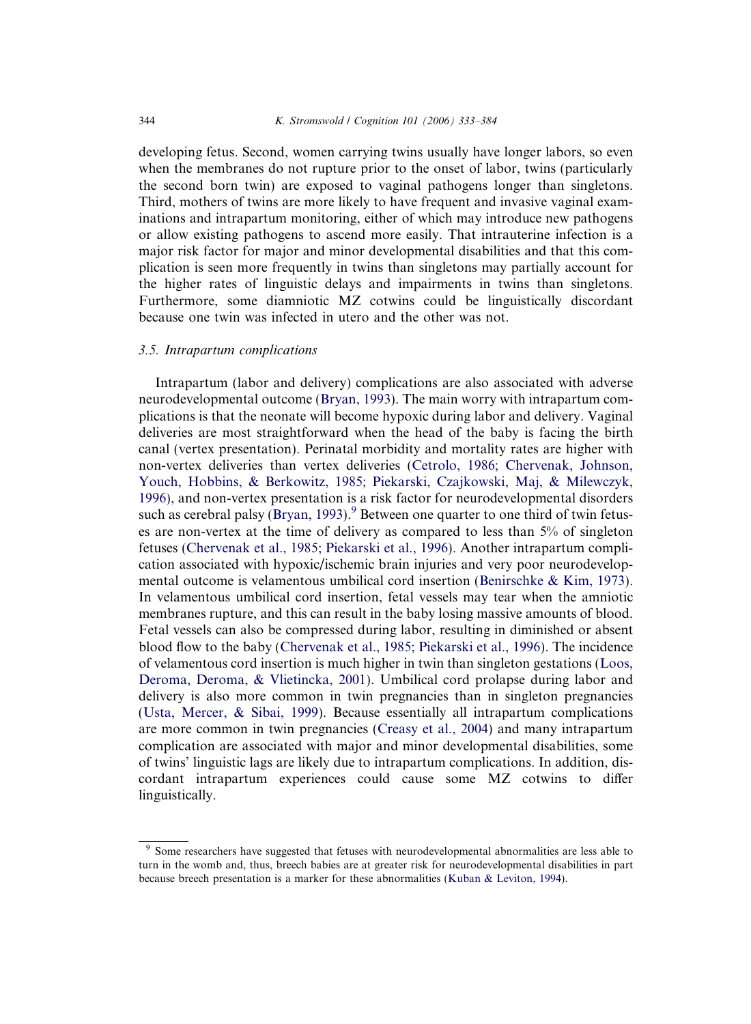developing fetus. Second, women carrying twins usually have longer labors, so even when the membranes do not rupture prior to the onset of labor, twins (particularly the second born twin) are exposed to vaginal pathogens longer than singletons. Third, mothers of twins are more likely to have frequent and invasive vaginal examinations and intrapartum monitoring, either of which may introduce new pathogens or allow existing pathogens to ascend more easily. That intrauterine infection is a major risk factor for major and minor developmental disabilities and that this complication is seen more frequently in twins than singletons may partially account for the higher rates of linguistic delays and impairments in twins than singletons. Furthermore, some diamniotic MZ cotwins could be linguistically discordant because one twin was infected in utero and the other was not.

## 3.5. Intrapartum complications

Intrapartum (labor and delivery) complications are also associated with adverse neurodevelopmental outcome [\(Bryan, 1993](#page-41-0)). The main worry with intrapartum complications is that the neonate will become hypoxic during labor and delivery. Vaginal deliveries are most straightforward when the head of the baby is facing the birth canal (vertex presentation). Perinatal morbidity and mortality rates are higher with non-vertex deliveries than vertex deliveries ([Cetrolo, 1986; Chervenak, Johnson,](#page-41-0) [Youch, Hobbins, & Berkowitz, 1985; Piekarski, Czajkowski, Maj, & Milewczyk,](#page-41-0) [1996\)](#page-41-0), and non-vertex presentation is a risk factor for neurodevelopmental disorders such as cerebral palsy ([Bryan, 1993\)](#page-41-0).<sup>9</sup> Between one quarter to one third of twin fetuses are non-vertex at the time of delivery as compared to less than 5% of singleton fetuses [\(Chervenak et al., 1985; Piekarski et al., 1996\)](#page-41-0). Another intrapartum complication associated with hypoxic/ischemic brain injuries and very poor neurodevelop-mental outcome is velamentous umbilical cord insertion ([Benirschke & Kim, 1973](#page-41-0)). In velamentous umbilical cord insertion, fetal vessels may tear when the amniotic membranes rupture, and this can result in the baby losing massive amounts of blood. Fetal vessels can also be compressed during labor, resulting in diminished or absent blood flow to the baby [\(Chervenak et al., 1985; Piekarski et al., 1996\)](#page-41-0). The incidence of velamentous cord insertion is much higher in twin than singleton gestations ([Loos,](#page-45-0) [Deroma, Deroma, & Vlietincka, 2001\)](#page-45-0). Umbilical cord prolapse during labor and delivery is also more common in twin pregnancies than in singleton pregnancies ([Usta, Mercer, & Sibai, 1999\)](#page-50-0). Because essentially all intrapartum complications are more common in twin pregnancies ([Creasy et al., 2004](#page-42-0)) and many intrapartum complication are associated with major and minor developmental disabilities, some of twins' linguistic lags are likely due to intrapartum complications. In addition, discordant intrapartum experiences could cause some MZ cotwins to differ linguistically.

<sup>&</sup>lt;sup>9</sup> Some researchers have suggested that fetuses with neurodevelopmental abnormalities are less able to turn in the womb and, thus, breech babies are at greater risk for neurodevelopmental disabilities in part because breech presentation is a marker for these abnormalities ([Kuban & Leviton, 1994](#page-45-0)).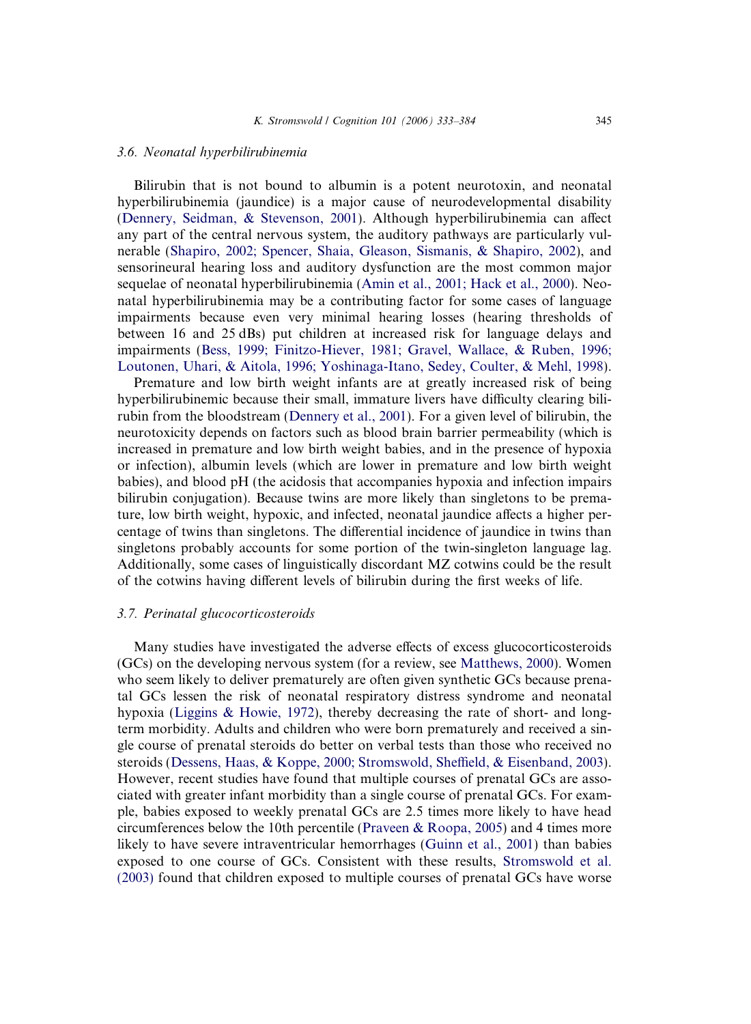#### 3.6. Neonatal hyperbilirubinemia

Bilirubin that is not bound to albumin is a potent neurotoxin, and neonatal hyperbilirubinemia (jaundice) is a major cause of neurodevelopmental disability [\(Dennery, Seidman, & Stevenson, 2001](#page-42-0)). Although hyperbilirubinemia can affect any part of the central nervous system, the auditory pathways are particularly vulnerable ([Shapiro, 2002; Spencer, Shaia, Gleason, Sismanis, & Shapiro, 2002\)](#page-48-0), and sensorineural hearing loss and auditory dysfunction are the most common major sequelae of neonatal hyperbilirubinemia [\(Amin et al., 2001; Hack et al., 2000](#page-40-0)). Neonatal hyperbilirubinemia may be a contributing factor for some cases of language impairments because even very minimal hearing losses (hearing thresholds of between 16 and 25 dBs) put children at increased risk for language delays and impairments [\(Bess, 1999; Finitzo-Hiever, 1981; Gravel, Wallace, & Ruben, 1996;](#page-41-0) [Loutonen, Uhari, & Aitola, 1996; Yoshinaga-Itano, Sedey, Coulter, & Mehl, 1998\)](#page-41-0).

Premature and low birth weight infants are at greatly increased risk of being hyperbilirubinemic because their small, immature livers have difficulty clearing bilirubin from the bloodstream [\(Dennery et al., 2001\)](#page-42-0). For a given level of bilirubin, the neurotoxicity depends on factors such as blood brain barrier permeability (which is increased in premature and low birth weight babies, and in the presence of hypoxia or infection), albumin levels (which are lower in premature and low birth weight babies), and blood pH (the acidosis that accompanies hypoxia and infection impairs bilirubin conjugation). Because twins are more likely than singletons to be premature, low birth weight, hypoxic, and infected, neonatal jaundice affects a higher percentage of twins than singletons. The differential incidence of jaundice in twins than singletons probably accounts for some portion of the twin-singleton language lag. Additionally, some cases of linguistically discordant MZ cotwins could be the result of the cotwins having different levels of bilirubin during the first weeks of life.

#### 3.7. Perinatal glucocorticosteroids

Many studies have investigated the adverse effects of excess glucocorticosteroids (GCs) on the developing nervous system (for a review, see [Matthews, 2000\)](#page-46-0). Women who seem likely to deliver prematurely are often given synthetic GCs because prenatal GCs lessen the risk of neonatal respiratory distress syndrome and neonatal hypoxia [\(Liggins & Howie, 1972\)](#page-45-0), thereby decreasing the rate of short- and longterm morbidity. Adults and children who were born prematurely and received a single course of prenatal steroids do better on verbal tests than those who received no steroids ([Dessens, Haas, & Koppe, 2000; Stromswold, Sheffield, & Eisenband, 2003\)](#page-42-0). However, recent studies have found that multiple courses of prenatal GCs are associated with greater infant morbidity than a single course of prenatal GCs. For example, babies exposed to weekly prenatal GCs are 2.5 times more likely to have head circumferences below the 10th percentile (Praveen  $\&$  Roopa, 2005) and 4 times more likely to have severe intraventricular hemorrhages [\(Guinn et al., 2001](#page-43-0)) than babies exposed to one course of GCs. Consistent with these results, [Stromswold et al.](#page-49-0) [\(2003\)](#page-49-0) found that children exposed to multiple courses of prenatal GCs have worse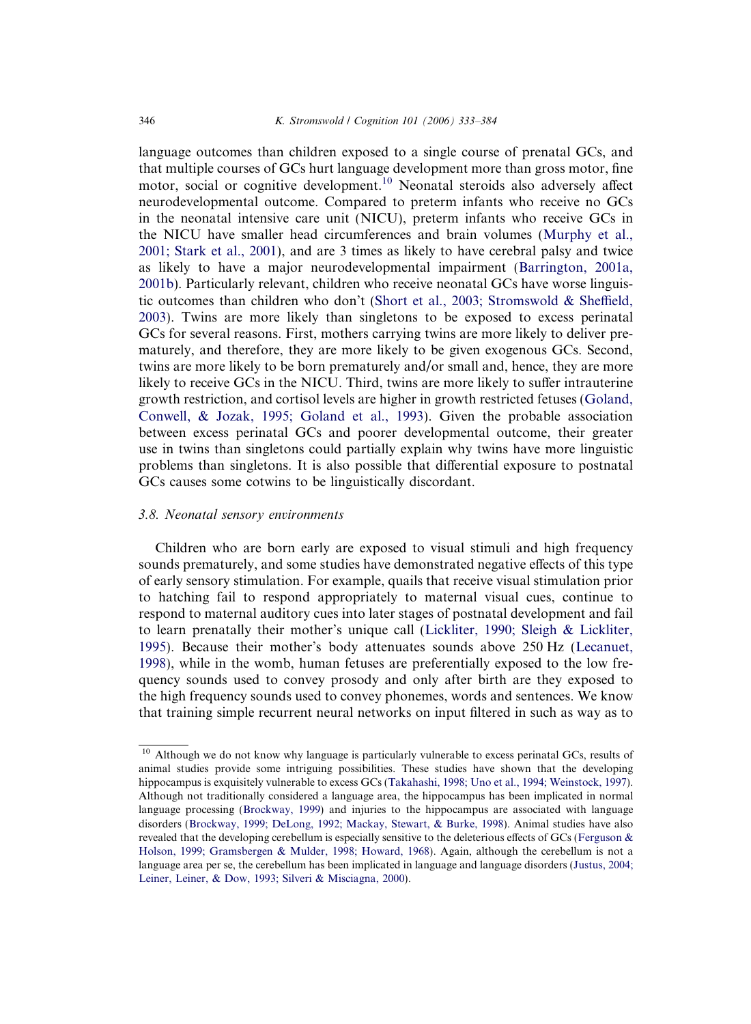language outcomes than children exposed to a single course of prenatal GCs, and that multiple courses of GCs hurt language development more than gross motor, fine motor, social or cognitive development.<sup>10</sup> Neonatal steroids also adversely affect neurodevelopmental outcome. Compared to preterm infants who receive no GCs in the neonatal intensive care unit (NICU), preterm infants who receive GCs in the NICU have smaller head circumferences and brain volumes ([Murphy et al.,](#page-46-0) [2001; Stark et al., 2001\)](#page-46-0), and are 3 times as likely to have cerebral palsy and twice as likely to have a major neurodevelopmental impairment [\(Barrington, 2001a,](#page-40-0) [2001b](#page-40-0)). Particularly relevant, children who receive neonatal GCs have worse linguistic outcomes than children who don't ([Short et al., 2003; Stromswold & Sheffield,](#page-48-0) [2003\)](#page-48-0). Twins are more likely than singletons to be exposed to excess perinatal GCs for several reasons. First, mothers carrying twins are more likely to deliver prematurely, and therefore, they are more likely to be given exogenous GCs. Second, twins are more likely to be born prematurely and/or small and, hence, they are more likely to receive GCs in the NICU. Third, twins are more likely to suffer intrauterine growth restriction, and cortisol levels are higher in growth restricted fetuses [\(Goland,](#page-42-0) [Conwell, & Jozak, 1995; Goland et al., 1993](#page-42-0)). Given the probable association between excess perinatal GCs and poorer developmental outcome, their greater use in twins than singletons could partially explain why twins have more linguistic problems than singletons. It is also possible that differential exposure to postnatal GCs causes some cotwins to be linguistically discordant.

#### 3.8. Neonatal sensory environments

Children who are born early are exposed to visual stimuli and high frequency sounds prematurely, and some studies have demonstrated negative effects of this type of early sensory stimulation. For example, quails that receive visual stimulation prior to hatching fail to respond appropriately to maternal visual cues, continue to respond to maternal auditory cues into later stages of postnatal development and fail to learn prenatally their mother's unique call [\(Lickliter, 1990; Sleigh & Lickliter,](#page-45-0) [1995\)](#page-45-0). Because their mother's body attenuates sounds above 250 Hz [\(Lecanuet,](#page-45-0) [1998\)](#page-45-0), while in the womb, human fetuses are preferentially exposed to the low frequency sounds used to convey prosody and only after birth are they exposed to the high frequency sounds used to convey phonemes, words and sentences. We know that training simple recurrent neural networks on input filtered in such as way as to

<sup>&</sup>lt;sup>10</sup> Although we do not know why language is particularly vulnerable to excess perinatal GCs, results of animal studies provide some intriguing possibilities. These studies have shown that the developing hippocampus is exquisitely vulnerable to excess GCs [\(Takahashi, 1998; Uno et al., 1994; Weinstock, 1997](#page-49-0)). Although not traditionally considered a language area, the hippocampus has been implicated in normal language processing [\(Brockway, 1999](#page-41-0)) and injuries to the hippocampus are associated with language disorders [\(Brockway, 1999; DeLong, 1992; Mackay, Stewart, & Burke, 1998](#page-41-0)). Animal studies have also revealed that the developing cerebellum is especially sensitive to the deleterious effects of GCs [\(Ferguson &](#page-42-0) [Holson, 1999; Gramsbergen & Mulder, 1998; Howard, 1968\)](#page-42-0). Again, although the cerebellum is not a language area per se, the cerebellum has been implicated in language and language disorders ([Justus, 2004;](#page-44-0) [Leiner, Leiner, & Dow, 1993; Silveri & Misciagna, 2000](#page-44-0)).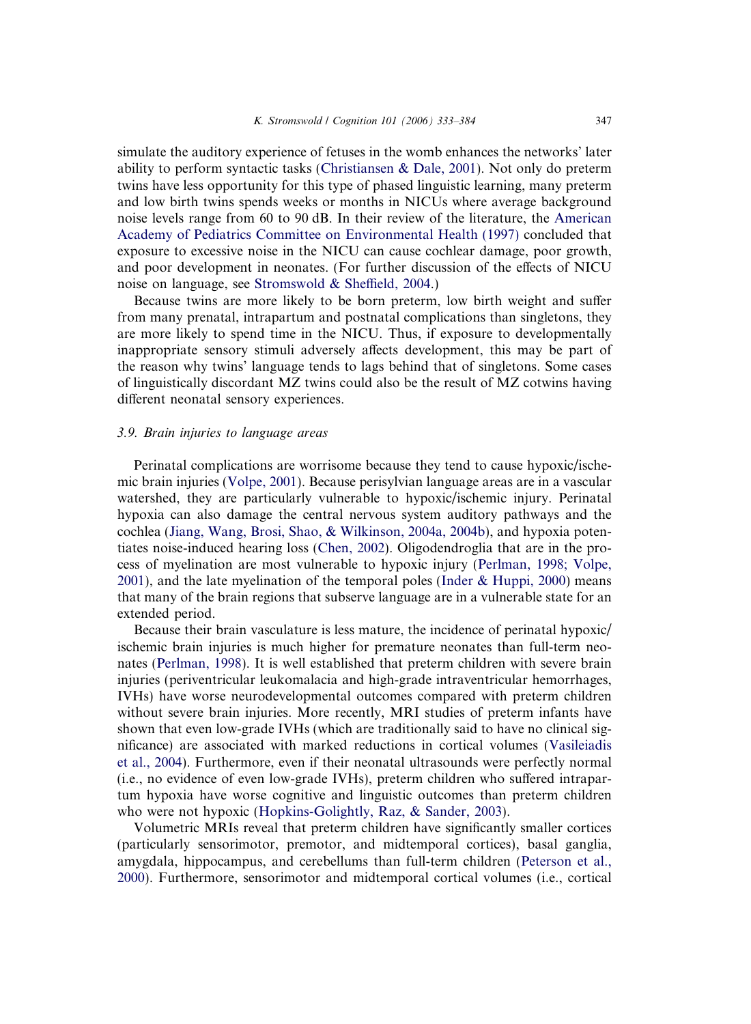simulate the auditory experience of fetuses in the womb enhances the networks' later ability to perform syntactic tasks ([Christiansen & Dale, 2001](#page-42-0)). Not only do preterm twins have less opportunity for this type of phased linguistic learning, many preterm and low birth twins spends weeks or months in NICUs where average background noise levels range from 60 to 90 dB. In their review of the literature, the [American](#page-40-0) [Academy of Pediatrics Committee on Environmental Health \(1997\)](#page-40-0) concluded that exposure to excessive noise in the NICU can cause cochlear damage, poor growth, and poor development in neonates. (For further discussion of the effects of NICU noise on language, see [Stromswold & Sheffield, 2004](#page-49-0).)

Because twins are more likely to be born preterm, low birth weight and suffer from many prenatal, intrapartum and postnatal complications than singletons, they are more likely to spend time in the NICU. Thus, if exposure to developmentally inappropriate sensory stimuli adversely affects development, this may be part of the reason why twins' language tends to lags behind that of singletons. Some cases of linguistically discordant MZ twins could also be the result of MZ cotwins having different neonatal sensory experiences.

## 3.9. Brain injuries to language areas

Perinatal complications are worrisome because they tend to cause hypoxic/ischemic brain injuries ([Volpe, 2001](#page-50-0)). Because perisylvian language areas are in a vascular watershed, they are particularly vulnerable to hypoxic/ischemic injury. Perinatal hypoxia can also damage the central nervous system auditory pathways and the cochlea ([Jiang, Wang, Brosi, Shao, & Wilkinson, 2004a, 2004b\)](#page-44-0), and hypoxia potentiates noise-induced hearing loss ([Chen, 2002\)](#page-41-0). Oligodendroglia that are in the process of myelination are most vulnerable to hypoxic injury ([Perlman, 1998; Volpe,](#page-47-0) [2001\)](#page-47-0), and the late myelination of the temporal poles (Inder  $&$  Huppi, 2000) means that many of the brain regions that subserve language are in a vulnerable state for an extended period.

Because their brain vasculature is less mature, the incidence of perinatal hypoxic/ ischemic brain injuries is much higher for premature neonates than full-term neonates ([Perlman, 1998](#page-47-0)). It is well established that preterm children with severe brain injuries (periventricular leukomalacia and high-grade intraventricular hemorrhages, IVHs) have worse neurodevelopmental outcomes compared with preterm children without severe brain injuries. More recently, MRI studies of preterm infants have shown that even low-grade IVHs (which are traditionally said to have no clinical significance) are associated with marked reductions in cortical volumes [\(Vasileiadis](#page-50-0) [et al., 2004](#page-50-0)). Furthermore, even if their neonatal ultrasounds were perfectly normal (i.e., no evidence of even low-grade IVHs), preterm children who suffered intrapartum hypoxia have worse cognitive and linguistic outcomes than preterm children who were not hypoxic ([Hopkins-Golightly, Raz, & Sander, 2003](#page-44-0)).

Volumetric MRIs reveal that preterm children have significantly smaller cortices (particularly sensorimotor, premotor, and midtemporal cortices), basal ganglia, amygdala, hippocampus, and cerebellums than full-term children ([Peterson et al.,](#page-47-0) [2000\)](#page-47-0). Furthermore, sensorimotor and midtemporal cortical volumes (i.e., cortical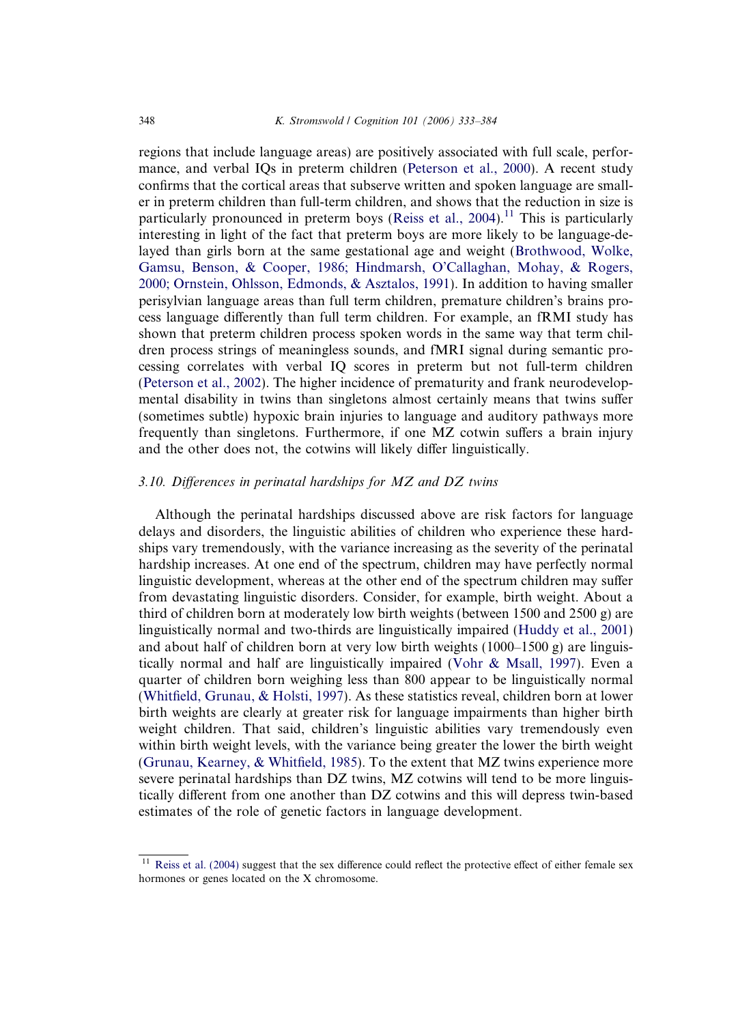regions that include language areas) are positively associated with full scale, performance, and verbal IQs in preterm children [\(Peterson et al., 2000\)](#page-47-0). A recent study confirms that the cortical areas that subserve written and spoken language are smaller in preterm children than full-term children, and shows that the reduction in size is particularly pronounced in preterm boys [\(Reiss et al., 2004\)](#page-47-0).<sup>11</sup> This is particularly interesting in light of the fact that preterm boys are more likely to be language-delayed than girls born at the same gestational age and weight [\(Brothwood, Wolke,](#page-41-0) [Gamsu, Benson, & Cooper, 1986; Hindmarsh, O'Callaghan, Mohay, & Rogers,](#page-41-0) [2000; Ornstein, Ohlsson, Edmonds, & Asztalos, 1991](#page-41-0)). In addition to having smaller perisylvian language areas than full term children, premature children's brains process language differently than full term children. For example, an fRMI study has shown that preterm children process spoken words in the same way that term children process strings of meaningless sounds, and fMRI signal during semantic processing correlates with verbal IQ scores in preterm but not full-term children ([Peterson et al., 2002](#page-47-0)). The higher incidence of prematurity and frank neurodevelopmental disability in twins than singletons almost certainly means that twins suffer (sometimes subtle) hypoxic brain injuries to language and auditory pathways more frequently than singletons. Furthermore, if one MZ cotwin suffers a brain injury and the other does not, the cotwins will likely differ linguistically.

## 3.10. Differences in perinatal hardships for MZ and DZ twins

Although the perinatal hardships discussed above are risk factors for language delays and disorders, the linguistic abilities of children who experience these hardships vary tremendously, with the variance increasing as the severity of the perinatal hardship increases. At one end of the spectrum, children may have perfectly normal linguistic development, whereas at the other end of the spectrum children may suffer from devastating linguistic disorders. Consider, for example, birth weight. About a third of children born at moderately low birth weights (between 1500 and 2500 g) are linguistically normal and two-thirds are linguistically impaired ([Huddy et al., 2001\)](#page-44-0) and about half of children born at very low birth weights  $(1000-1500 g)$  are linguistically normal and half are linguistically impaired [\(Vohr & Msall, 1997\)](#page-50-0). Even a quarter of children born weighing less than 800 appear to be linguistically normal ([Whitfield, Grunau, & Holsti, 1997](#page-50-0)). As these statistics reveal, children born at lower birth weights are clearly at greater risk for language impairments than higher birth weight children. That said, children's linguistic abilities vary tremendously even within birth weight levels, with the variance being greater the lower the birth weight ([Grunau, Kearney, & Whitfield, 1985](#page-43-0)). To the extent that MZ twins experience more severe perinatal hardships than DZ twins, MZ cotwins will tend to be more linguistically different from one another than DZ cotwins and this will depress twin-based estimates of the role of genetic factors in language development.

<sup>&</sup>lt;sup>11</sup> [Reiss et al. \(2004\)](#page-47-0) suggest that the sex difference could reflect the protective effect of either female sex hormones or genes located on the X chromosome.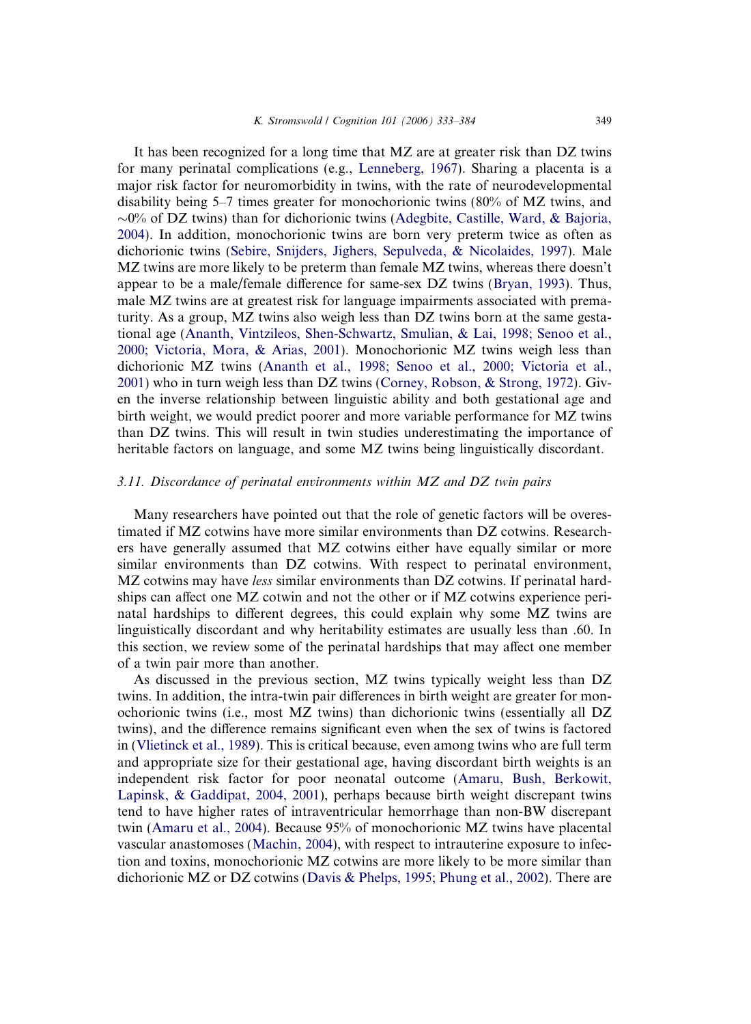<span id="page-16-0"></span>It has been recognized for a long time that MZ are at greater risk than DZ twins for many perinatal complications (e.g., [Lenneberg, 1967\)](#page-45-0). Sharing a placenta is a major risk factor for neuromorbidity in twins, with the rate of neurodevelopmental disability being 5–7 times greater for monochorionic twins (80% of MZ twins, and  $\sim$ 0% of DZ twins) than for dichorionic twins ([Adegbite, Castille, Ward, & Bajoria,](#page-40-0) [2004\)](#page-40-0). In addition, monochorionic twins are born very preterm twice as often as dichorionic twins [\(Sebire, Snijders, Jighers, Sepulveda, & Nicolaides, 1997\)](#page-48-0). Male MZ twins are more likely to be preterm than female MZ twins, whereas there doesn't appear to be a male/female difference for same-sex DZ twins ([Bryan, 1993\)](#page-41-0). Thus, male MZ twins are at greatest risk for language impairments associated with prematurity. As a group, MZ twins also weigh less than DZ twins born at the same gestational age [\(Ananth, Vintzileos, Shen-Schwartz, Smulian, & Lai, 1998; Senoo et al.,](#page-40-0) [2000; Victoria, Mora, & Arias, 2001](#page-40-0)). Monochorionic MZ twins weigh less than dichorionic MZ twins [\(Ananth et al., 1998; Senoo et al., 2000; Victoria et al.,](#page-40-0) [2001\)](#page-40-0) who in turn weigh less than DZ twins ([Corney, Robson, & Strong, 1972\)](#page-42-0). Given the inverse relationship between linguistic ability and both gestational age and birth weight, we would predict poorer and more variable performance for MZ twins than DZ twins. This will result in twin studies underestimating the importance of heritable factors on language, and some MZ twins being linguistically discordant.

## 3.11. Discordance of perinatal environments within MZ and DZ twin pairs

Many researchers have pointed out that the role of genetic factors will be overestimated if MZ cotwins have more similar environments than DZ cotwins. Researchers have generally assumed that MZ cotwins either have equally similar or more similar environments than DZ cotwins. With respect to perinatal environment, MZ cotwins may have less similar environments than DZ cotwins. If perinatal hardships can affect one MZ cotwin and not the other or if MZ cotwins experience perinatal hardships to different degrees, this could explain why some MZ twins are linguistically discordant and why heritability estimates are usually less than .60. In this section, we review some of the perinatal hardships that may affect one member of a twin pair more than another.

As discussed in the previous section, MZ twins typically weight less than DZ twins. In addition, the intra-twin pair differences in birth weight are greater for monochorionic twins (i.e., most MZ twins) than dichorionic twins (essentially all DZ twins), and the difference remains significant even when the sex of twins is factored in ([Vlietinck et al., 1989](#page-50-0)). This is critical because, even among twins who are full term and appropriate size for their gestational age, having discordant birth weights is an independent risk factor for poor neonatal outcome [\(Amaru, Bush, Berkowit,](#page-40-0) [Lapinsk, & Gaddipat, 2004, 2001\)](#page-40-0), perhaps because birth weight discrepant twins tend to have higher rates of intraventricular hemorrhage than non-BW discrepant twin [\(Amaru et al., 2004](#page-40-0)). Because 95% of monochorionic MZ twins have placental vascular anastomoses ([Machin, 2004](#page-46-0)), with respect to intrauterine exposure to infection and toxins, monochorionic MZ cotwins are more likely to be more similar than dichorionic MZ or DZ cotwins ([Davis & Phelps, 1995; Phung et al., 2002\)](#page-42-0). There are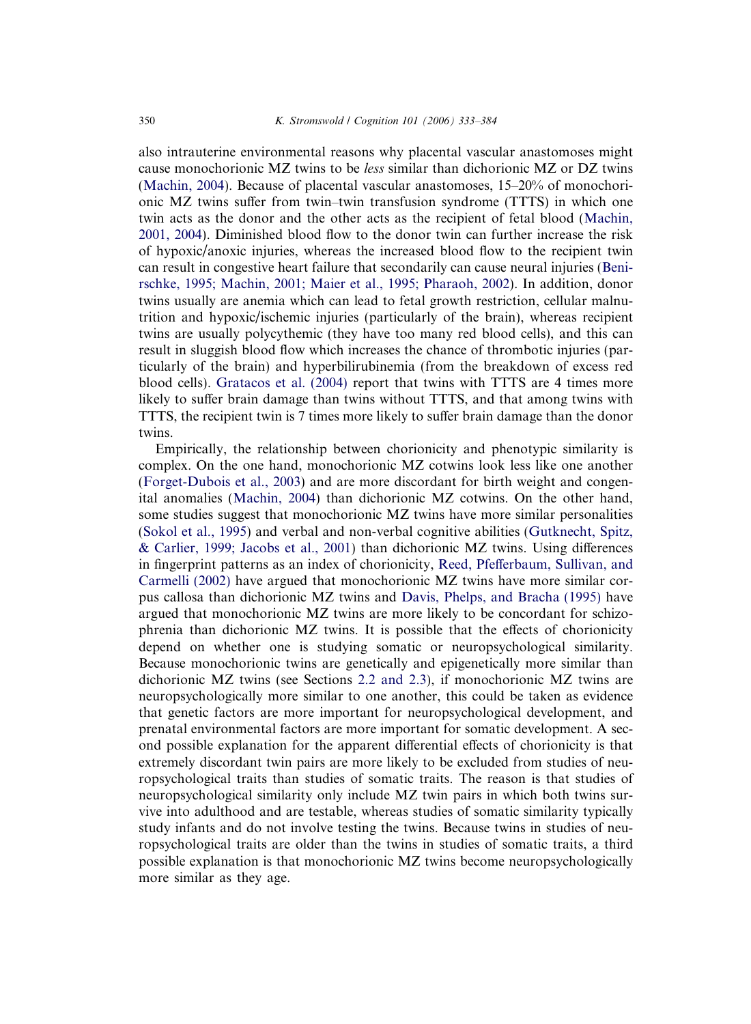also intrauterine environmental reasons why placental vascular anastomoses might cause monochorionic MZ twins to be less similar than dichorionic MZ or DZ twins ([Machin, 2004\)](#page-46-0). Because of placental vascular anastomoses, 15–20% of monochorionic MZ twins suffer from twin–twin transfusion syndrome (TTTS) in which one twin acts as the donor and the other acts as the recipient of fetal blood ([Machin,](#page-46-0) [2001, 2004\)](#page-46-0). Diminished blood flow to the donor twin can further increase the risk of hypoxic/anoxic injuries, whereas the increased blood flow to the recipient twin can result in congestive heart failure that secondarily can cause neural injuries ([Beni](#page-40-0)[rschke, 1995; Machin, 2001; Maier et al., 1995; Pharaoh, 2002\)](#page-40-0). In addition, donor twins usually are anemia which can lead to fetal growth restriction, cellular malnutrition and hypoxic/ischemic injuries (particularly of the brain), whereas recipient twins are usually polycythemic (they have too many red blood cells), and this can result in sluggish blood flow which increases the chance of thrombotic injuries (particularly of the brain) and hyperbilirubinemia (from the breakdown of excess red blood cells). [Gratacos et al. \(2004\)](#page-43-0) report that twins with TTTS are 4 times more likely to suffer brain damage than twins without TTTS, and that among twins with TTTS, the recipient twin is 7 times more likely to suffer brain damage than the donor twins.

Empirically, the relationship between chorionicity and phenotypic similarity is complex. On the one hand, monochorionic MZ cotwins look less like one another ([Forget-Dubois et al., 2003](#page-42-0)) and are more discordant for birth weight and congenital anomalies [\(Machin, 2004\)](#page-46-0) than dichorionic MZ cotwins. On the other hand, some studies suggest that monochorionic MZ twins have more similar personalities ([Sokol et al., 1995\)](#page-48-0) and verbal and non-verbal cognitive abilities ([Gutknecht, Spitz,](#page-43-0) [& Carlier, 1999; Jacobs et al., 2001\)](#page-43-0) than dichorionic MZ twins. Using differences in fingerprint patterns as an index of chorionicity, [Reed, Pfefferbaum, Sullivan, and](#page-47-0) [Carmelli \(2002\)](#page-47-0) have argued that monochorionic MZ twins have more similar corpus callosa than dichorionic MZ twins and [Davis, Phelps, and Bracha \(1995\)](#page-42-0) have argued that monochorionic MZ twins are more likely to be concordant for schizophrenia than dichorionic MZ twins. It is possible that the effects of chorionicity depend on whether one is studying somatic or neuropsychological similarity. Because monochorionic twins are genetically and epigenetically more similar than dichorionic MZ twins (see Sections [2.2 and 2.3](#page-4-0)), if monochorionic MZ twins are neuropsychologically more similar to one another, this could be taken as evidence that genetic factors are more important for neuropsychological development, and prenatal environmental factors are more important for somatic development. A second possible explanation for the apparent differential effects of chorionicity is that extremely discordant twin pairs are more likely to be excluded from studies of neuropsychological traits than studies of somatic traits. The reason is that studies of neuropsychological similarity only include MZ twin pairs in which both twins survive into adulthood and are testable, whereas studies of somatic similarity typically study infants and do not involve testing the twins. Because twins in studies of neuropsychological traits are older than the twins in studies of somatic traits, a third possible explanation is that monochorionic MZ twins become neuropsychologically more similar as they age.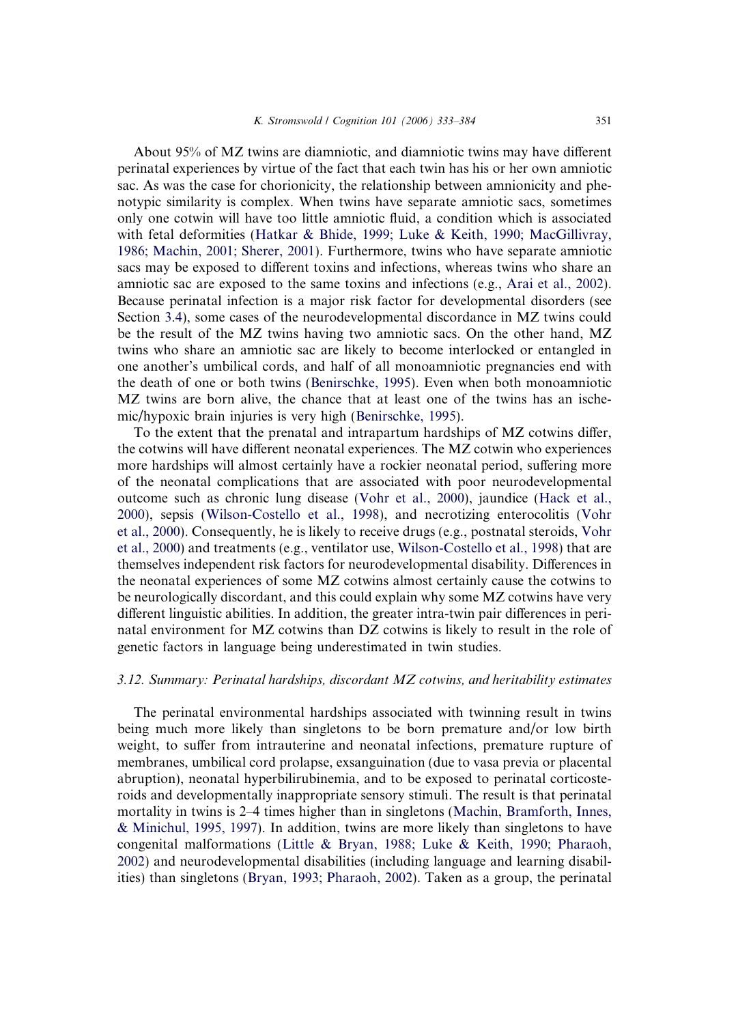About 95% of MZ twins are diamniotic, and diamniotic twins may have different perinatal experiences by virtue of the fact that each twin has his or her own amniotic sac. As was the case for chorionicity, the relationship between amnionicity and phenotypic similarity is complex. When twins have separate amniotic sacs, sometimes only one cotwin will have too little amniotic fluid, a condition which is associated with fetal deformities [\(Hatkar & Bhide, 1999; Luke & Keith, 1990; MacGillivray,](#page-43-0) [1986; Machin, 2001; Sherer, 2001](#page-43-0)). Furthermore, twins who have separate amniotic sacs may be exposed to different toxins and infections, whereas twins who share an amniotic sac are exposed to the same toxins and infections (e.g., [Arai et al., 2002\)](#page-40-0). Because perinatal infection is a major risk factor for developmental disorders (see Section [3.4](#page-10-0)), some cases of the neurodevelopmental discordance in MZ twins could be the result of the MZ twins having two amniotic sacs. On the other hand, MZ twins who share an amniotic sac are likely to become interlocked or entangled in one another's umbilical cords, and half of all monoamniotic pregnancies end with the death of one or both twins [\(Benirschke, 1995\)](#page-40-0). Even when both monoamniotic MZ twins are born alive, the chance that at least one of the twins has an ischemic/hypoxic brain injuries is very high ([Benirschke, 1995\)](#page-40-0).

To the extent that the prenatal and intrapartum hardships of MZ cotwins differ, the cotwins will have different neonatal experiences. The MZ cotwin who experiences more hardships will almost certainly have a rockier neonatal period, suffering more of the neonatal complications that are associated with poor neurodevelopmental outcome such as chronic lung disease [\(Vohr et al., 2000\)](#page-50-0), jaundice ([Hack et al.,](#page-43-0) [2000\)](#page-43-0), sepsis [\(Wilson-Costello et al., 1998](#page-50-0)), and necrotizing enterocolitis ([Vohr](#page-50-0) [et al., 2000\)](#page-50-0). Consequently, he is likely to receive drugs (e.g., postnatal steroids, [Vohr](#page-50-0) [et al., 2000\)](#page-50-0) and treatments (e.g., ventilator use, [Wilson-Costello et al., 1998](#page-50-0)) that are themselves independent risk factors for neurodevelopmental disability. Differences in the neonatal experiences of some MZ cotwins almost certainly cause the cotwins to be neurologically discordant, and this could explain why some MZ cotwins have very different linguistic abilities. In addition, the greater intra-twin pair differences in perinatal environment for MZ cotwins than DZ cotwins is likely to result in the role of genetic factors in language being underestimated in twin studies.

#### 3.12. Summary: Perinatal hardships, discordant MZ cotwins, and heritability estimates

The perinatal environmental hardships associated with twinning result in twins being much more likely than singletons to be born premature and/or low birth weight, to suffer from intrauterine and neonatal infections, premature rupture of membranes, umbilical cord prolapse, exsanguination (due to vasa previa or placental abruption), neonatal hyperbilirubinemia, and to be exposed to perinatal corticosteroids and developmentally inappropriate sensory stimuli. The result is that perinatal mortality in twins is 2–4 times higher than in singletons ([Machin, Bramforth, Innes,](#page-46-0) [& Minichul, 1995, 1997\)](#page-46-0). In addition, twins are more likely than singletons to have congenital malformations ([Little & Bryan, 1988; Luke & Keith, 1990; Pharaoh,](#page-45-0) [2002\)](#page-45-0) and neurodevelopmental disabilities (including language and learning disabilities) than singletons [\(Bryan, 1993; Pharaoh, 2002](#page-41-0)). Taken as a group, the perinatal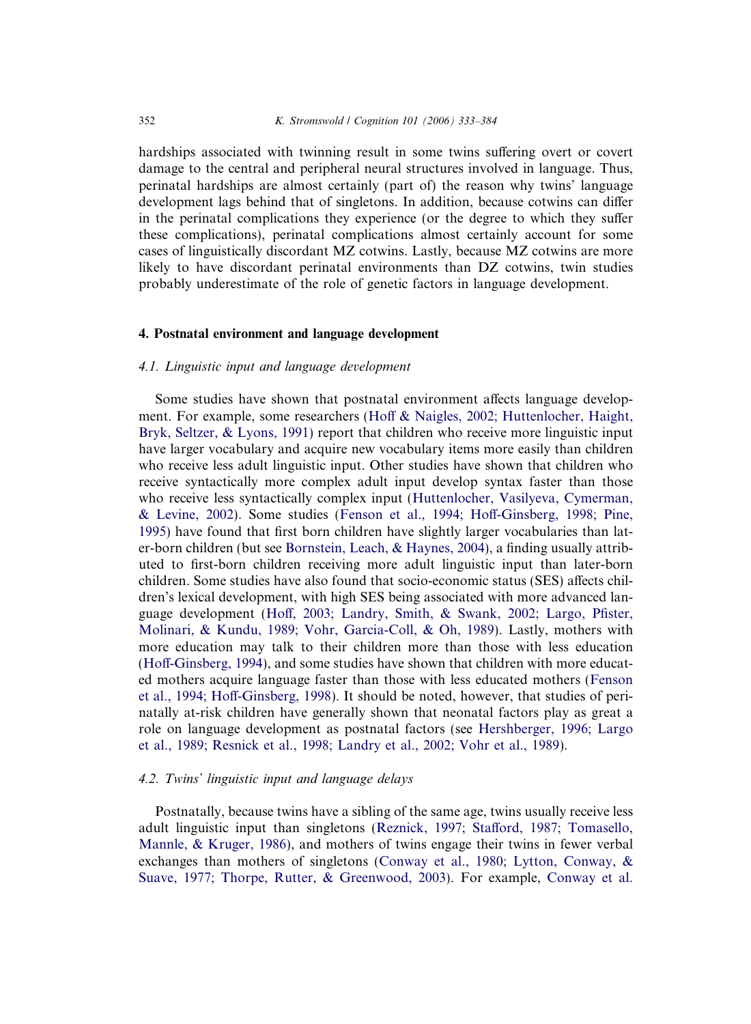<span id="page-19-0"></span>hardships associated with twinning result in some twins suffering overt or covert damage to the central and peripheral neural structures involved in language. Thus, perinatal hardships are almost certainly (part of) the reason why twins' language development lags behind that of singletons. In addition, because cotwins can differ in the perinatal complications they experience (or the degree to which they suffer these complications), perinatal complications almost certainly account for some cases of linguistically discordant MZ cotwins. Lastly, because MZ cotwins are more likely to have discordant perinatal environments than DZ cotwins, twin studies probably underestimate of the role of genetic factors in language development.

#### 4. Postnatal environment and language development

#### 4.1. Linguistic input and language development

Some studies have shown that postnatal environment affects language development. For example, some researchers [\(Hoff & Naigles, 2002; Huttenlocher, Haight,](#page-43-0) [Bryk, Seltzer, & Lyons, 1991](#page-43-0)) report that children who receive more linguistic input have larger vocabulary and acquire new vocabulary items more easily than children who receive less adult linguistic input. Other studies have shown that children who receive syntactically more complex adult input develop syntax faster than those who receive less syntactically complex input [\(Huttenlocher, Vasilyeva, Cymerman,](#page-44-0) [& Levine, 2002](#page-44-0)). Some studies [\(Fenson et al., 1994; Hoff-Ginsberg, 1998; Pine,](#page-42-0) [1995\)](#page-42-0) have found that first born children have slightly larger vocabularies than later-born children (but see [Bornstein, Leach, & Haynes, 2004](#page-41-0)), a finding usually attributed to first-born children receiving more adult linguistic input than later-born children. Some studies have also found that socio-economic status (SES) affects children's lexical development, with high SES being associated with more advanced language development ([Hoff, 2003; Landry, Smith, & Swank, 2002; Largo, Pfister,](#page-43-0) [Molinari, & Kundu, 1989; Vohr, Garcia-Coll, & Oh, 1989](#page-43-0)). Lastly, mothers with more education may talk to their children more than those with less education ([Hoff-Ginsberg, 1994\)](#page-43-0), and some studies have shown that children with more educated mothers acquire language faster than those with less educated mothers ([Fenson](#page-42-0) [et al., 1994; Hoff-Ginsberg, 1998](#page-42-0)). It should be noted, however, that studies of perinatally at-risk children have generally shown that neonatal factors play as great a role on language development as postnatal factors (see [Hershberger, 1996; Largo](#page-43-0) [et al., 1989; Resnick et al., 1998; Landry et al., 2002; Vohr et al., 1989\)](#page-43-0).

#### 4.2. Twins' linguistic input and language delays

Postnatally, because twins have a sibling of the same age, twins usually receive less adult linguistic input than singletons ([Reznick, 1997; Stafford, 1987; Tomasello,](#page-47-0) [Mannle, & Kruger, 1986\)](#page-47-0), and mothers of twins engage their twins in fewer verbal exchanges than mothers of singletons ([Conway et al., 1980; Lytton, Conway, &](#page-42-0) [Suave, 1977; Thorpe, Rutter, & Greenwood, 2003](#page-42-0)). For example, [Conway et al.](#page-42-0)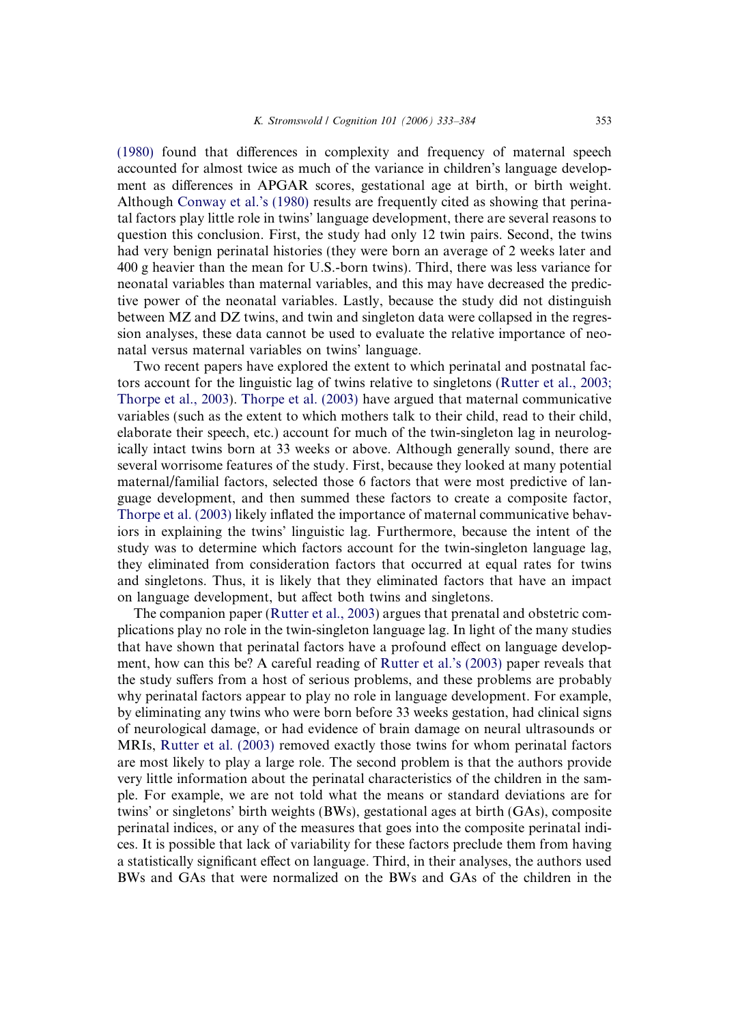[\(1980\)](#page-42-0) found that differences in complexity and frequency of maternal speech accounted for almost twice as much of the variance in children's language development as differences in APGAR scores, gestational age at birth, or birth weight. Although [Conway et al.'s \(1980\)](#page-42-0) results are frequently cited as showing that perinatal factors play little role in twins' language development, there are several reasons to question this conclusion. First, the study had only 12 twin pairs. Second, the twins had very benign perinatal histories (they were born an average of 2 weeks later and 400 g heavier than the mean for U.S.-born twins). Third, there was less variance for neonatal variables than maternal variables, and this may have decreased the predictive power of the neonatal variables. Lastly, because the study did not distinguish between MZ and DZ twins, and twin and singleton data were collapsed in the regression analyses, these data cannot be used to evaluate the relative importance of neonatal versus maternal variables on twins' language.

Two recent papers have explored the extent to which perinatal and postnatal factors account for the linguistic lag of twins relative to singletons ([Rutter et al., 2003;](#page-48-0) [Thorpe et al., 2003](#page-48-0)). [Thorpe et al. \(2003\)](#page-49-0) have argued that maternal communicative variables (such as the extent to which mothers talk to their child, read to their child, elaborate their speech, etc.) account for much of the twin-singleton lag in neurologically intact twins born at 33 weeks or above. Although generally sound, there are several worrisome features of the study. First, because they looked at many potential maternal/familial factors, selected those 6 factors that were most predictive of language development, and then summed these factors to create a composite factor, [Thorpe et al. \(2003\)](#page-49-0) likely inflated the importance of maternal communicative behaviors in explaining the twins' linguistic lag. Furthermore, because the intent of the study was to determine which factors account for the twin-singleton language lag, they eliminated from consideration factors that occurred at equal rates for twins and singletons. Thus, it is likely that they eliminated factors that have an impact on language development, but affect both twins and singletons.

The companion paper [\(Rutter et al., 2003\)](#page-48-0) argues that prenatal and obstetric complications play no role in the twin-singleton language lag. In light of the many studies that have shown that perinatal factors have a profound effect on language development, how can this be? A careful reading of [Rutter et al.'s \(2003\)](#page-48-0) paper reveals that the study suffers from a host of serious problems, and these problems are probably why perinatal factors appear to play no role in language development. For example, by eliminating any twins who were born before 33 weeks gestation, had clinical signs of neurological damage, or had evidence of brain damage on neural ultrasounds or MRIs, [Rutter et al. \(2003\)](#page-48-0) removed exactly those twins for whom perinatal factors are most likely to play a large role. The second problem is that the authors provide very little information about the perinatal characteristics of the children in the sample. For example, we are not told what the means or standard deviations are for twins' or singletons' birth weights (BWs), gestational ages at birth (GAs), composite perinatal indices, or any of the measures that goes into the composite perinatal indices. It is possible that lack of variability for these factors preclude them from having a statistically significant effect on language. Third, in their analyses, the authors used BWs and GAs that were normalized on the BWs and GAs of the children in the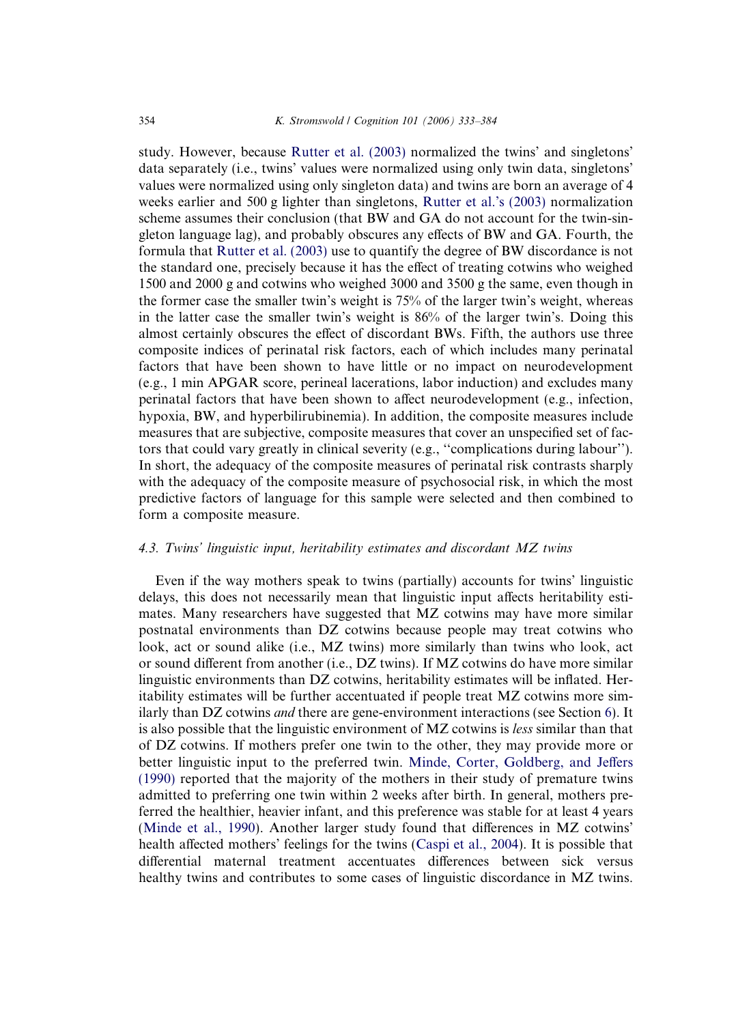study. However, because [Rutter et al. \(2003\)](#page-48-0) normalized the twins' and singletons' data separately (i.e., twins' values were normalized using only twin data, singletons' values were normalized using only singleton data) and twins are born an average of 4 weeks earlier and 500 g lighter than singletons, [Rutter et al.'s \(2003\)](#page-48-0) normalization scheme assumes their conclusion (that BW and GA do not account for the twin-singleton language lag), and probably obscures any effects of BW and GA. Fourth, the formula that [Rutter et al. \(2003\)](#page-48-0) use to quantify the degree of BW discordance is not the standard one, precisely because it has the effect of treating cotwins who weighed 1500 and 2000 g and cotwins who weighed 3000 and 3500 g the same, even though in the former case the smaller twin's weight is 75% of the larger twin's weight, whereas in the latter case the smaller twin's weight is 86% of the larger twin's. Doing this almost certainly obscures the effect of discordant BWs. Fifth, the authors use three composite indices of perinatal risk factors, each of which includes many perinatal factors that have been shown to have little or no impact on neurodevelopment (e.g., 1 min APGAR score, perineal lacerations, labor induction) and excludes many perinatal factors that have been shown to affect neurodevelopment (e.g., infection, hypoxia, BW, and hyperbilirubinemia). In addition, the composite measures include measures that are subjective, composite measures that cover an unspecified set of factors that could vary greatly in clinical severity (e.g., ''complications during labour''). In short, the adequacy of the composite measures of perinatal risk contrasts sharply with the adequacy of the composite measure of psychosocial risk, in which the most predictive factors of language for this sample were selected and then combined to form a composite measure.

#### 4.3. Twins' linguistic input, heritability estimates and discordant MZ twins

Even if the way mothers speak to twins (partially) accounts for twins' linguistic delays, this does not necessarily mean that linguistic input affects heritability estimates. Many researchers have suggested that MZ cotwins may have more similar postnatal environments than DZ cotwins because people may treat cotwins who look, act or sound alike (i.e., MZ twins) more similarly than twins who look, act or sound different from another (i.e., DZ twins). If MZ cotwins do have more similar linguistic environments than DZ cotwins, heritability estimates will be inflated. Heritability estimates will be further accentuated if people treat MZ cotwins more similarly than DZ cotwins *and* there are gene-environment interactions (see Section [6\)](#page-28-0). It is also possible that the linguistic environment of MZ cotwins is less similar than that of DZ cotwins. If mothers prefer one twin to the other, they may provide more or better linguistic input to the preferred twin. [Minde, Corter, Goldberg, and Jeffers](#page-46-0) [\(1990\)](#page-46-0) reported that the majority of the mothers in their study of premature twins admitted to preferring one twin within 2 weeks after birth. In general, mothers preferred the healthier, heavier infant, and this preference was stable for at least 4 years ([Minde et al., 1990](#page-46-0)). Another larger study found that differences in MZ cotwins' health affected mothers' feelings for the twins ([Caspi et al., 2004](#page-41-0)). It is possible that differential maternal treatment accentuates differences between sick versus healthy twins and contributes to some cases of linguistic discordance in MZ twins.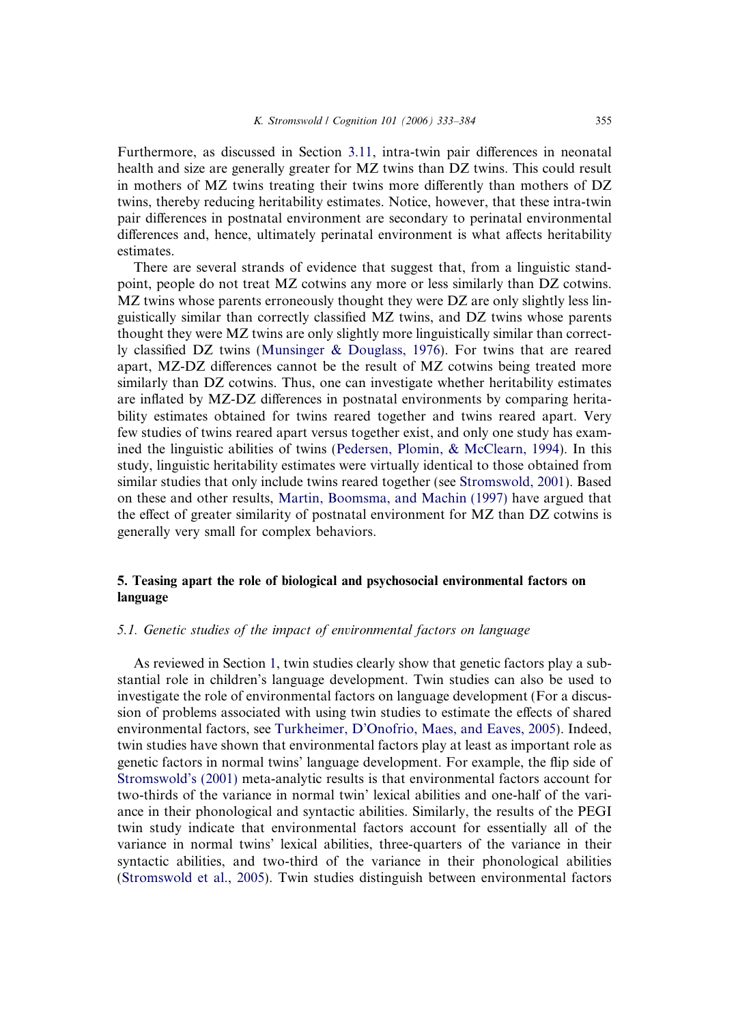<span id="page-22-0"></span>Furthermore, as discussed in Section [3.11](#page-16-0), intra-twin pair differences in neonatal health and size are generally greater for MZ twins than DZ twins. This could result in mothers of MZ twins treating their twins more differently than mothers of DZ twins, thereby reducing heritability estimates. Notice, however, that these intra-twin pair differences in postnatal environment are secondary to perinatal environmental differences and, hence, ultimately perinatal environment is what affects heritability estimates.

There are several strands of evidence that suggest that, from a linguistic standpoint, people do not treat MZ cotwins any more or less similarly than DZ cotwins. MZ twins whose parents erroneously thought they were DZ are only slightly less linguistically similar than correctly classified MZ twins, and DZ twins whose parents thought they were MZ twins are only slightly more linguistically similar than correctly classified DZ twins [\(Munsinger & Douglass, 1976](#page-46-0)). For twins that are reared apart, MZ-DZ differences cannot be the result of MZ cotwins being treated more similarly than DZ cotwins. Thus, one can investigate whether heritability estimates are inflated by MZ-DZ differences in postnatal environments by comparing heritability estimates obtained for twins reared together and twins reared apart. Very few studies of twins reared apart versus together exist, and only one study has examined the linguistic abilities of twins [\(Pedersen, Plomin, & McClearn, 1994\)](#page-47-0). In this study, linguistic heritability estimates were virtually identical to those obtained from similar studies that only include twins reared together (see [Stromswold, 2001\)](#page-49-0). Based on these and other results, [Martin, Boomsma, and Machin \(1997\)](#page-46-0) have argued that the effect of greater similarity of postnatal environment for MZ than DZ cotwins is generally very small for complex behaviors.

## 5. Teasing apart the role of biological and psychosocial environmental factors on language

## 5.1. Genetic studies of the impact of environmental factors on language

As reviewed in Section [1](#page-1-0), twin studies clearly show that genetic factors play a substantial role in children's language development. Twin studies can also be used to investigate the role of environmental factors on language development (For a discussion of problems associated with using twin studies to estimate the effects of shared environmental factors, see [Turkheimer, D'Onofrio, Maes, and Eaves, 2005](#page-49-0)). Indeed, twin studies have shown that environmental factors play at least as important role as genetic factors in normal twins' language development. For example, the flip side of [Stromswold's \(2001\)](#page-49-0) meta-analytic results is that environmental factors account for two-thirds of the variance in normal twin' lexical abilities and one-half of the variance in their phonological and syntactic abilities. Similarly, the results of the PEGI twin study indicate that environmental factors account for essentially all of the variance in normal twins' lexical abilities, three-quarters of the variance in their syntactic abilities, and two-third of the variance in their phonological abilities [\(Stromswold et al., 2005\)](#page-49-0). Twin studies distinguish between environmental factors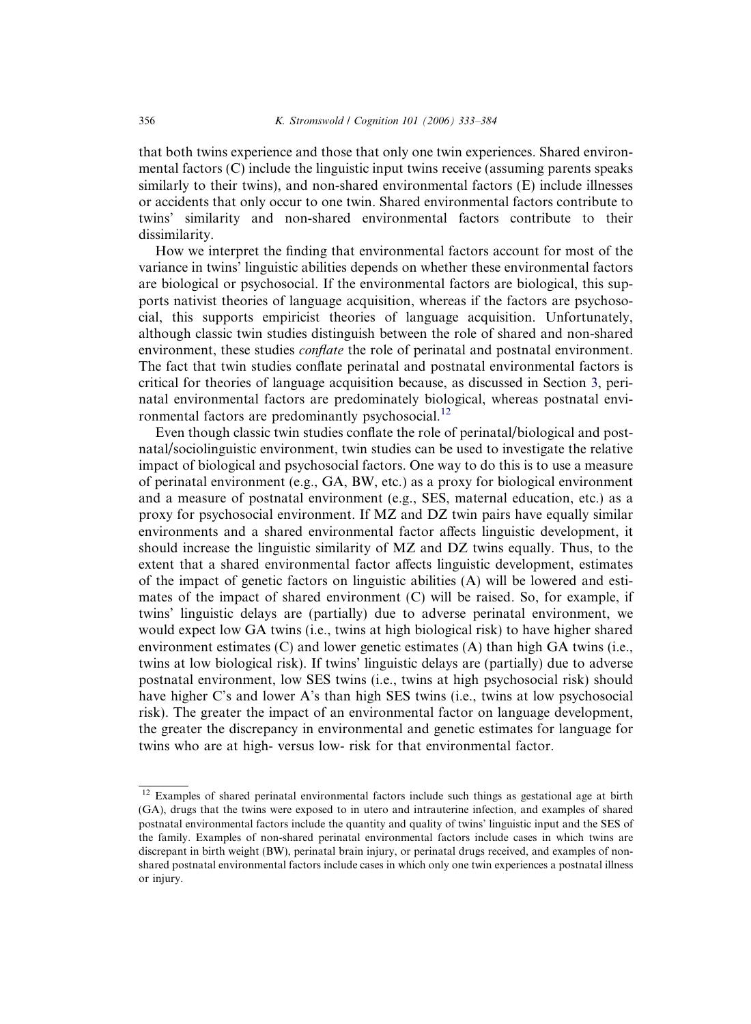that both twins experience and those that only one twin experiences. Shared environmental factors (C) include the linguistic input twins receive (assuming parents speaks similarly to their twins), and non-shared environmental factors (E) include illnesses or accidents that only occur to one twin. Shared environmental factors contribute to twins' similarity and non-shared environmental factors contribute to their dissimilarity.

How we interpret the finding that environmental factors account for most of the variance in twins' linguistic abilities depends on whether these environmental factors are biological or psychosocial. If the environmental factors are biological, this supports nativist theories of language acquisition, whereas if the factors are psychosocial, this supports empiricist theories of language acquisition. Unfortunately, although classic twin studies distinguish between the role of shared and non-shared environment, these studies conflate the role of perinatal and postnatal environment. The fact that twin studies conflate perinatal and postnatal environmental factors is critical for theories of language acquisition because, as discussed in Section [3,](#page-8-0) perinatal environmental factors are predominately biological, whereas postnatal environmental factors are predominantly psychosocial. $^{12}$ 

Even though classic twin studies conflate the role of perinatal/biological and postnatal/sociolinguistic environment, twin studies can be used to investigate the relative impact of biological and psychosocial factors. One way to do this is to use a measure of perinatal environment (e.g., GA, BW, etc.) as a proxy for biological environment and a measure of postnatal environment (e.g., SES, maternal education, etc.) as a proxy for psychosocial environment. If MZ and DZ twin pairs have equally similar environments and a shared environmental factor affects linguistic development, it should increase the linguistic similarity of MZ and DZ twins equally. Thus, to the extent that a shared environmental factor affects linguistic development, estimates of the impact of genetic factors on linguistic abilities (A) will be lowered and estimates of the impact of shared environment (C) will be raised. So, for example, if twins' linguistic delays are (partially) due to adverse perinatal environment, we would expect low GA twins (i.e., twins at high biological risk) to have higher shared environment estimates (C) and lower genetic estimates (A) than high GA twins (i.e., twins at low biological risk). If twins' linguistic delays are (partially) due to adverse postnatal environment, low SES twins (i.e., twins at high psychosocial risk) should have higher C's and lower A's than high SES twins (i.e., twins at low psychosocial risk). The greater the impact of an environmental factor on language development, the greater the discrepancy in environmental and genetic estimates for language for twins who are at high- versus low- risk for that environmental factor.

<sup>&</sup>lt;sup>12</sup> Examples of shared perinatal environmental factors include such things as gestational age at birth (GA), drugs that the twins were exposed to in utero and intrauterine infection, and examples of shared postnatal environmental factors include the quantity and quality of twins' linguistic input and the SES of the family. Examples of non-shared perinatal environmental factors include cases in which twins are discrepant in birth weight (BW), perinatal brain injury, or perinatal drugs received, and examples of nonshared postnatal environmental factors include cases in which only one twin experiences a postnatal illness or injury.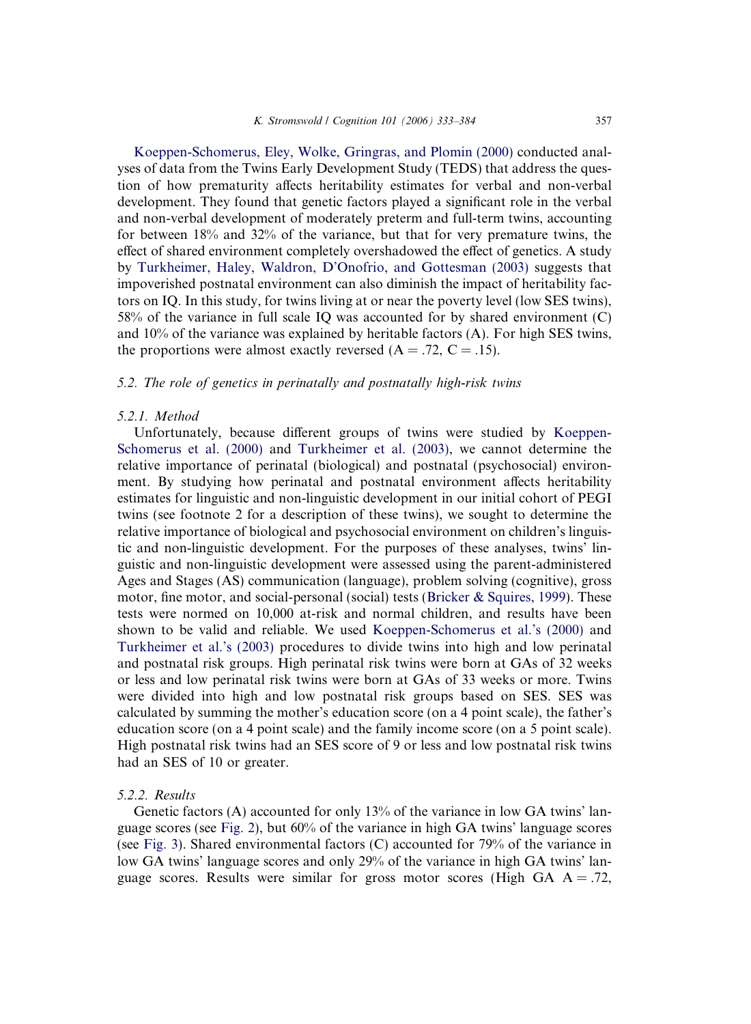[Koeppen-Schomerus, Eley, Wolke, Gringras, and Plomin \(2000\)](#page-45-0) conducted analyses of data from the Twins Early Development Study (TEDS) that address the question of how prematurity affects heritability estimates for verbal and non-verbal development. They found that genetic factors played a significant role in the verbal and non-verbal development of moderately preterm and full-term twins, accounting for between 18% and 32% of the variance, but that for very premature twins, the effect of shared environment completely overshadowed the effect of genetics. A study by [Turkheimer, Haley, Waldron, D'Onofrio, and Gottesman \(2003\)](#page-50-0) suggests that impoverished postnatal environment can also diminish the impact of heritability factors on IQ. In this study, for twins living at or near the poverty level (low SES twins), 58% of the variance in full scale IQ was accounted for by shared environment (C) and 10% of the variance was explained by heritable factors (A). For high SES twins, the proportions were almost exactly reversed  $(A = .72, C = .15)$ .

#### 5.2. The role of genetics in perinatally and postnatally high-risk twins

#### 5.2.1. Method

Unfortunately, because different groups of twins were studied by [Koeppen-](#page-45-0)[Schomerus et al. \(2000\)](#page-45-0) and [Turkheimer et al. \(2003\),](#page-50-0) we cannot determine the relative importance of perinatal (biological) and postnatal (psychosocial) environment. By studying how perinatal and postnatal environment affects heritability estimates for linguistic and non-linguistic development in our initial cohort of PEGI twins (see footnote 2 for a description of these twins), we sought to determine the relative importance of biological and psychosocial environment on children's linguistic and non-linguistic development. For the purposes of these analyses, twins' linguistic and non-linguistic development were assessed using the parent-administered Ages and Stages (AS) communication (language), problem solving (cognitive), gross motor, fine motor, and social-personal (social) tests [\(Bricker & Squires, 1999](#page-41-0)). These tests were normed on 10,000 at-risk and normal children, and results have been shown to be valid and reliable. We used [Koeppen-Schomerus et al.'s \(2000\)](#page-45-0) and [Turkheimer et al.'s \(2003\)](#page-50-0) procedures to divide twins into high and low perinatal and postnatal risk groups. High perinatal risk twins were born at GAs of 32 weeks or less and low perinatal risk twins were born at GAs of 33 weeks or more. Twins were divided into high and low postnatal risk groups based on SES. SES was calculated by summing the mother's education score (on a 4 point scale), the father's education score (on a 4 point scale) and the family income score (on a 5 point scale). High postnatal risk twins had an SES score of 9 or less and low postnatal risk twins had an SES of 10 or greater.

## 5.2.2. Results

Genetic factors (A) accounted for only 13% of the variance in low GA twins' language scores (see [Fig. 2\)](#page-25-0), but 60% of the variance in high GA twins' language scores (see [Fig. 3](#page-25-0)). Shared environmental factors (C) accounted for 79% of the variance in low GA twins' language scores and only 29% of the variance in high GA twins' language scores. Results were similar for gross motor scores (High GA  $A = .72$ ,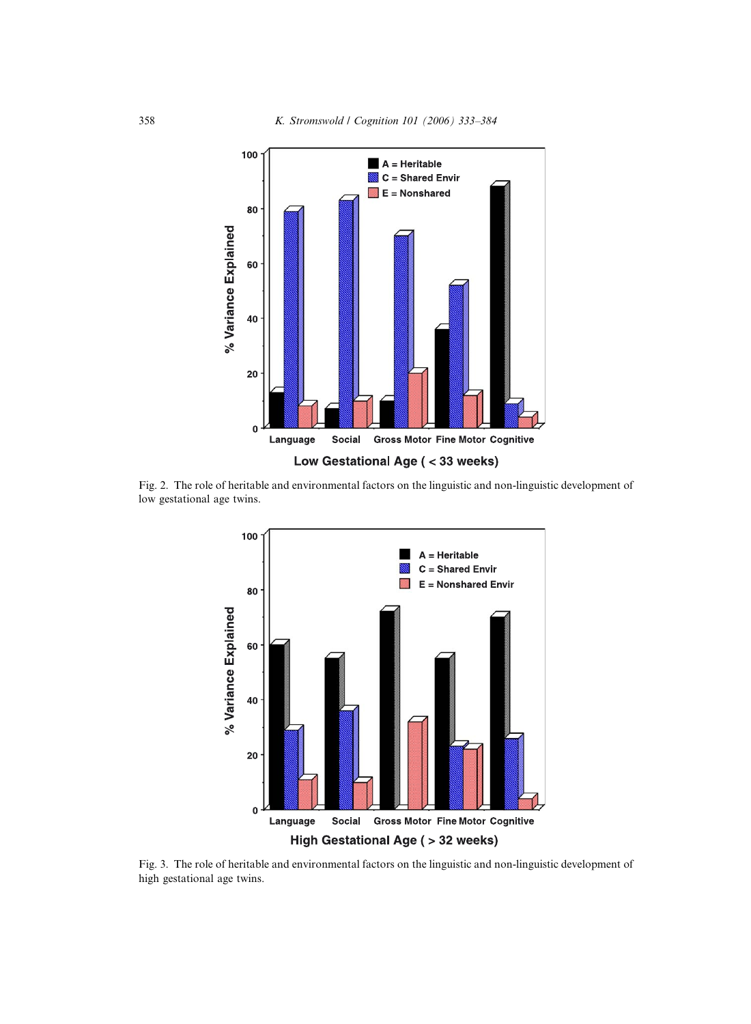<span id="page-25-0"></span>

Fig. 2. The role of heritable and environmental factors on the linguistic and non-linguistic development of low gestational age twins.



Fig. 3. The role of heritable and environmental factors on the linguistic and non-linguistic development of high gestational age twins.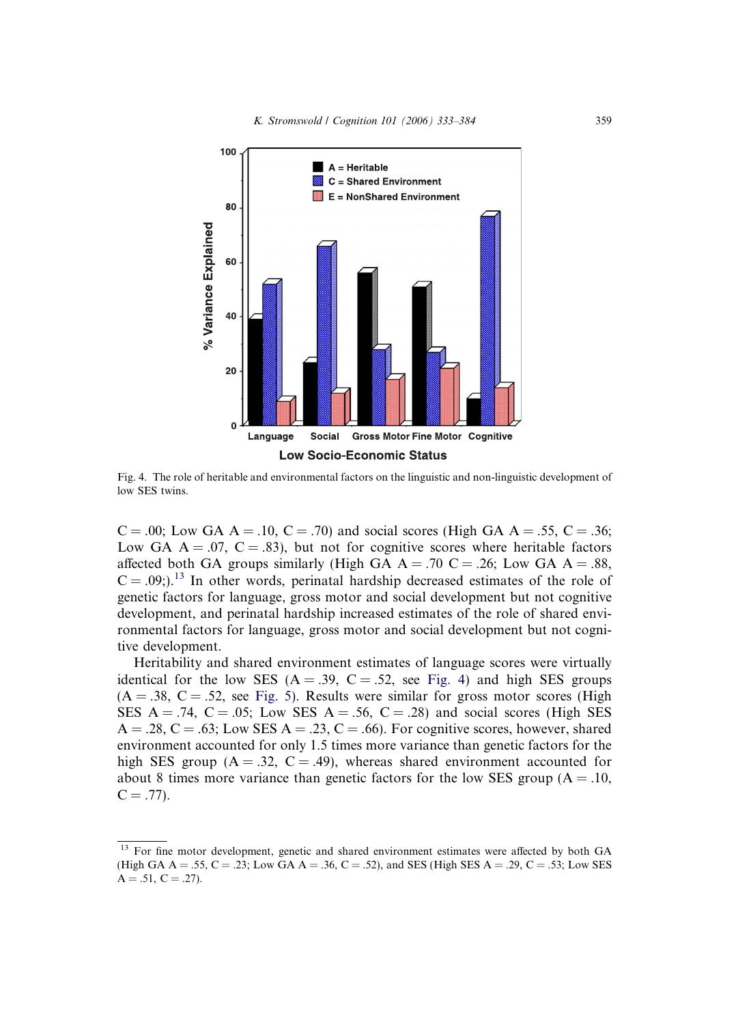

Fig. 4. The role of heritable and environmental factors on the linguistic and non-linguistic development of low SES twins.

 $C = .00$ ; Low GA A = .10,  $C = .70$ ) and social scores (High GA A = .55, C = .36; Low GA  $A = 0.07$ ,  $C = 0.83$ , but not for cognitive scores where heritable factors affected both GA groups similarly (High GA  $A = .70$  C = .26; Low GA  $A = .88$ ,  $C = .09$ ;).<sup>13</sup> In other words, perinatal hardship decreased estimates of the role of genetic factors for language, gross motor and social development but not cognitive development, and perinatal hardship increased estimates of the role of shared environmental factors for language, gross motor and social development but not cognitive development.

Heritability and shared environment estimates of language scores were virtually identical for the low SES ( $A = .39$ ,  $C = .52$ , see Fig. 4) and high SES groups  $(A = .38, C = .52,$  see [Fig. 5](#page-27-0)). Results were similar for gross motor scores (High SES  $A = .74$ ,  $C = .05$ ; Low SES  $A = .56$ ,  $C = .28$ ) and social scores (High SES  $A = .28$ ,  $C = .63$ ; Low SES  $A = .23$ ,  $C = .66$ ). For cognitive scores, however, shared environment accounted for only 1.5 times more variance than genetic factors for the high SES group  $(A = .32, C = .49)$ , whereas shared environment accounted for about 8 times more variance than genetic factors for the low SES group  $(A = .10, )$  $C = .77$ ).

<sup>&</sup>lt;sup>13</sup> For fine motor development, genetic and shared environment estimates were affected by both GA (High GA  $A = .55$ ,  $C = .23$ ; Low GA  $A = .36$ ,  $C = .52$ ), and SES (High SES  $A = .29$ ,  $C = .53$ ; Low SES  $A = .51, C = .27$ .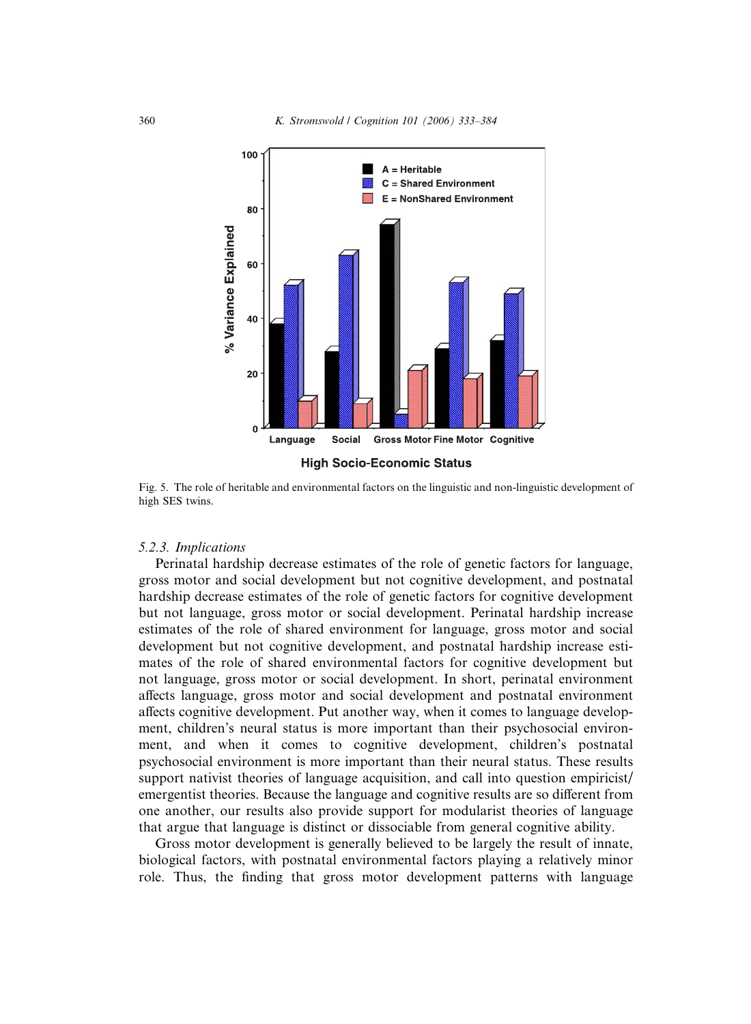<span id="page-27-0"></span>

Fig. 5. The role of heritable and environmental factors on the linguistic and non-linguistic development of high SES twins.

#### 5.2.3. Implications

Perinatal hardship decrease estimates of the role of genetic factors for language, gross motor and social development but not cognitive development, and postnatal hardship decrease estimates of the role of genetic factors for cognitive development but not language, gross motor or social development. Perinatal hardship increase estimates of the role of shared environment for language, gross motor and social development but not cognitive development, and postnatal hardship increase estimates of the role of shared environmental factors for cognitive development but not language, gross motor or social development. In short, perinatal environment affects language, gross motor and social development and postnatal environment affects cognitive development. Put another way, when it comes to language development, children's neural status is more important than their psychosocial environment, and when it comes to cognitive development, children's postnatal psychosocial environment is more important than their neural status. These results support nativist theories of language acquisition, and call into question empiricist/ emergentist theories. Because the language and cognitive results are so different from one another, our results also provide support for modularist theories of language that argue that language is distinct or dissociable from general cognitive ability.

Gross motor development is generally believed to be largely the result of innate, biological factors, with postnatal environmental factors playing a relatively minor role. Thus, the finding that gross motor development patterns with language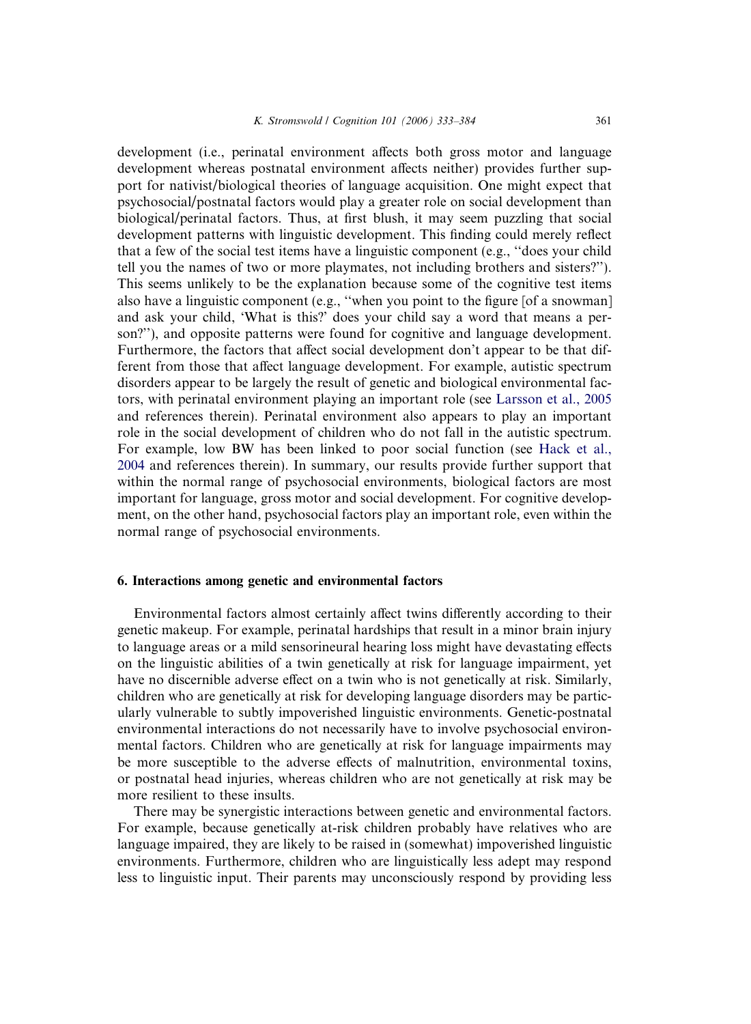<span id="page-28-0"></span>development (i.e., perinatal environment affects both gross motor and language development whereas postnatal environment affects neither) provides further support for nativist/biological theories of language acquisition. One might expect that psychosocial/postnatal factors would play a greater role on social development than biological/perinatal factors. Thus, at first blush, it may seem puzzling that social development patterns with linguistic development. This finding could merely reflect that a few of the social test items have a linguistic component (e.g., ''does your child tell you the names of two or more playmates, not including brothers and sisters?''). This seems unlikely to be the explanation because some of the cognitive test items also have a linguistic component (e.g., ''when you point to the figure [of a snowman] and ask your child, 'What is this?' does your child say a word that means a person?''), and opposite patterns were found for cognitive and language development. Furthermore, the factors that affect social development don't appear to be that different from those that affect language development. For example, autistic spectrum disorders appear to be largely the result of genetic and biological environmental factors, with perinatal environment playing an important role (see [Larsson et al., 2005](#page-45-0) and references therein). Perinatal environment also appears to play an important role in the social development of children who do not fall in the autistic spectrum. For example, low BW has been linked to poor social function (see [Hack et al.,](#page-43-0) [2004](#page-43-0) and references therein). In summary, our results provide further support that within the normal range of psychosocial environments, biological factors are most important for language, gross motor and social development. For cognitive development, on the other hand, psychosocial factors play an important role, even within the normal range of psychosocial environments.

#### 6. Interactions among genetic and environmental factors

Environmental factors almost certainly affect twins differently according to their genetic makeup. For example, perinatal hardships that result in a minor brain injury to language areas or a mild sensorineural hearing loss might have devastating effects on the linguistic abilities of a twin genetically at risk for language impairment, yet have no discernible adverse effect on a twin who is not genetically at risk. Similarly, children who are genetically at risk for developing language disorders may be particularly vulnerable to subtly impoverished linguistic environments. Genetic-postnatal environmental interactions do not necessarily have to involve psychosocial environmental factors. Children who are genetically at risk for language impairments may be more susceptible to the adverse effects of malnutrition, environmental toxins, or postnatal head injuries, whereas children who are not genetically at risk may be more resilient to these insults.

There may be synergistic interactions between genetic and environmental factors. For example, because genetically at-risk children probably have relatives who are language impaired, they are likely to be raised in (somewhat) impoverished linguistic environments. Furthermore, children who are linguistically less adept may respond less to linguistic input. Their parents may unconsciously respond by providing less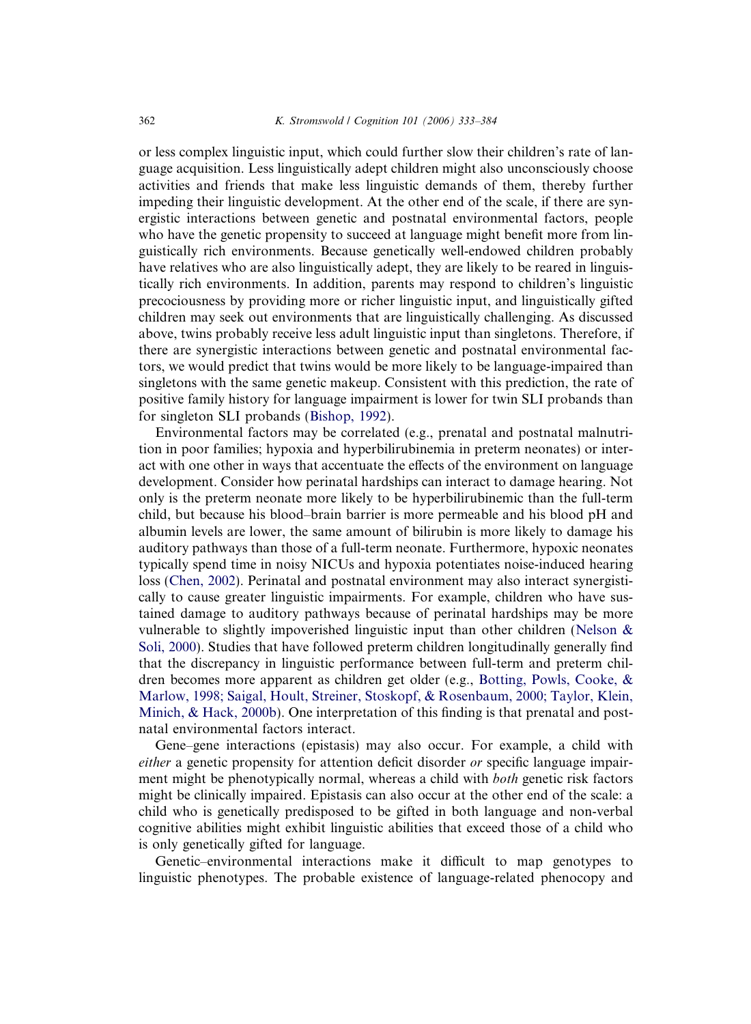or less complex linguistic input, which could further slow their children's rate of language acquisition. Less linguistically adept children might also unconsciously choose activities and friends that make less linguistic demands of them, thereby further impeding their linguistic development. At the other end of the scale, if there are synergistic interactions between genetic and postnatal environmental factors, people who have the genetic propensity to succeed at language might benefit more from linguistically rich environments. Because genetically well-endowed children probably have relatives who are also linguistically adept, they are likely to be reared in linguistically rich environments. In addition, parents may respond to children's linguistic precociousness by providing more or richer linguistic input, and linguistically gifted children may seek out environments that are linguistically challenging. As discussed above, twins probably receive less adult linguistic input than singletons. Therefore, if there are synergistic interactions between genetic and postnatal environmental factors, we would predict that twins would be more likely to be language-impaired than singletons with the same genetic makeup. Consistent with this prediction, the rate of positive family history for language impairment is lower for twin SLI probands than for singleton SLI probands ([Bishop, 1992](#page-41-0)).

Environmental factors may be correlated (e.g., prenatal and postnatal malnutrition in poor families; hypoxia and hyperbilirubinemia in preterm neonates) or interact with one other in ways that accentuate the effects of the environment on language development. Consider how perinatal hardships can interact to damage hearing. Not only is the preterm neonate more likely to be hyperbilirubinemic than the full-term child, but because his blood–brain barrier is more permeable and his blood pH and albumin levels are lower, the same amount of bilirubin is more likely to damage his auditory pathways than those of a full-term neonate. Furthermore, hypoxic neonates typically spend time in noisy NICUs and hypoxia potentiates noise-induced hearing loss ([Chen, 2002\)](#page-41-0). Perinatal and postnatal environment may also interact synergistically to cause greater linguistic impairments. For example, children who have sustained damage to auditory pathways because of perinatal hardships may be more vulnerable to slightly impoverished linguistic input than other children (Nelson  $\&$ [Soli, 2000](#page-46-0)). Studies that have followed preterm children longitudinally generally find that the discrepancy in linguistic performance between full-term and preterm children becomes more apparent as children get older (e.g., [Botting, Powls, Cooke, &](#page-41-0) [Marlow, 1998; Saigal, Hoult, Streiner, Stoskopf, & Rosenbaum, 2000; Taylor, Klein,](#page-41-0) Minich,  $\&$  Hack, 2000b). One interpretation of this finding is that prenatal and postnatal environmental factors interact.

Gene–gene interactions (epistasis) may also occur. For example, a child with either a genetic propensity for attention deficit disorder or specific language impairment might be phenotypically normal, whereas a child with both genetic risk factors might be clinically impaired. Epistasis can also occur at the other end of the scale: a child who is genetically predisposed to be gifted in both language and non-verbal cognitive abilities might exhibit linguistic abilities that exceed those of a child who is only genetically gifted for language.

Genetic–environmental interactions make it difficult to map genotypes to linguistic phenotypes. The probable existence of language-related phenocopy and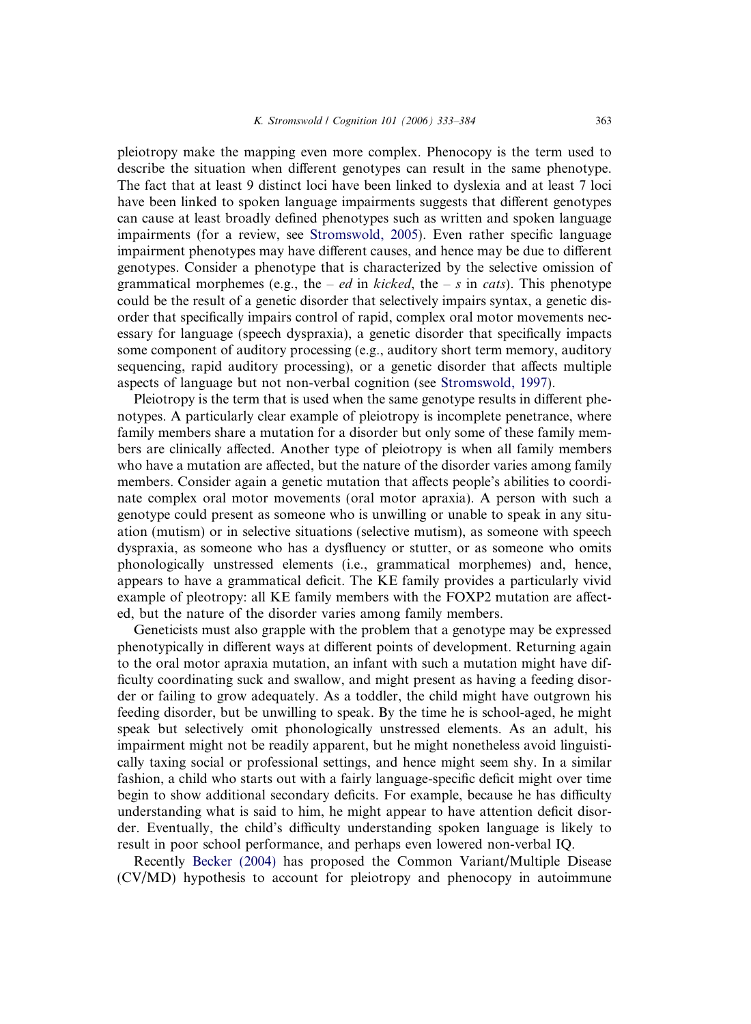pleiotropy make the mapping even more complex. Phenocopy is the term used to describe the situation when different genotypes can result in the same phenotype. The fact that at least 9 distinct loci have been linked to dyslexia and at least 7 loci have been linked to spoken language impairments suggests that different genotypes can cause at least broadly defined phenotypes such as written and spoken language impairments (for a review, see [Stromswold, 2005](#page-49-0)). Even rather specific language impairment phenotypes may have different causes, and hence may be due to different genotypes. Consider a phenotype that is characterized by the selective omission of grammatical morphemes (e.g., the – *ed* in kicked, the – s in cats). This phenotype could be the result of a genetic disorder that selectively impairs syntax, a genetic disorder that specifically impairs control of rapid, complex oral motor movements necessary for language (speech dyspraxia), a genetic disorder that specifically impacts some component of auditory processing (e.g., auditory short term memory, auditory sequencing, rapid auditory processing), or a genetic disorder that affects multiple aspects of language but not non-verbal cognition (see [Stromswold, 1997\)](#page-49-0).

Pleiotropy is the term that is used when the same genotype results in different phenotypes. A particularly clear example of pleiotropy is incomplete penetrance, where family members share a mutation for a disorder but only some of these family members are clinically affected. Another type of pleiotropy is when all family members who have a mutation are affected, but the nature of the disorder varies among family members. Consider again a genetic mutation that affects people's abilities to coordinate complex oral motor movements (oral motor apraxia). A person with such a genotype could present as someone who is unwilling or unable to speak in any situation (mutism) or in selective situations (selective mutism), as someone with speech dyspraxia, as someone who has a dysfluency or stutter, or as someone who omits phonologically unstressed elements (i.e., grammatical morphemes) and, hence, appears to have a grammatical deficit. The KE family provides a particularly vivid example of pleotropy: all KE family members with the FOXP2 mutation are affected, but the nature of the disorder varies among family members.

Geneticists must also grapple with the problem that a genotype may be expressed phenotypically in different ways at different points of development. Returning again to the oral motor apraxia mutation, an infant with such a mutation might have difficulty coordinating suck and swallow, and might present as having a feeding disorder or failing to grow adequately. As a toddler, the child might have outgrown his feeding disorder, but be unwilling to speak. By the time he is school-aged, he might speak but selectively omit phonologically unstressed elements. As an adult, his impairment might not be readily apparent, but he might nonetheless avoid linguistically taxing social or professional settings, and hence might seem shy. In a similar fashion, a child who starts out with a fairly language-specific deficit might over time begin to show additional secondary deficits. For example, because he has difficulty understanding what is said to him, he might appear to have attention deficit disorder. Eventually, the child's difficulty understanding spoken language is likely to result in poor school performance, and perhaps even lowered non-verbal IQ.

Recently [Becker \(2004\)](#page-40-0) has proposed the Common Variant/Multiple Disease (CV/MD) hypothesis to account for pleiotropy and phenocopy in autoimmune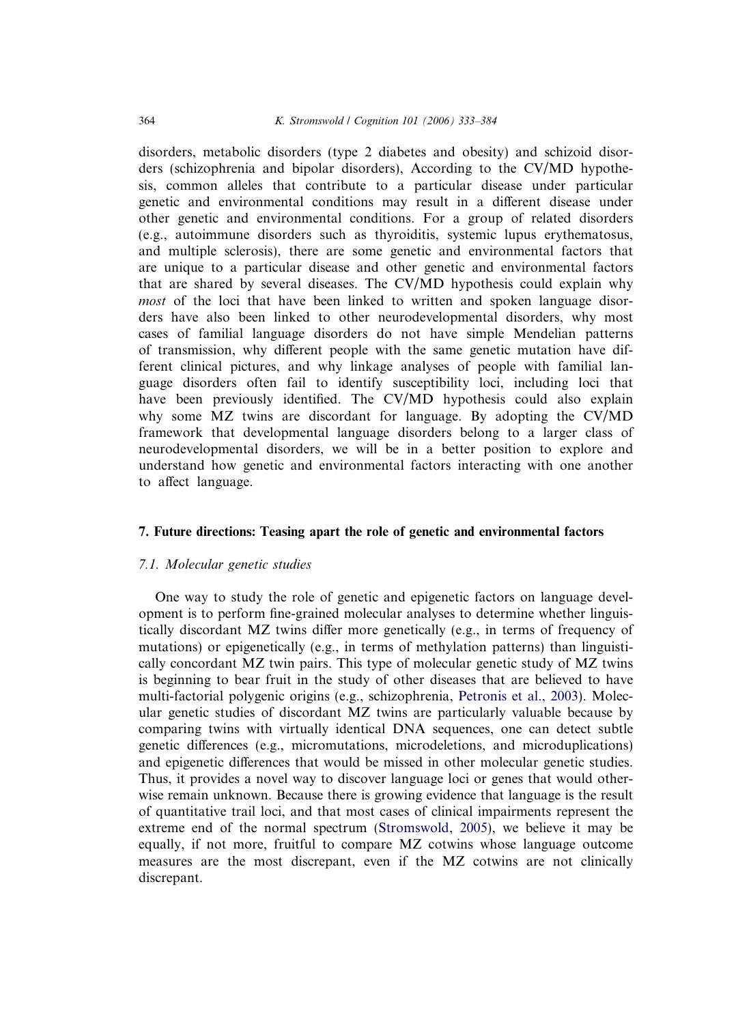<span id="page-31-0"></span>disorders, metabolic disorders (type 2 diabetes and obesity) and schizoid disorders (schizophrenia and bipolar disorders), According to the CV/MD hypothesis, common alleles that contribute to a particular disease under particular genetic and environmental conditions may result in a different disease under other genetic and environmental conditions. For a group of related disorders (e.g., autoimmune disorders such as thyroiditis, systemic lupus erythematosus, and multiple sclerosis), there are some genetic and environmental factors that are unique to a particular disease and other genetic and environmental factors that are shared by several diseases. The CV/MD hypothesis could explain why most of the loci that have been linked to written and spoken language disorders have also been linked to other neurodevelopmental disorders, why most cases of familial language disorders do not have simple Mendelian patterns of transmission, why different people with the same genetic mutation have different clinical pictures, and why linkage analyses of people with familial language disorders often fail to identify susceptibility loci, including loci that have been previously identified. The CV/MD hypothesis could also explain why some MZ twins are discordant for language. By adopting the CV/MD framework that developmental language disorders belong to a larger class of neurodevelopmental disorders, we will be in a better position to explore and understand how genetic and environmental factors interacting with one another to affect language.

#### 7. Future directions: Teasing apart the role of genetic and environmental factors

## 7.1. Molecular genetic studies

One way to study the role of genetic and epigenetic factors on language development is to perform fine-grained molecular analyses to determine whether linguistically discordant MZ twins differ more genetically (e.g., in terms of frequency of mutations) or epigenetically (e.g., in terms of methylation patterns) than linguistically concordant MZ twin pairs. This type of molecular genetic study of MZ twins is beginning to bear fruit in the study of other diseases that are believed to have multi-factorial polygenic origins (e.g., schizophrenia, [Petronis et al., 2003](#page-47-0)). Molecular genetic studies of discordant MZ twins are particularly valuable because by comparing twins with virtually identical DNA sequences, one can detect subtle genetic differences (e.g., micromutations, microdeletions, and microduplications) and epigenetic differences that would be missed in other molecular genetic studies. Thus, it provides a novel way to discover language loci or genes that would otherwise remain unknown. Because there is growing evidence that language is the result of quantitative trail loci, and that most cases of clinical impairments represent the extreme end of the normal spectrum ([Stromswold, 2005](#page-49-0)), we believe it may be equally, if not more, fruitful to compare MZ cotwins whose language outcome measures are the most discrepant, even if the MZ cotwins are not clinically discrepant.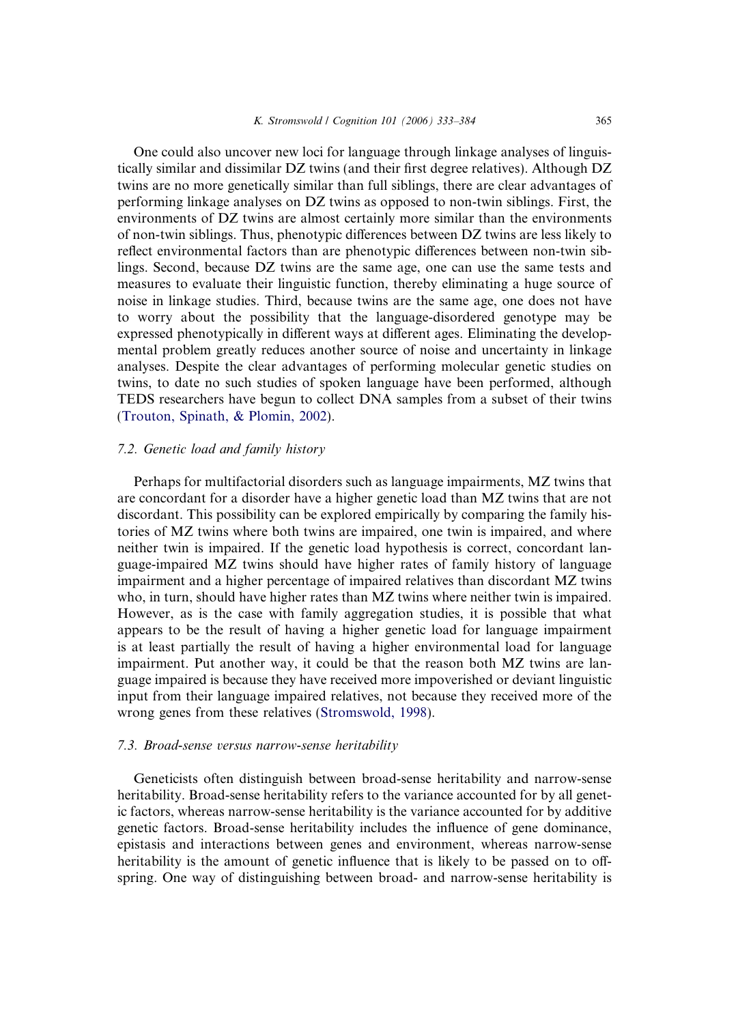One could also uncover new loci for language through linkage analyses of linguistically similar and dissimilar DZ twins (and their first degree relatives). Although DZ twins are no more genetically similar than full siblings, there are clear advantages of performing linkage analyses on DZ twins as opposed to non-twin siblings. First, the environments of DZ twins are almost certainly more similar than the environments of non-twin siblings. Thus, phenotypic differences between DZ twins are less likely to reflect environmental factors than are phenotypic differences between non-twin siblings. Second, because DZ twins are the same age, one can use the same tests and measures to evaluate their linguistic function, thereby eliminating a huge source of noise in linkage studies. Third, because twins are the same age, one does not have to worry about the possibility that the language-disordered genotype may be expressed phenotypically in different ways at different ages. Eliminating the developmental problem greatly reduces another source of noise and uncertainty in linkage analyses. Despite the clear advantages of performing molecular genetic studies on twins, to date no such studies of spoken language have been performed, although TEDS researchers have begun to collect DNA samples from a subset of their twins [\(Trouton, Spinath, & Plomin, 2002](#page-49-0)).

## 7.2. Genetic load and family history

Perhaps for multifactorial disorders such as language impairments, MZ twins that are concordant for a disorder have a higher genetic load than MZ twins that are not discordant. This possibility can be explored empirically by comparing the family histories of MZ twins where both twins are impaired, one twin is impaired, and where neither twin is impaired. If the genetic load hypothesis is correct, concordant language-impaired MZ twins should have higher rates of family history of language impairment and a higher percentage of impaired relatives than discordant MZ twins who, in turn, should have higher rates than MZ twins where neither twin is impaired. However, as is the case with family aggregation studies, it is possible that what appears to be the result of having a higher genetic load for language impairment is at least partially the result of having a higher environmental load for language impairment. Put another way, it could be that the reason both MZ twins are language impaired is because they have received more impoverished or deviant linguistic input from their language impaired relatives, not because they received more of the wrong genes from these relatives ([Stromswold, 1998\)](#page-49-0).

#### 7.3. Broad-sense versus narrow-sense heritability

Geneticists often distinguish between broad-sense heritability and narrow-sense heritability. Broad-sense heritability refers to the variance accounted for by all genetic factors, whereas narrow-sense heritability is the variance accounted for by additive genetic factors. Broad-sense heritability includes the influence of gene dominance, epistasis and interactions between genes and environment, whereas narrow-sense heritability is the amount of genetic influence that is likely to be passed on to offspring. One way of distinguishing between broad- and narrow-sense heritability is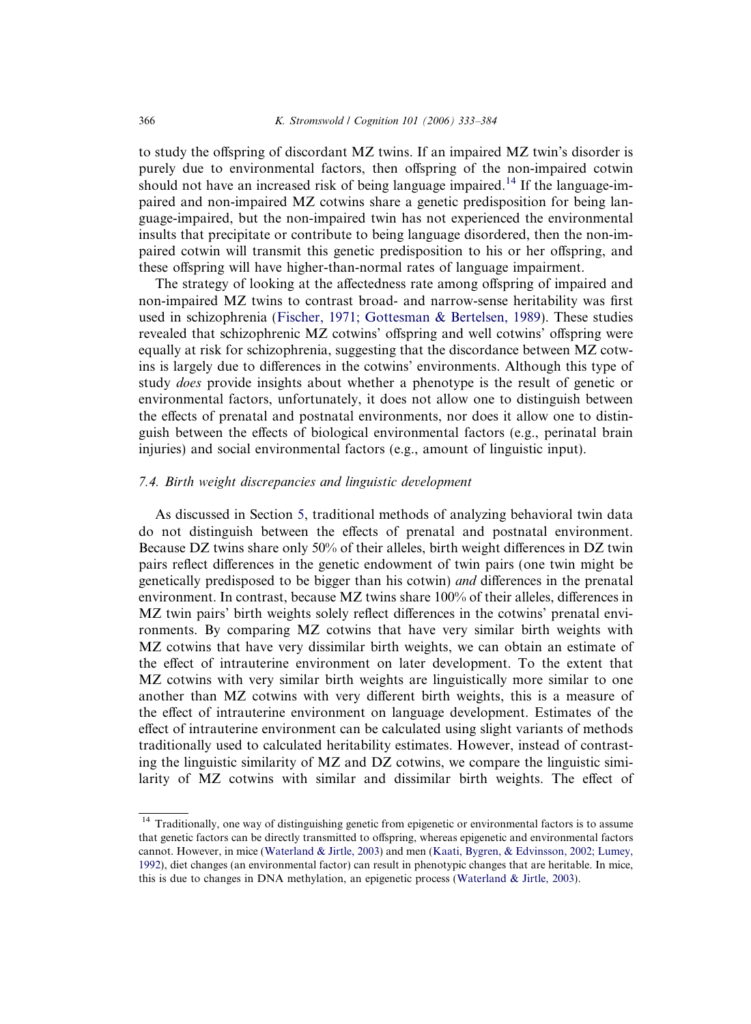to study the offspring of discordant MZ twins. If an impaired MZ twin's disorder is purely due to environmental factors, then offspring of the non-impaired cotwin should not have an increased risk of being language impaired.<sup>14</sup> If the language-impaired and non-impaired MZ cotwins share a genetic predisposition for being language-impaired, but the non-impaired twin has not experienced the environmental insults that precipitate or contribute to being language disordered, then the non-impaired cotwin will transmit this genetic predisposition to his or her offspring, and these offspring will have higher-than-normal rates of language impairment.

The strategy of looking at the affectedness rate among offspring of impaired and non-impaired MZ twins to contrast broad- and narrow-sense heritability was first used in schizophrenia ([Fischer, 1971; Gottesman & Bertelsen, 1989](#page-42-0)). These studies revealed that schizophrenic MZ cotwins' offspring and well cotwins' offspring were equally at risk for schizophrenia, suggesting that the discordance between MZ cotwins is largely due to differences in the cotwins' environments. Although this type of study does provide insights about whether a phenotype is the result of genetic or environmental factors, unfortunately, it does not allow one to distinguish between the effects of prenatal and postnatal environments, nor does it allow one to distinguish between the effects of biological environmental factors (e.g., perinatal brain injuries) and social environmental factors (e.g., amount of linguistic input).

## 7.4. Birth weight discrepancies and linguistic development

As discussed in Section [5,](#page-22-0) traditional methods of analyzing behavioral twin data do not distinguish between the effects of prenatal and postnatal environment. Because DZ twins share only 50% of their alleles, birth weight differences in DZ twin pairs reflect differences in the genetic endowment of twin pairs (one twin might be genetically predisposed to be bigger than his cotwin) and differences in the prenatal environment. In contrast, because MZ twins share 100% of their alleles, differences in MZ twin pairs' birth weights solely reflect differences in the cotwins' prenatal environments. By comparing MZ cotwins that have very similar birth weights with MZ cotwins that have very dissimilar birth weights, we can obtain an estimate of the effect of intrauterine environment on later development. To the extent that MZ cotwins with very similar birth weights are linguistically more similar to one another than MZ cotwins with very different birth weights, this is a measure of the effect of intrauterine environment on language development. Estimates of the effect of intrauterine environment can be calculated using slight variants of methods traditionally used to calculated heritability estimates. However, instead of contrasting the linguistic similarity of MZ and DZ cotwins, we compare the linguistic similarity of MZ cotwins with similar and dissimilar birth weights. The effect of

<sup>&</sup>lt;sup>14</sup> Traditionally, one way of distinguishing genetic from epigenetic or environmental factors is to assume that genetic factors can be directly transmitted to offspring, whereas epigenetic and environmental factors cannot. However, in mice ([Waterland & Jirtle, 2003](#page-50-0)) and men ([Kaati, Bygren, & Edvinsson, 2002; Lumey,](#page-44-0) [1992](#page-44-0)), diet changes (an environmental factor) can result in phenotypic changes that are heritable. In mice, this is due to changes in DNA methylation, an epigenetic process [\(Waterland & Jirtle, 2003](#page-50-0)).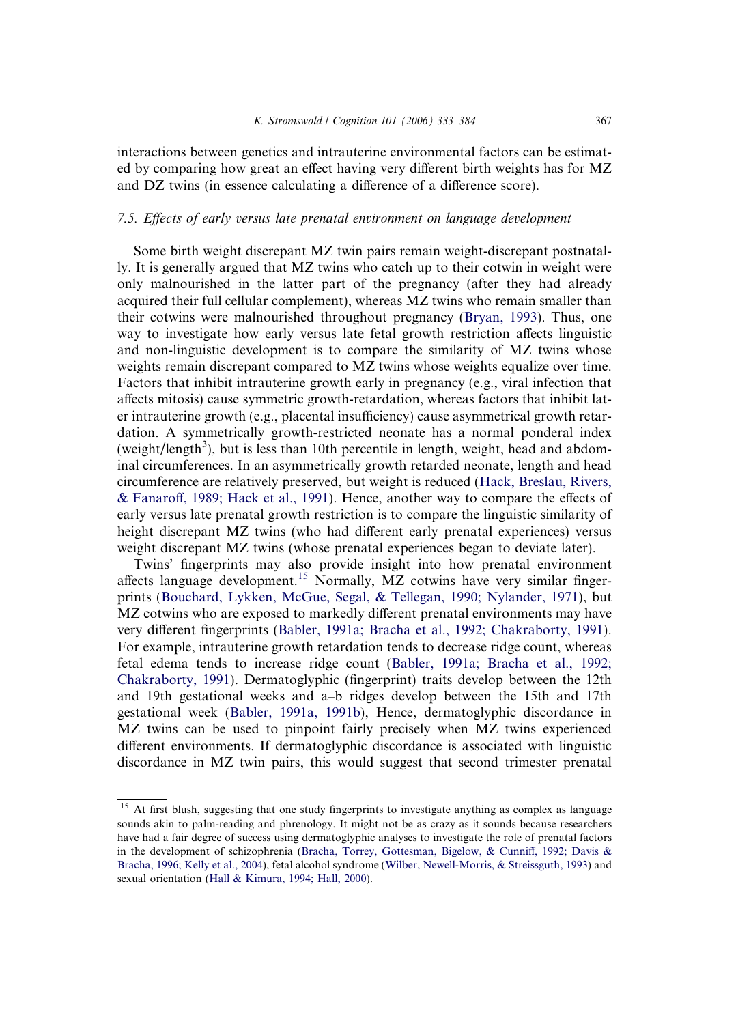interactions between genetics and intrauterine environmental factors can be estimated by comparing how great an effect having very different birth weights has for MZ and DZ twins (in essence calculating a difference of a difference score).

### 7.5. Effects of early versus late prenatal environment on language development

Some birth weight discrepant MZ twin pairs remain weight-discrepant postnatally. It is generally argued that MZ twins who catch up to their cotwin in weight were only malnourished in the latter part of the pregnancy (after they had already acquired their full cellular complement), whereas MZ twins who remain smaller than their cotwins were malnourished throughout pregnancy ([Bryan, 1993\)](#page-41-0). Thus, one way to investigate how early versus late fetal growth restriction affects linguistic and non-linguistic development is to compare the similarity of MZ twins whose weights remain discrepant compared to MZ twins whose weights equalize over time. Factors that inhibit intrauterine growth early in pregnancy (e.g., viral infection that affects mitosis) cause symmetric growth-retardation, whereas factors that inhibit later intrauterine growth (e.g., placental insufficiency) cause asymmetrical growth retardation. A symmetrically growth-restricted neonate has a normal ponderal index (weight/length<sup>3</sup>), but is less than 10th percentile in length, weight, head and abdominal circumferences. In an asymmetrically growth retarded neonate, length and head circumference are relatively preserved, but weight is reduced ([Hack, Breslau, Rivers,](#page-43-0) [& Fanaroff, 1989; Hack et al., 1991](#page-43-0)). Hence, another way to compare the effects of early versus late prenatal growth restriction is to compare the linguistic similarity of height discrepant MZ twins (who had different early prenatal experiences) versus weight discrepant MZ twins (whose prenatal experiences began to deviate later).

Twins' fingerprints may also provide insight into how prenatal environment affects language development.<sup>15</sup> Normally, MZ cotwins have very similar fingerprints ([Bouchard, Lykken, McGue, Segal, & Tellegan, 1990; Nylander, 1971\)](#page-41-0), but MZ cotwins who are exposed to markedly different prenatal environments may have very different fingerprints ([Babler, 1991a; Bracha et al., 1992; Chakraborty, 1991\)](#page-40-0). For example, intrauterine growth retardation tends to decrease ridge count, whereas fetal edema tends to increase ridge count [\(Babler, 1991a; Bracha et al., 1992;](#page-40-0) [Chakraborty, 1991\)](#page-40-0). Dermatoglyphic (fingerprint) traits develop between the 12th and 19th gestational weeks and a–b ridges develop between the 15th and 17th gestational week ([Babler, 1991a, 1991b](#page-40-0)), Hence, dermatoglyphic discordance in MZ twins can be used to pinpoint fairly precisely when MZ twins experienced different environments. If dermatoglyphic discordance is associated with linguistic discordance in MZ twin pairs, this would suggest that second trimester prenatal

<sup>&</sup>lt;sup>15</sup> At first blush, suggesting that one study fingerprints to investigate anything as complex as language sounds akin to palm-reading and phrenology. It might not be as crazy as it sounds because researchers have had a fair degree of success using dermatoglyphic analyses to investigate the role of prenatal factors in the development of schizophrenia ([Bracha, Torrey, Gottesman, Bigelow, & Cunniff, 1992; Davis &](#page-41-0) [Bracha, 1996; Kelly et al., 2004\)](#page-41-0), fetal alcohol syndrome [\(Wilber, Newell-Morris, & Streissguth, 1993](#page-50-0)) and sexual orientation ([Hall & Kimura, 1994; Hall, 2000\)](#page-43-0).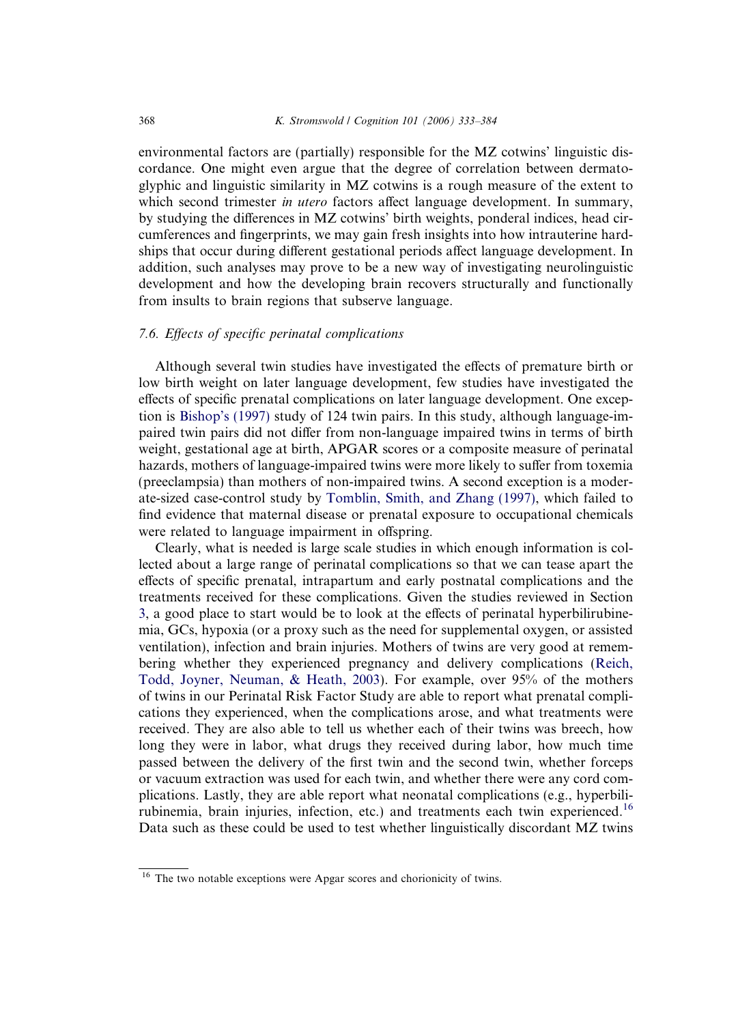environmental factors are (partially) responsible for the MZ cotwins' linguistic discordance. One might even argue that the degree of correlation between dermatoglyphic and linguistic similarity in MZ cotwins is a rough measure of the extent to which second trimester in utero factors affect language development. In summary, by studying the differences in MZ cotwins' birth weights, ponderal indices, head circumferences and fingerprints, we may gain fresh insights into how intrauterine hardships that occur during different gestational periods affect language development. In addition, such analyses may prove to be a new way of investigating neurolinguistic development and how the developing brain recovers structurally and functionally from insults to brain regions that subserve language.

## 7.6. Effects of specific perinatal complications

Although several twin studies have investigated the effects of premature birth or low birth weight on later language development, few studies have investigated the effects of specific prenatal complications on later language development. One exception is [Bishop's \(1997\)](#page-41-0) study of 124 twin pairs. In this study, although language-impaired twin pairs did not differ from non-language impaired twins in terms of birth weight, gestational age at birth, APGAR scores or a composite measure of perinatal hazards, mothers of language-impaired twins were more likely to suffer from toxemia (preeclampsia) than mothers of non-impaired twins. A second exception is a moderate-sized case-control study by [Tomblin, Smith, and Zhang \(1997\)](#page-49-0), which failed to find evidence that maternal disease or prenatal exposure to occupational chemicals were related to language impairment in offspring.

Clearly, what is needed is large scale studies in which enough information is collected about a large range of perinatal complications so that we can tease apart the effects of specific prenatal, intrapartum and early postnatal complications and the treatments received for these complications. Given the studies reviewed in Section [3,](#page-8-0) a good place to start would be to look at the effects of perinatal hyperbilirubinemia, GCs, hypoxia (or a proxy such as the need for supplemental oxygen, or assisted ventilation), infection and brain injuries. Mothers of twins are very good at remembering whether they experienced pregnancy and delivery complications ([Reich,](#page-47-0) [Todd, Joyner, Neuman, & Heath, 2003\)](#page-47-0). For example, over 95% of the mothers of twins in our Perinatal Risk Factor Study are able to report what prenatal complications they experienced, when the complications arose, and what treatments were received. They are also able to tell us whether each of their twins was breech, how long they were in labor, what drugs they received during labor, how much time passed between the delivery of the first twin and the second twin, whether forceps or vacuum extraction was used for each twin, and whether there were any cord complications. Lastly, they are able report what neonatal complications (e.g., hyperbilirubinemia, brain injuries, infection, etc.) and treatments each twin experienced.<sup>16</sup> Data such as these could be used to test whether linguistically discordant MZ twins

<sup>&</sup>lt;sup>16</sup> The two notable exceptions were Apgar scores and chorionicity of twins.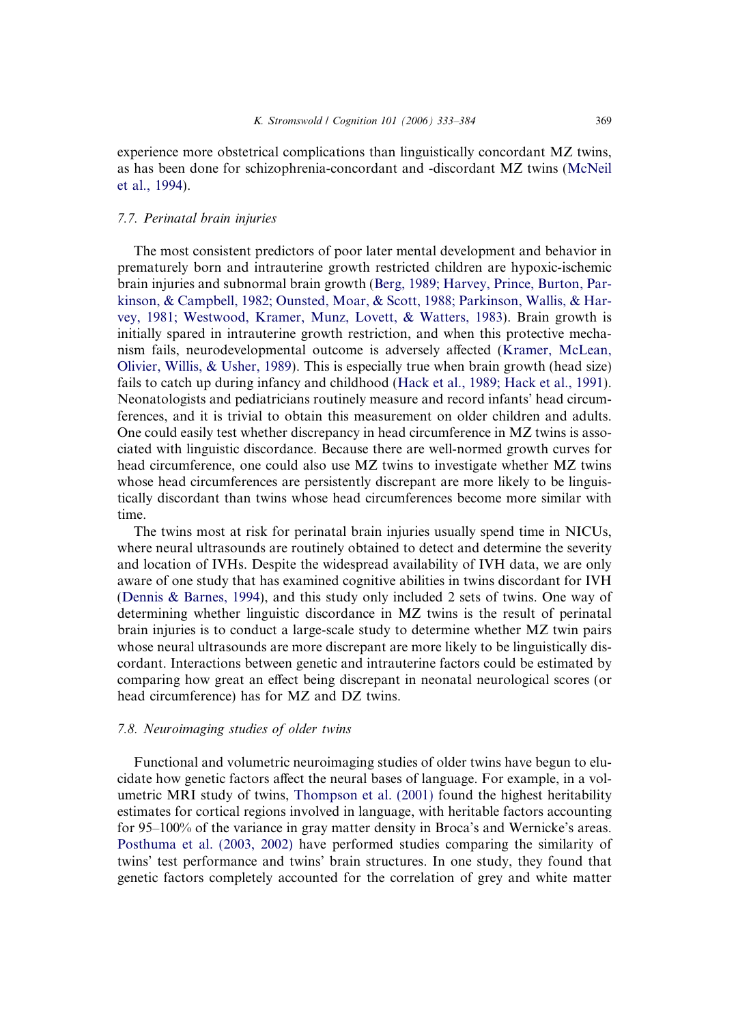experience more obstetrical complications than linguistically concordant MZ twins, as has been done for schizophrenia-concordant and -discordant MZ twins [\(McNeil](#page-46-0) [et al., 1994](#page-46-0)).

## 7.7. Perinatal brain injuries

The most consistent predictors of poor later mental development and behavior in prematurely born and intrauterine growth restricted children are hypoxic-ischemic brain injuries and subnormal brain growth [\(Berg, 1989; Harvey, Prince, Burton, Par](#page-41-0)[kinson, & Campbell, 1982; Ounsted, Moar, & Scott, 1988; Parkinson, Wallis, & Har](#page-41-0)[vey, 1981; Westwood, Kramer, Munz, Lovett, & Watters, 1983\)](#page-41-0). Brain growth is initially spared in intrauterine growth restriction, and when this protective mechanism fails, neurodevelopmental outcome is adversely affected [\(Kramer, McLean,](#page-45-0) [Olivier, Willis, & Usher, 1989](#page-45-0)). This is especially true when brain growth (head size) fails to catch up during infancy and childhood [\(Hack et al., 1989; Hack et al., 1991\)](#page-43-0). Neonatologists and pediatricians routinely measure and record infants' head circumferences, and it is trivial to obtain this measurement on older children and adults. One could easily test whether discrepancy in head circumference in MZ twins is associated with linguistic discordance. Because there are well-normed growth curves for head circumference, one could also use MZ twins to investigate whether MZ twins whose head circumferences are persistently discrepant are more likely to be linguistically discordant than twins whose head circumferences become more similar with time.

The twins most at risk for perinatal brain injuries usually spend time in NICUs, where neural ultrasounds are routinely obtained to detect and determine the severity and location of IVHs. Despite the widespread availability of IVH data, we are only aware of one study that has examined cognitive abilities in twins discordant for IVH [\(Dennis & Barnes, 1994\)](#page-42-0), and this study only included 2 sets of twins. One way of determining whether linguistic discordance in MZ twins is the result of perinatal brain injuries is to conduct a large-scale study to determine whether MZ twin pairs whose neural ultrasounds are more discrepant are more likely to be linguistically discordant. Interactions between genetic and intrauterine factors could be estimated by comparing how great an effect being discrepant in neonatal neurological scores (or head circumference) has for MZ and DZ twins.

#### 7.8. Neuroimaging studies of older twins

Functional and volumetric neuroimaging studies of older twins have begun to elucidate how genetic factors affect the neural bases of language. For example, in a volumetric MRI study of twins, [Thompson et al. \(2001\)](#page-49-0) found the highest heritability estimates for cortical regions involved in language, with heritable factors accounting for 95–100% of the variance in gray matter density in Broca's and Wernicke's areas. [Posthuma et al. \(2003, 2002\)](#page-47-0) have performed studies comparing the similarity of twins' test performance and twins' brain structures. In one study, they found that genetic factors completely accounted for the correlation of grey and white matter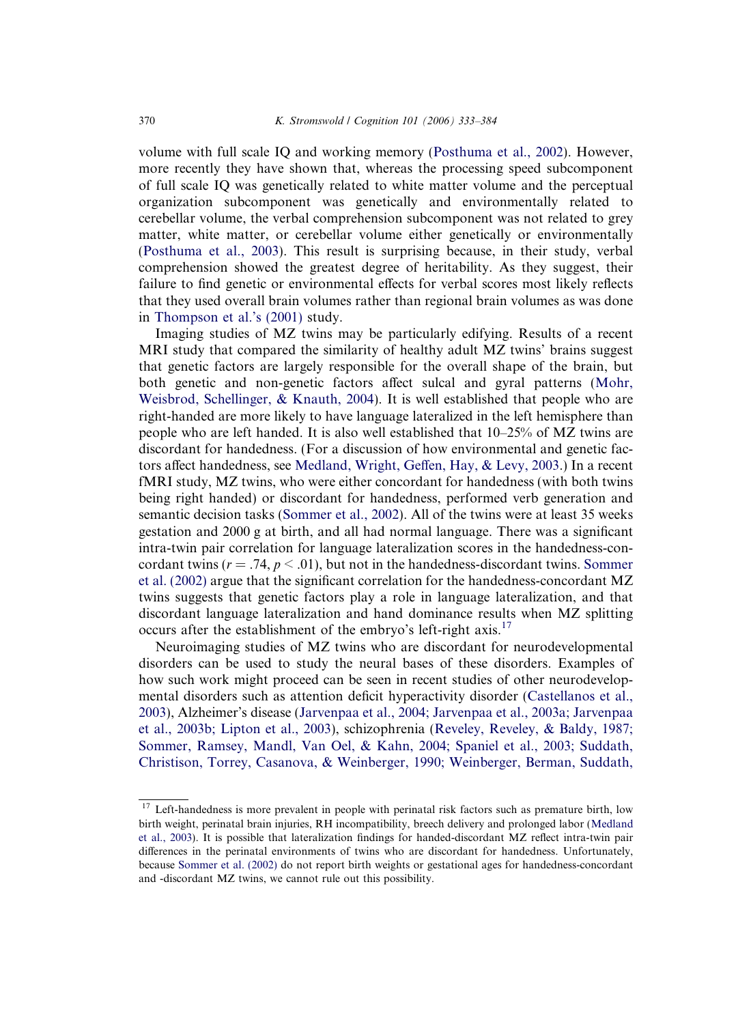volume with full scale IQ and working memory [\(Posthuma et al., 2002](#page-47-0)). However, more recently they have shown that, whereas the processing speed subcomponent of full scale IQ was genetically related to white matter volume and the perceptual organization subcomponent was genetically and environmentally related to cerebellar volume, the verbal comprehension subcomponent was not related to grey matter, white matter, or cerebellar volume either genetically or environmentally ([Posthuma et al., 2003](#page-47-0)). This result is surprising because, in their study, verbal comprehension showed the greatest degree of heritability. As they suggest, their failure to find genetic or environmental effects for verbal scores most likely reflects that they used overall brain volumes rather than regional brain volumes as was done in [Thompson et al.'s \(2001\)](#page-49-0) study.

Imaging studies of MZ twins may be particularly edifying. Results of a recent MRI study that compared the similarity of healthy adult MZ twins' brains suggest that genetic factors are largely responsible for the overall shape of the brain, but both genetic and non-genetic factors affect sulcal and gyral patterns ([Mohr,](#page-46-0) [Weisbrod, Schellinger, & Knauth, 2004](#page-46-0)). It is well established that people who are right-handed are more likely to have language lateralized in the left hemisphere than people who are left handed. It is also well established that 10–25% of MZ twins are discordant for handedness. (For a discussion of how environmental and genetic factors affect handedness, see [Medland, Wright, Geffen, Hay, & Levy, 2003.](#page-46-0)) In a recent fMRI study, MZ twins, who were either concordant for handedness (with both twins being right handed) or discordant for handedness, performed verb generation and semantic decision tasks [\(Sommer et al., 2002](#page-48-0)). All of the twins were at least 35 weeks gestation and 2000 g at birth, and all had normal language. There was a significant intra-twin pair correlation for language lateralization scores in the handedness-concordant twins ( $r = .74$ ,  $p < .01$ ), but not in the handedness-discordant twins. [Sommer](#page-48-0) [et al. \(2002\)](#page-48-0) argue that the significant correlation for the handedness-concordant MZ twins suggests that genetic factors play a role in language lateralization, and that discordant language lateralization and hand dominance results when MZ splitting occurs after the establishment of the embryo's left-right axis.<sup>17</sup>

Neuroimaging studies of MZ twins who are discordant for neurodevelopmental disorders can be used to study the neural bases of these disorders. Examples of how such work might proceed can be seen in recent studies of other neurodevelopmental disorders such as attention deficit hyperactivity disorder ([Castellanos et al.,](#page-41-0) [2003\)](#page-41-0), Alzheimer's disease [\(Jarvenpaa et al., 2004; Jarvenpaa et al., 2003a; Jarvenpaa](#page-44-0) [et al., 2003b; Lipton et al., 2003](#page-44-0)), schizophrenia [\(Reveley, Reveley, & Baldy, 1987;](#page-47-0) [Sommer, Ramsey, Mandl, Van Oel, & Kahn, 2004; Spaniel et al., 2003; Suddath,](#page-47-0) [Christison, Torrey, Casanova, & Weinberger, 1990; Weinberger, Berman, Suddath,](#page-47-0)

<sup>&</sup>lt;sup>17</sup> Left-handedness is more prevalent in people with perinatal risk factors such as premature birth, low birth weight, perinatal brain injuries, RH incompatibility, breech delivery and prolonged labor ([Medland](#page-46-0) [et al., 2003](#page-46-0)). It is possible that lateralization findings for handed-discordant MZ reflect intra-twin pair differences in the perinatal environments of twins who are discordant for handedness. Unfortunately, because [Sommer et al. \(2002\)](#page-48-0) do not report birth weights or gestational ages for handedness-concordant and -discordant MZ twins, we cannot rule out this possibility.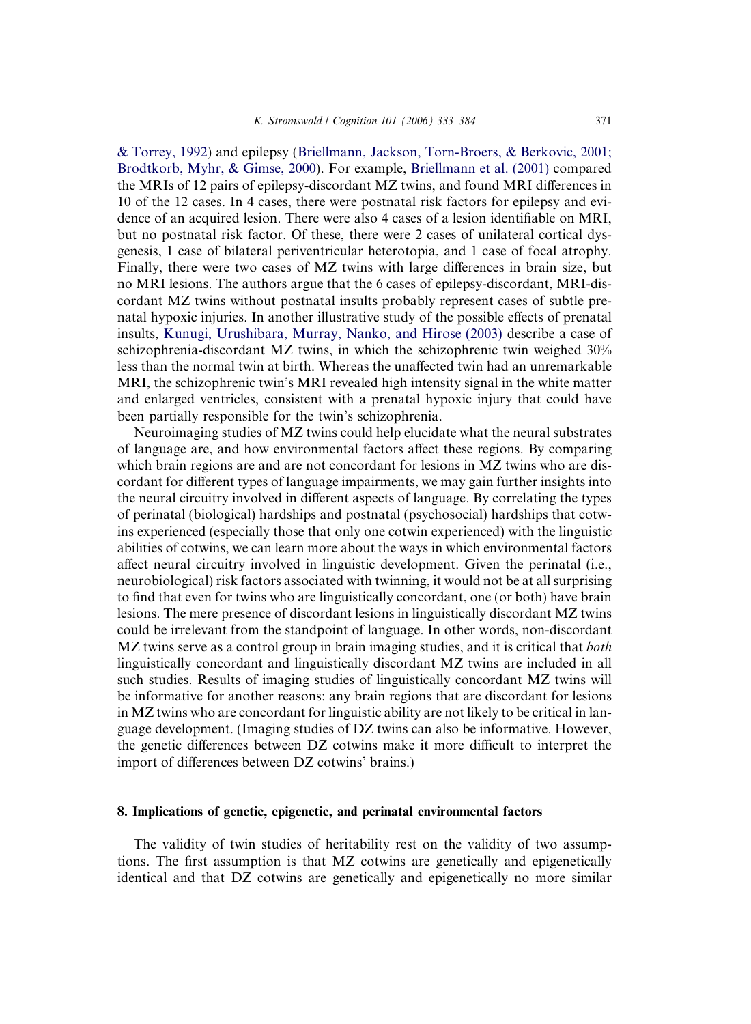[& Torrey, 1992](#page-47-0)) and epilepsy ([Briellmann, Jackson, Torn-Broers, & Berkovic, 2001;](#page-41-0) [Brodtkorb, Myhr, & Gimse, 2000](#page-41-0)). For example, [Briellmann et al. \(2001\)](#page-41-0) compared the MRIs of 12 pairs of epilepsy-discordant MZ twins, and found MRI differences in 10 of the 12 cases. In 4 cases, there were postnatal risk factors for epilepsy and evidence of an acquired lesion. There were also 4 cases of a lesion identifiable on MRI, but no postnatal risk factor. Of these, there were 2 cases of unilateral cortical dysgenesis, 1 case of bilateral periventricular heterotopia, and 1 case of focal atrophy. Finally, there were two cases of MZ twins with large differences in brain size, but no MRI lesions. The authors argue that the 6 cases of epilepsy-discordant, MRI-discordant MZ twins without postnatal insults probably represent cases of subtle prenatal hypoxic injuries. In another illustrative study of the possible effects of prenatal insults, [Kunugi, Urushibara, Murray, Nanko, and Hirose \(2003\)](#page-45-0) describe a case of schizophrenia-discordant MZ twins, in which the schizophrenic twin weighed 30% less than the normal twin at birth. Whereas the unaffected twin had an unremarkable MRI, the schizophrenic twin's MRI revealed high intensity signal in the white matter and enlarged ventricles, consistent with a prenatal hypoxic injury that could have been partially responsible for the twin's schizophrenia.

Neuroimaging studies of MZ twins could help elucidate what the neural substrates of language are, and how environmental factors affect these regions. By comparing which brain regions are and are not concordant for lesions in MZ twins who are discordant for different types of language impairments, we may gain further insights into the neural circuitry involved in different aspects of language. By correlating the types of perinatal (biological) hardships and postnatal (psychosocial) hardships that cotwins experienced (especially those that only one cotwin experienced) with the linguistic abilities of cotwins, we can learn more about the ways in which environmental factors affect neural circuitry involved in linguistic development. Given the perinatal (i.e., neurobiological) risk factors associated with twinning, it would not be at all surprising to find that even for twins who are linguistically concordant, one (or both) have brain lesions. The mere presence of discordant lesions in linguistically discordant MZ twins could be irrelevant from the standpoint of language. In other words, non-discordant MZ twins serve as a control group in brain imaging studies, and it is critical that *both* linguistically concordant and linguistically discordant MZ twins are included in all such studies. Results of imaging studies of linguistically concordant MZ twins will be informative for another reasons: any brain regions that are discordant for lesions in MZ twins who are concordant for linguistic ability are not likely to be critical in language development. (Imaging studies of DZ twins can also be informative. However, the genetic differences between DZ cotwins make it more difficult to interpret the import of differences between DZ cotwins' brains.)

## 8. Implications of genetic, epigenetic, and perinatal environmental factors

The validity of twin studies of heritability rest on the validity of two assumptions. The first assumption is that MZ cotwins are genetically and epigenetically identical and that DZ cotwins are genetically and epigenetically no more similar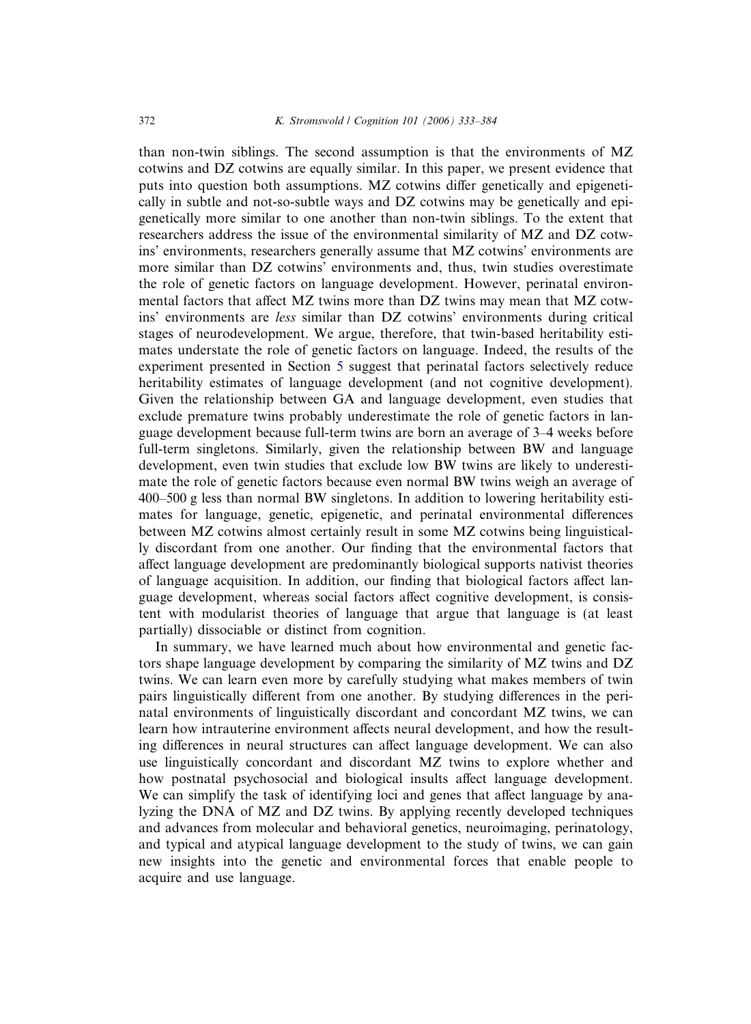than non-twin siblings. The second assumption is that the environments of MZ cotwins and DZ cotwins are equally similar. In this paper, we present evidence that puts into question both assumptions. MZ cotwins differ genetically and epigenetically in subtle and not-so-subtle ways and DZ cotwins may be genetically and epigenetically more similar to one another than non-twin siblings. To the extent that researchers address the issue of the environmental similarity of MZ and DZ cotwins' environments, researchers generally assume that MZ cotwins' environments are more similar than DZ cotwins' environments and, thus, twin studies overestimate the role of genetic factors on language development. However, perinatal environmental factors that affect MZ twins more than DZ twins may mean that MZ cotwins' environments are less similar than DZ cotwins' environments during critical stages of neurodevelopment. We argue, therefore, that twin-based heritability estimates understate the role of genetic factors on language. Indeed, the results of the experiment presented in Section [5](#page-22-0) suggest that perinatal factors selectively reduce heritability estimates of language development (and not cognitive development). Given the relationship between GA and language development, even studies that exclude premature twins probably underestimate the role of genetic factors in language development because full-term twins are born an average of 3–4 weeks before full-term singletons. Similarly, given the relationship between BW and language development, even twin studies that exclude low BW twins are likely to underestimate the role of genetic factors because even normal BW twins weigh an average of 400–500 g less than normal BW singletons. In addition to lowering heritability estimates for language, genetic, epigenetic, and perinatal environmental differences between MZ cotwins almost certainly result in some MZ cotwins being linguistically discordant from one another. Our finding that the environmental factors that affect language development are predominantly biological supports nativist theories of language acquisition. In addition, our finding that biological factors affect language development, whereas social factors affect cognitive development, is consistent with modularist theories of language that argue that language is (at least partially) dissociable or distinct from cognition.

In summary, we have learned much about how environmental and genetic factors shape language development by comparing the similarity of MZ twins and DZ twins. We can learn even more by carefully studying what makes members of twin pairs linguistically different from one another. By studying differences in the perinatal environments of linguistically discordant and concordant MZ twins, we can learn how intrauterine environment affects neural development, and how the resulting differences in neural structures can affect language development. We can also use linguistically concordant and discordant MZ twins to explore whether and how postnatal psychosocial and biological insults affect language development. We can simplify the task of identifying loci and genes that affect language by analyzing the DNA of MZ and DZ twins. By applying recently developed techniques and advances from molecular and behavioral genetics, neuroimaging, perinatology, and typical and atypical language development to the study of twins, we can gain new insights into the genetic and environmental forces that enable people to acquire and use language.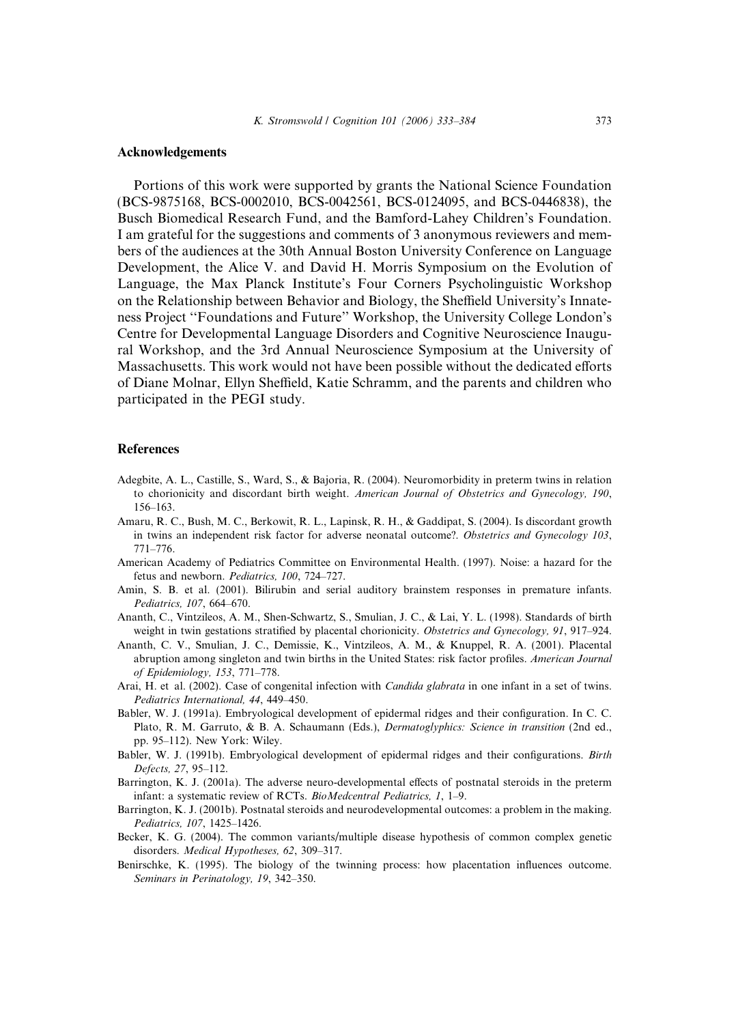#### <span id="page-40-0"></span>Acknowledgements

Portions of this work were supported by grants the National Science Foundation (BCS-9875168, BCS-0002010, BCS-0042561, BCS-0124095, and BCS-0446838), the Busch Biomedical Research Fund, and the Bamford-Lahey Children's Foundation. I am grateful for the suggestions and comments of 3 anonymous reviewers and members of the audiences at the 30th Annual Boston University Conference on Language Development, the Alice V. and David H. Morris Symposium on the Evolution of Language, the Max Planck Institute's Four Corners Psycholinguistic Workshop on the Relationship between Behavior and Biology, the Sheffield University's Innateness Project ''Foundations and Future'' Workshop, the University College London's Centre for Developmental Language Disorders and Cognitive Neuroscience Inaugural Workshop, and the 3rd Annual Neuroscience Symposium at the University of Massachusetts. This work would not have been possible without the dedicated efforts of Diane Molnar, Ellyn Sheffield, Katie Schramm, and the parents and children who participated in the PEGI study.

#### References

- Adegbite, A. L., Castille, S., Ward, S., & Bajoria, R. (2004). Neuromorbidity in preterm twins in relation to chorionicity and discordant birth weight. American Journal of Obstetrics and Gynecology, 190, 156–163.
- Amaru, R. C., Bush, M. C., Berkowit, R. L., Lapinsk, R. H., & Gaddipat, S. (2004). Is discordant growth in twins an independent risk factor for adverse neonatal outcome?. Obstetrics and Gynecology 103, 771–776.
- American Academy of Pediatrics Committee on Environmental Health. (1997). Noise: a hazard for the fetus and newborn. Pediatrics, 100, 724–727.
- Amin, S. B. et al. (2001). Bilirubin and serial auditory brainstem responses in premature infants. Pediatrics, 107, 664–670.
- Ananth, C., Vintzileos, A. M., Shen-Schwartz, S., Smulian, J. C., & Lai, Y. L. (1998). Standards of birth weight in twin gestations stratified by placental chorionicity. Obstetrics and Gynecology, 91, 917–924.
- Ananth, C. V., Smulian, J. C., Demissie, K., Vintzileos, A. M., & Knuppel, R. A. (2001). Placental abruption among singleton and twin births in the United States: risk factor profiles. American Journal of Epidemiology, 153, 771–778.
- Arai, H. et al. (2002). Case of congenital infection with *Candida glabrata* in one infant in a set of twins. Pediatrics International, 44, 449–450.
- Babler, W. J. (1991a). Embryological development of epidermal ridges and their configuration. In C. C. Plato, R. M. Garruto, & B. A. Schaumann (Eds.), *Dermatoglyphics: Science in transition* (2nd ed., pp. 95–112). New York: Wiley.
- Babler, W. J. (1991b). Embryological development of epidermal ridges and their configurations. Birth Defects, 27, 95–112.
- Barrington, K. J. (2001a). The adverse neuro-developmental effects of postnatal steroids in the preterm infant: a systematic review of RCTs. BioMedcentral Pediatrics, 1, 1–9.
- Barrington, K. J. (2001b). Postnatal steroids and neurodevelopmental outcomes: a problem in the making. Pediatrics, 107, 1425–1426.
- Becker, K. G. (2004). The common variants/multiple disease hypothesis of common complex genetic disorders. Medical Hypotheses, 62, 309–317.
- Benirschke, K. (1995). The biology of the twinning process: how placentation influences outcome. Seminars in Perinatology, 19, 342–350.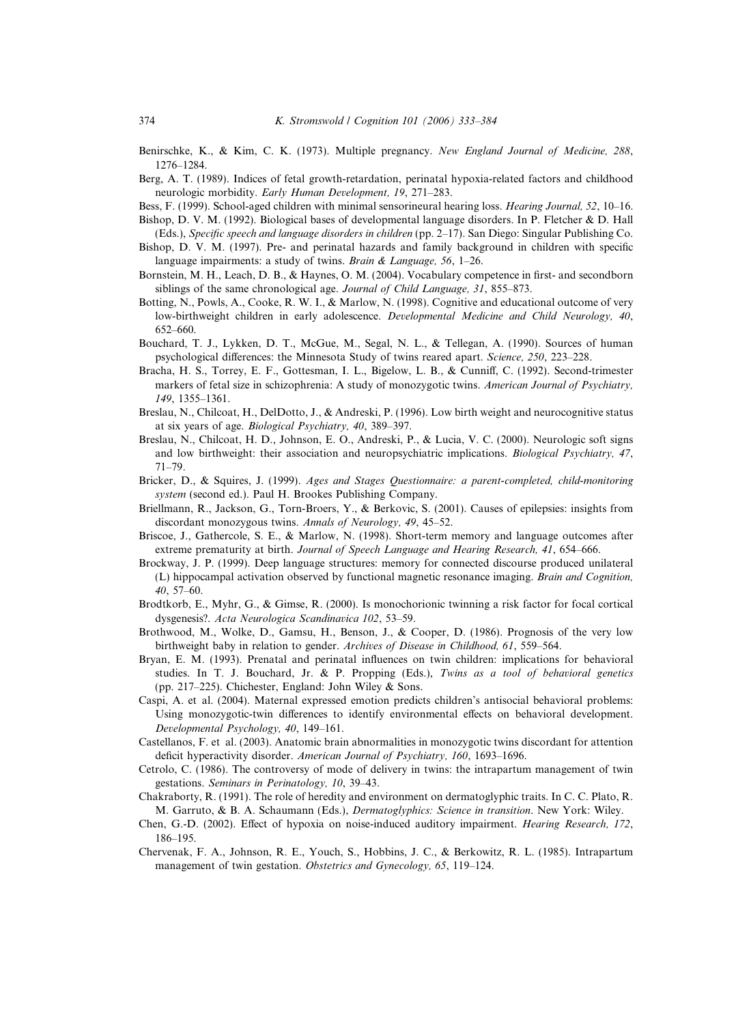- <span id="page-41-0"></span>Benirschke, K., & Kim, C. K. (1973). Multiple pregnancy. New England Journal of Medicine, 288, 1276–1284.
- Berg, A. T. (1989). Indices of fetal growth-retardation, perinatal hypoxia-related factors and childhood neurologic morbidity. Early Human Development, 19, 271–283.
- Bess, F. (1999). School-aged children with minimal sensorineural hearing loss. Hearing Journal, 52, 10–16. Bishop, D. V. M. (1992). Biological bases of developmental language disorders. In P. Fletcher & D. Hall
- (Eds.), Specific speech and language disorders in children (pp. 2–17). San Diego: Singular Publishing Co. Bishop, D. V. M. (1997). Pre- and perinatal hazards and family background in children with specific language impairments: a study of twins. Brain & Language, 56, 1–26.
- Bornstein, M. H., Leach, D. B., & Haynes, O. M. (2004). Vocabulary competence in first- and secondborn siblings of the same chronological age. Journal of Child Language, 31, 855–873.
- Botting, N., Powls, A., Cooke, R. W. I., & Marlow, N. (1998). Cognitive and educational outcome of very low-birthweight children in early adolescence. Developmental Medicine and Child Neurology, 40, 652–660.
- Bouchard, T. J., Lykken, D. T., McGue, M., Segal, N. L., & Tellegan, A. (1990). Sources of human psychological differences: the Minnesota Study of twins reared apart. Science, 250, 223–228.
- Bracha, H. S., Torrey, E. F., Gottesman, I. L., Bigelow, L. B., & Cunniff, C. (1992). Second-trimester markers of fetal size in schizophrenia: A study of monozygotic twins. American Journal of Psychiatry, 149, 1355–1361.
- Breslau, N., Chilcoat, H., DelDotto, J., & Andreski, P. (1996). Low birth weight and neurocognitive status at six years of age. Biological Psychiatry, 40, 389–397.
- Breslau, N., Chilcoat, H. D., Johnson, E. O., Andreski, P., & Lucia, V. C. (2000). Neurologic soft signs and low birthweight: their association and neuropsychiatric implications. *Biological Psychiatry*, 47, 71–79.
- Bricker, D., & Squires, J. (1999). Ages and Stages Ouestionnaire: a parent-completed, child-monitoring system (second ed.). Paul H. Brookes Publishing Company.
- Briellmann, R., Jackson, G., Torn-Broers, Y., & Berkovic, S. (2001). Causes of epilepsies: insights from discordant monozygous twins. Annals of Neurology, 49, 45–52.
- Briscoe, J., Gathercole, S. E., & Marlow, N. (1998). Short-term memory and language outcomes after extreme prematurity at birth. Journal of Speech Language and Hearing Research, 41, 654–666.
- Brockway, J. P. (1999). Deep language structures: memory for connected discourse produced unilateral (L) hippocampal activation observed by functional magnetic resonance imaging. Brain and Cognition, 40, 57–60.
- Brodtkorb, E., Myhr, G., & Gimse, R. (2000). Is monochorionic twinning a risk factor for focal cortical dysgenesis?. Acta Neurologica Scandinavica 102, 53–59.
- Brothwood, M., Wolke, D., Gamsu, H., Benson, J., & Cooper, D. (1986). Prognosis of the very low birthweight baby in relation to gender. Archives of Disease in Childhood, 61, 559-564.
- Bryan, E. M. (1993). Prenatal and perinatal influences on twin children: implications for behavioral studies. In T. J. Bouchard, Jr. & P. Propping (Eds.), Twins as a tool of behavioral genetics (pp. 217–225). Chichester, England: John Wiley & Sons.
- Caspi, A. et al. (2004). Maternal expressed emotion predicts children's antisocial behavioral problems: Using monozygotic-twin differences to identify environmental effects on behavioral development. Developmental Psychology, 40, 149–161.
- Castellanos, F. et al. (2003). Anatomic brain abnormalities in monozygotic twins discordant for attention deficit hyperactivity disorder. American Journal of Psychiatry, 160, 1693–1696.
- Cetrolo, C. (1986). The controversy of mode of delivery in twins: the intrapartum management of twin gestations. Seminars in Perinatology, 10, 39–43.
- Chakraborty, R. (1991). The role of heredity and environment on dermatoglyphic traits. In C. C. Plato, R. M. Garruto, & B. A. Schaumann (Eds.), *Dermatoglyphics: Science in transition*. New York: Wiley.
- Chen, G.-D. (2002). Effect of hypoxia on noise-induced auditory impairment. Hearing Research, 172, 186–195.
- Chervenak, F. A., Johnson, R. E., Youch, S., Hobbins, J. C., & Berkowitz, R. L. (1985). Intrapartum management of twin gestation. Obstetrics and Gynecology, 65, 119–124.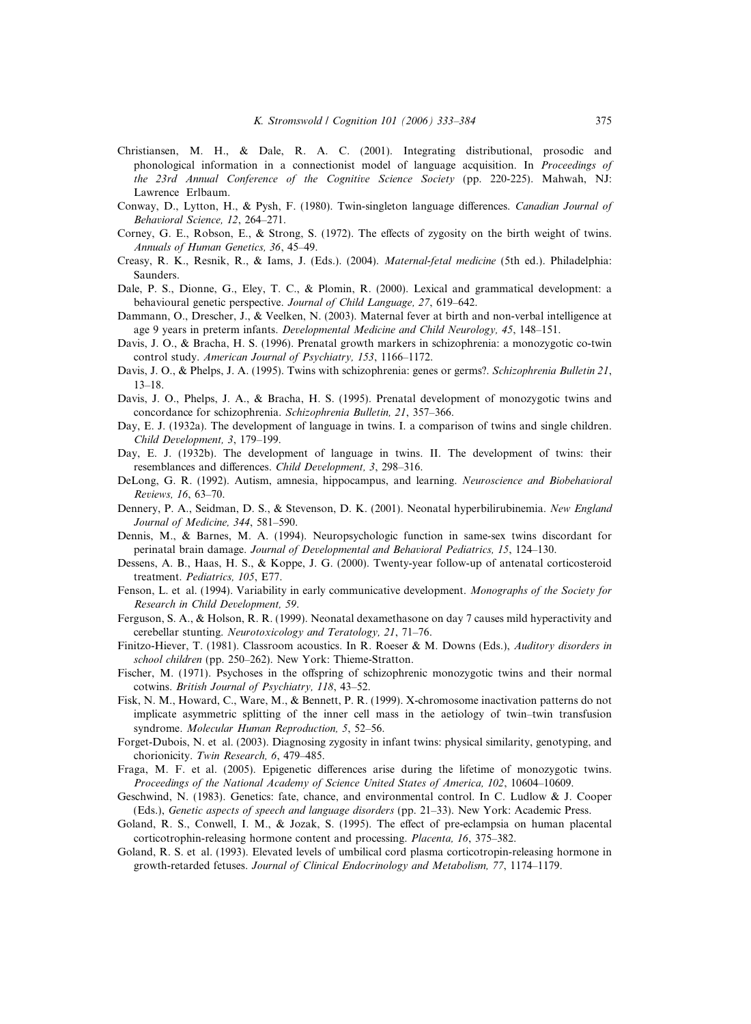- <span id="page-42-0"></span>Christiansen, M. H., & Dale, R. A. C. (2001). Integrating distributional, prosodic and phonological information in a connectionist model of language acquisition. In Proceedings of the 23rd Annual Conference of the Cognitive Science Society (pp. 220-225). Mahwah, NJ: Lawrence Erlbaum.
- Conway, D., Lytton, H., & Pysh, F. (1980). Twin-singleton language differences. Canadian Journal of Behavioral Science, 12, 264–271.
- Corney, G. E., Robson, E., & Strong, S. (1972). The effects of zygosity on the birth weight of twins. Annuals of Human Genetics, 36, 45–49.
- Creasy, R. K., Resnik, R., & Iams, J. (Eds.). (2004). *Maternal-fetal medicine* (5th ed.). Philadelphia: Saunders.
- Dale, P. S., Dionne, G., Eley, T. C., & Plomin, R. (2000). Lexical and grammatical development: a behavioural genetic perspective. Journal of Child Language, 27, 619–642.
- Dammann, O., Drescher, J., & Veelken, N. (2003). Maternal fever at birth and non-verbal intelligence at age 9 years in preterm infants. Developmental Medicine and Child Neurology, 45, 148–151.
- Davis, J. O., & Bracha, H. S. (1996). Prenatal growth markers in schizophrenia: a monozygotic co-twin control study. American Journal of Psychiatry, 153, 1166–1172.
- Davis, J. O., & Phelps, J. A. (1995). Twins with schizophrenia: genes or germs?. Schizophrenia Bulletin 21, 13–18.
- Davis, J. O., Phelps, J. A., & Bracha, H. S. (1995). Prenatal development of monozygotic twins and concordance for schizophrenia. Schizophrenia Bulletin, 21, 357–366.
- Day, E. J. (1932a). The development of language in twins. I. a comparison of twins and single children. Child Development, 3, 179–199.
- Day, E. J. (1932b). The development of language in twins. II. The development of twins: their resemblances and differences. Child Development, 3, 298–316.
- DeLong, G. R. (1992). Autism, amnesia, hippocampus, and learning. Neuroscience and Biobehavioral Reviews, 16, 63–70.
- Dennery, P. A., Seidman, D. S., & Stevenson, D. K. (2001). Neonatal hyperbilirubinemia. New England Journal of Medicine, 344, 581–590.
- Dennis, M., & Barnes, M. A. (1994). Neuropsychologic function in same-sex twins discordant for perinatal brain damage. Journal of Developmental and Behavioral Pediatrics, 15, 124–130.
- Dessens, A. B., Haas, H. S., & Koppe, J. G. (2000). Twenty-year follow-up of antenatal corticosteroid treatment. Pediatrics, 105, E77.
- Fenson, L. et al. (1994). Variability in early communicative development. Monographs of the Society for Research in Child Development, 59.
- Ferguson, S. A., & Holson, R. R. (1999). Neonatal dexamethasone on day 7 causes mild hyperactivity and cerebellar stunting. Neurotoxicology and Teratology, 21, 71–76.
- Finitzo-Hiever, T. (1981). Classroom acoustics. In R. Roeser & M. Downs (Eds.), Auditory disorders in school children (pp. 250–262). New York: Thieme-Stratton.
- Fischer, M. (1971). Psychoses in the offspring of schizophrenic monozygotic twins and their normal cotwins. British Journal of Psychiatry, 118, 43–52.
- Fisk, N. M., Howard, C., Ware, M., & Bennett, P. R. (1999). X-chromosome inactivation patterns do not implicate asymmetric splitting of the inner cell mass in the aetiology of twin–twin transfusion syndrome. Molecular Human Reproduction, 5, 52–56.
- Forget-Dubois, N. et al. (2003). Diagnosing zygosity in infant twins: physical similarity, genotyping, and chorionicity. Twin Research, 6, 479–485.
- Fraga, M. F. et al. (2005). Epigenetic differences arise during the lifetime of monozygotic twins. Proceedings of the National Academy of Science United States of America, 102, 10604–10609.
- Geschwind, N. (1983). Genetics: fate, chance, and environmental control. In C. Ludlow & J. Cooper (Eds.), Genetic aspects of speech and language disorders (pp. 21–33). New York: Academic Press.
- Goland, R. S., Conwell, I. M., & Jozak, S. (1995). The effect of pre-eclampsia on human placental corticotrophin-releasing hormone content and processing. Placenta, 16, 375–382.
- Goland, R. S. et al. (1993). Elevated levels of umbilical cord plasma corticotropin-releasing hormone in growth-retarded fetuses. Journal of Clinical Endocrinology and Metabolism, 77, 1174–1179.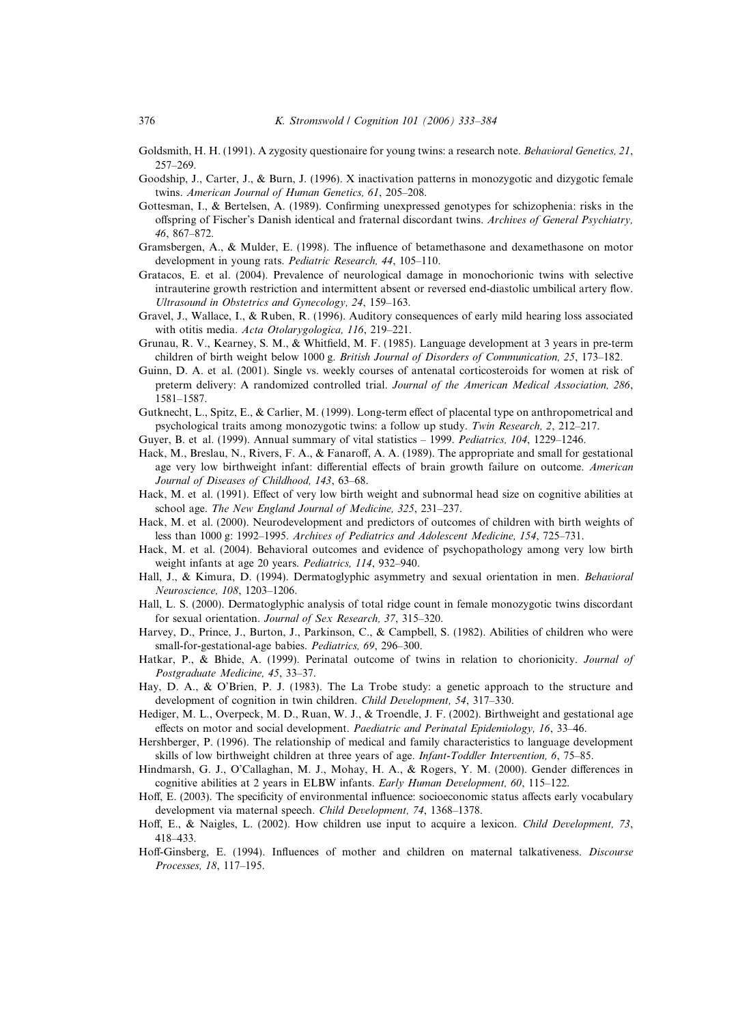- <span id="page-43-0"></span>Goldsmith, H. H. (1991). A zygosity questionaire for young twins: a research note. Behavioral Genetics, 21, 257–269.
- Goodship, J., Carter, J., & Burn, J. (1996). X inactivation patterns in monozygotic and dizygotic female twins. American Journal of Human Genetics, 61, 205–208.
- Gottesman, I., & Bertelsen, A. (1989). Confirming unexpressed genotypes for schizophenia: risks in the offspring of Fischer's Danish identical and fraternal discordant twins. Archives of General Psychiatry, 46, 867–872.
- Gramsbergen, A., & Mulder, E. (1998). The influence of betamethasone and dexamethasone on motor development in young rats. Pediatric Research, 44, 105–110.
- Gratacos, E. et al. (2004). Prevalence of neurological damage in monochorionic twins with selective intrauterine growth restriction and intermittent absent or reversed end-diastolic umbilical artery flow. Ultrasound in Obstetrics and Gynecology, 24, 159–163.
- Gravel, J., Wallace, I., & Ruben, R. (1996). Auditory consequences of early mild hearing loss associated with otitis media. Acta Otolarygologica, 116, 219-221.
- Grunau, R. V., Kearney, S. M., & Whitfield, M. F. (1985). Language development at 3 years in pre-term children of birth weight below 1000 g. British Journal of Disorders of Communication, 25, 173–182.
- Guinn, D. A. et al. (2001). Single vs. weekly courses of antenatal corticosteroids for women at risk of preterm delivery: A randomized controlled trial. Journal of the American Medical Association, 286, 1581–1587.
- Gutknecht, L., Spitz, E., & Carlier, M. (1999). Long-term effect of placental type on anthropometrical and psychological traits among monozygotic twins: a follow up study. Twin Research, 2, 212–217.
- Guyer, B. et al. (1999). Annual summary of vital statistics 1999. Pediatrics, 104, 1229–1246.
- Hack, M., Breslau, N., Rivers, F. A., & Fanaroff, A. A. (1989). The appropriate and small for gestational age very low birthweight infant: differential effects of brain growth failure on outcome. American Journal of Diseases of Childhood, 143, 63–68.
- Hack, M. et al. (1991). Effect of very low birth weight and subnormal head size on cognitive abilities at school age. The New England Journal of Medicine, 325, 231–237.
- Hack, M. et al. (2000). Neurodevelopment and predictors of outcomes of children with birth weights of less than 1000 g: 1992–1995. Archives of Pediatrics and Adolescent Medicine, 154, 725–731.
- Hack, M. et al. (2004). Behavioral outcomes and evidence of psychopathology among very low birth weight infants at age 20 years. Pediatrics, 114, 932–940.
- Hall, J., & Kimura, D. (1994). Dermatoglyphic asymmetry and sexual orientation in men. Behavioral Neuroscience, 108, 1203–1206.
- Hall, L. S. (2000). Dermatoglyphic analysis of total ridge count in female monozygotic twins discordant for sexual orientation. Journal of Sex Research, 37, 315–320.
- Harvey, D., Prince, J., Burton, J., Parkinson, C., & Campbell, S. (1982). Abilities of children who were small-for-gestational-age babies. Pediatrics, 69, 296–300.
- Hatkar, P., & Bhide, A. (1999). Perinatal outcome of twins in relation to chorionicity. Journal of Postgraduate Medicine, 45, 33–37.
- Hay, D. A., & O'Brien, P. J. (1983). The La Trobe study: a genetic approach to the structure and development of cognition in twin children. Child Development, 54, 317–330.
- Hediger, M. L., Overpeck, M. D., Ruan, W. J., & Troendle, J. F. (2002). Birthweight and gestational age effects on motor and social development. Paediatric and Perinatal Epidemiology, 16, 33–46.
- Hershberger, P. (1996). The relationship of medical and family characteristics to language development skills of low birthweight children at three years of age. Infant-Toddler Intervention, 6, 75–85.
- Hindmarsh, G. J., O'Callaghan, M. J., Mohay, H. A., & Rogers, Y. M. (2000). Gender differences in cognitive abilities at 2 years in ELBW infants. *Early Human Development*, 60, 115–122.
- Hoff, E. (2003). The specificity of environmental influence: socioeconomic status affects early vocabulary development via maternal speech. Child Development, 74, 1368–1378.
- Hoff, E., & Naigles, L. (2002). How children use input to acquire a lexicon. Child Development, 73, 418–433.
- Hoff-Ginsberg, E. (1994). Influences of mother and children on maternal talkativeness. Discourse Processes, 18, 117–195.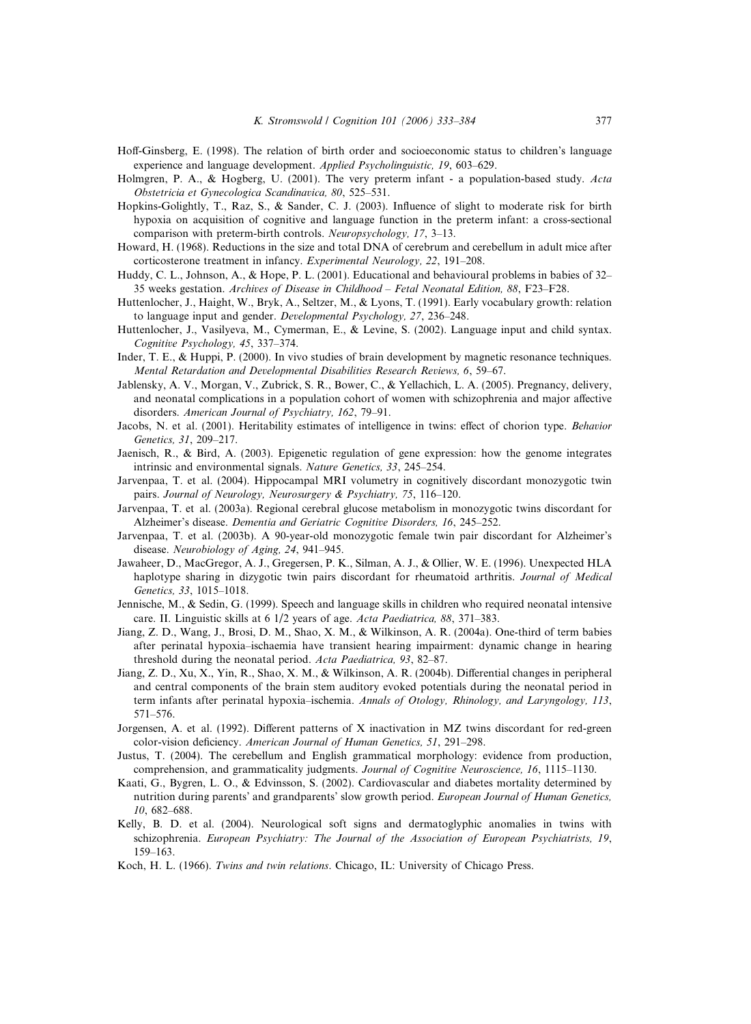- <span id="page-44-0"></span>Hoff-Ginsberg, E. (1998). The relation of birth order and socioeconomic status to children's language experience and language development. Applied Psycholinguistic, 19, 603–629.
- Holmgren, P. A., & Hogberg, U. (2001). The very preterm infant a population-based study. Acta Obstetricia et Gynecologica Scandinavica, 80, 525–531.
- Hopkins-Golightly, T., Raz, S., & Sander, C. J. (2003). Influence of slight to moderate risk for birth hypoxia on acquisition of cognitive and language function in the preterm infant: a cross-sectional comparison with preterm-birth controls. Neuropsychology, 17, 3–13.
- Howard, H. (1968). Reductions in the size and total DNA of cerebrum and cerebellum in adult mice after corticosterone treatment in infancy. Experimental Neurology, 22, 191–208.
- Huddy, C. L., Johnson, A., & Hope, P. L. (2001). Educational and behavioural problems in babies of 32– 35 weeks gestation. Archives of Disease in Childhood – Fetal Neonatal Edition, 88, F23–F28.
- Huttenlocher, J., Haight, W., Bryk, A., Seltzer, M., & Lyons, T. (1991). Early vocabulary growth: relation to language input and gender. Developmental Psychology, 27, 236–248.
- Huttenlocher, J., Vasilyeva, M., Cymerman, E., & Levine, S. (2002). Language input and child syntax. Cognitive Psychology, 45, 337–374.
- Inder, T. E., & Huppi, P. (2000). In vivo studies of brain development by magnetic resonance techniques. Mental Retardation and Developmental Disabilities Research Reviews, 6, 59–67.
- Jablensky, A. V., Morgan, V., Zubrick, S. R., Bower, C., & Yellachich, L. A. (2005). Pregnancy, delivery, and neonatal complications in a population cohort of women with schizophrenia and major affective disorders. American Journal of Psychiatry, 162, 79–91.
- Jacobs, N. et al. (2001). Heritability estimates of intelligence in twins: effect of chorion type. Behavior Genetics, 31, 209–217.
- Jaenisch, R., & Bird, A. (2003). Epigenetic regulation of gene expression: how the genome integrates intrinsic and environmental signals. Nature Genetics, 33, 245–254.
- Jarvenpaa, T. et al. (2004). Hippocampal MRI volumetry in cognitively discordant monozygotic twin pairs. Journal of Neurology, Neurosurgery & Psychiatry, 75, 116–120.
- Jarvenpaa, T. et al. (2003a). Regional cerebral glucose metabolism in monozygotic twins discordant for Alzheimer's disease. Dementia and Geriatric Cognitive Disorders, 16, 245–252.
- Jarvenpaa, T. et al. (2003b). A 90-year-old monozygotic female twin pair discordant for Alzheimer's disease. Neurobiology of Aging, 24, 941–945.
- Jawaheer, D., MacGregor, A. J., Gregersen, P. K., Silman, A. J., & Ollier, W. E. (1996). Unexpected HLA haplotype sharing in dizygotic twin pairs discordant for rheumatoid arthritis. Journal of Medical Genetics, 33, 1015–1018.
- Jennische, M., & Sedin, G. (1999). Speech and language skills in children who required neonatal intensive care. II. Linguistic skills at 6 1/2 years of age. Acta Paediatrica, 88, 371–383.
- Jiang, Z. D., Wang, J., Brosi, D. M., Shao, X. M., & Wilkinson, A. R. (2004a). One-third of term babies after perinatal hypoxia–ischaemia have transient hearing impairment: dynamic change in hearing threshold during the neonatal period. Acta Paediatrica, 93, 82–87.
- Jiang, Z. D., Xu, X., Yin, R., Shao, X. M., & Wilkinson, A. R. (2004b). Differential changes in peripheral and central components of the brain stem auditory evoked potentials during the neonatal period in term infants after perinatal hypoxia–ischemia. Annals of Otology, Rhinology, and Laryngology, 113, 571–576.
- Jorgensen, A. et al. (1992). Different patterns of X inactivation in MZ twins discordant for red-green color-vision deficiency. American Journal of Human Genetics, 51, 291–298.
- Justus, T. (2004). The cerebellum and English grammatical morphology: evidence from production, comprehension, and grammaticality judgments. Journal of Cognitive Neuroscience, 16, 1115–1130.
- Kaati, G., Bygren, L. O., & Edvinsson, S. (2002). Cardiovascular and diabetes mortality determined by nutrition during parents' and grandparents' slow growth period. European Journal of Human Genetics, 10, 682–688.
- Kelly, B. D. et al. (2004). Neurological soft signs and dermatoglyphic anomalies in twins with schizophrenia. European Psychiatry: The Journal of the Association of European Psychiatrists, 19, 159–163.
- Koch, H. L. (1966). Twins and twin relations. Chicago, IL: University of Chicago Press.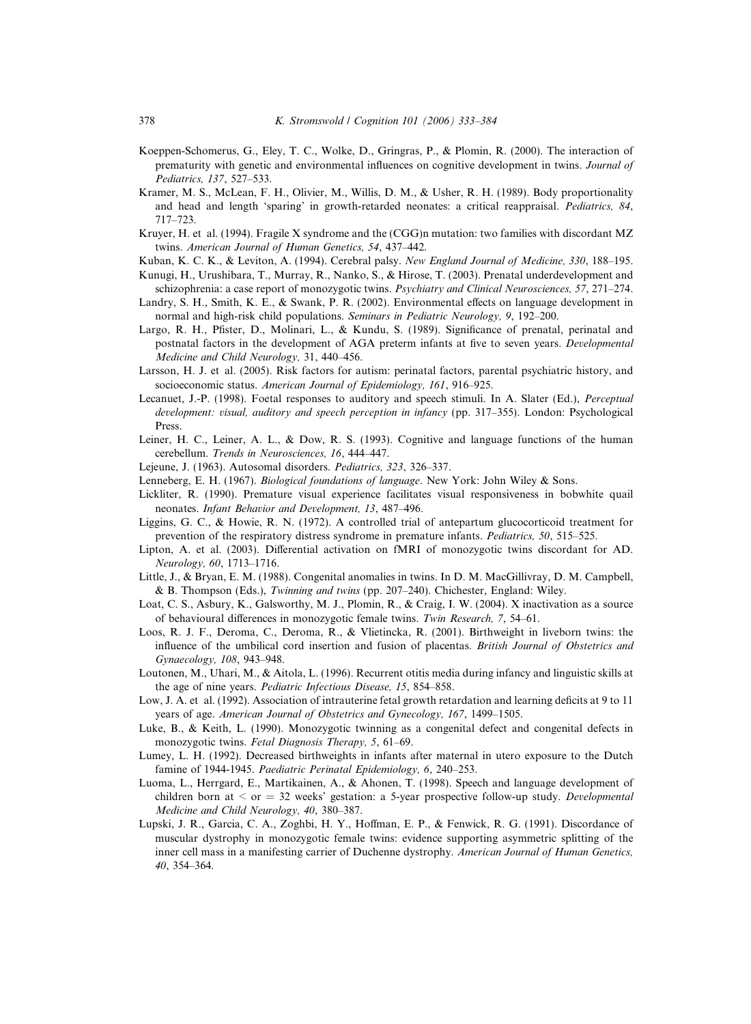- <span id="page-45-0"></span>Koeppen-Schomerus, G., Eley, T. C., Wolke, D., Gringras, P., & Plomin, R. (2000). The interaction of prematurity with genetic and environmental influences on cognitive development in twins. Journal of Pediatrics, 137, 527–533.
- Kramer, M. S., McLean, F. H., Olivier, M., Willis, D. M., & Usher, R. H. (1989). Body proportionality and head and length 'sparing' in growth-retarded neonates: a critical reappraisal. Pediatrics, 84, 717–723.
- Kruyer, H. et al. (1994). Fragile X syndrome and the (CGG)n mutation: two families with discordant MZ twins. American Journal of Human Genetics, 54, 437–442.
- Kuban, K. C. K., & Leviton, A. (1994). Cerebral palsy. New England Journal of Medicine, 330, 188–195.
- Kunugi, H., Urushibara, T., Murray, R., Nanko, S., & Hirose, T. (2003). Prenatal underdevelopment and schizophrenia: a case report of monozygotic twins. Psychiatry and Clinical Neurosciences, 57, 271–274.
- Landry, S. H., Smith, K. E., & Swank, P. R. (2002). Environmental effects on language development in normal and high-risk child populations. Seminars in Pediatric Neurology, 9, 192–200.
- Largo, R. H., Pfister, D., Molinari, L., & Kundu, S. (1989). Significance of prenatal, perinatal and postnatal factors in the development of AGA preterm infants at five to seven years. Developmental Medicine and Child Neurology, 31, 440–456.
- Larsson, H. J. et al. (2005). Risk factors for autism: perinatal factors, parental psychiatric history, and socioeconomic status. American Journal of Epidemiology, 161, 916-925.
- Lecanuet, J.-P. (1998). Foetal responses to auditory and speech stimuli. In A. Slater (Ed.), Perceptual development: visual, auditory and speech perception in infancy (pp. 317–355). London: Psychological Press.
- Leiner, H. C., Leiner, A. L., & Dow, R. S. (1993). Cognitive and language functions of the human cerebellum. Trends in Neurosciences, 16, 444–447.
- Lejeune, J. (1963). Autosomal disorders. Pediatrics, 323, 326–337.
- Lenneberg, E. H. (1967). Biological foundations of language. New York: John Wiley & Sons.
- Lickliter, R. (1990). Premature visual experience facilitates visual responsiveness in bobwhite quail neonates. Infant Behavior and Development, 13, 487–496.
- Liggins, G. C., & Howie, R. N. (1972). A controlled trial of antepartum glucocorticoid treatment for prevention of the respiratory distress syndrome in premature infants. Pediatrics, 50, 515–525.
- Lipton, A. et al. (2003). Differential activation on fMRI of monozygotic twins discordant for AD. Neurology, 60, 1713–1716.
- Little, J., & Bryan, E. M. (1988). Congenital anomalies in twins. In D. M. MacGillivray, D. M. Campbell, & B. Thompson (Eds.), Twinning and twins (pp. 207–240). Chichester, England: Wiley.
- Loat, C. S., Asbury, K., Galsworthy, M. J., Plomin, R., & Craig, I. W. (2004). X inactivation as a source of behavioural differences in monozygotic female twins. Twin Research, 7, 54–61.
- Loos, R. J. F., Deroma, C., Deroma, R., & Vlietincka, R. (2001). Birthweight in liveborn twins: the influence of the umbilical cord insertion and fusion of placentas. British Journal of Obstetrics and Gynaecology, 108, 943–948.
- Loutonen, M., Uhari, M., & Aitola, L. (1996). Recurrent otitis media during infancy and linguistic skills at the age of nine years. Pediatric Infectious Disease, 15, 854–858.
- Low, J. A. et al. (1992). Association of intrauterine fetal growth retardation and learning deficits at 9 to 11 years of age. American Journal of Obstetrics and Gynecology, 167, 1499-1505.
- Luke, B., & Keith, L. (1990). Monozygotic twinning as a congenital defect and congenital defects in monozygotic twins. Fetal Diagnosis Therapy, 5, 61-69.
- Lumey, L. H. (1992). Decreased birthweights in infants after maternal in utero exposure to the Dutch famine of 1944-1945. Paediatric Perinatal Epidemiology, 6, 240-253.
- Luoma, L., Herrgard, E., Martikainen, A., & Ahonen, T. (1998). Speech and language development of children born at  $\leq$  or = 32 weeks' gestation: a 5-year prospective follow-up study. Developmental Medicine and Child Neurology, 40, 380–387.
- Lupski, J. R., Garcia, C. A., Zoghbi, H. Y., Hoffman, E. P., & Fenwick, R. G. (1991). Discordance of muscular dystrophy in monozygotic female twins: evidence supporting asymmetric splitting of the inner cell mass in a manifesting carrier of Duchenne dystrophy. American Journal of Human Genetics, 40, 354–364.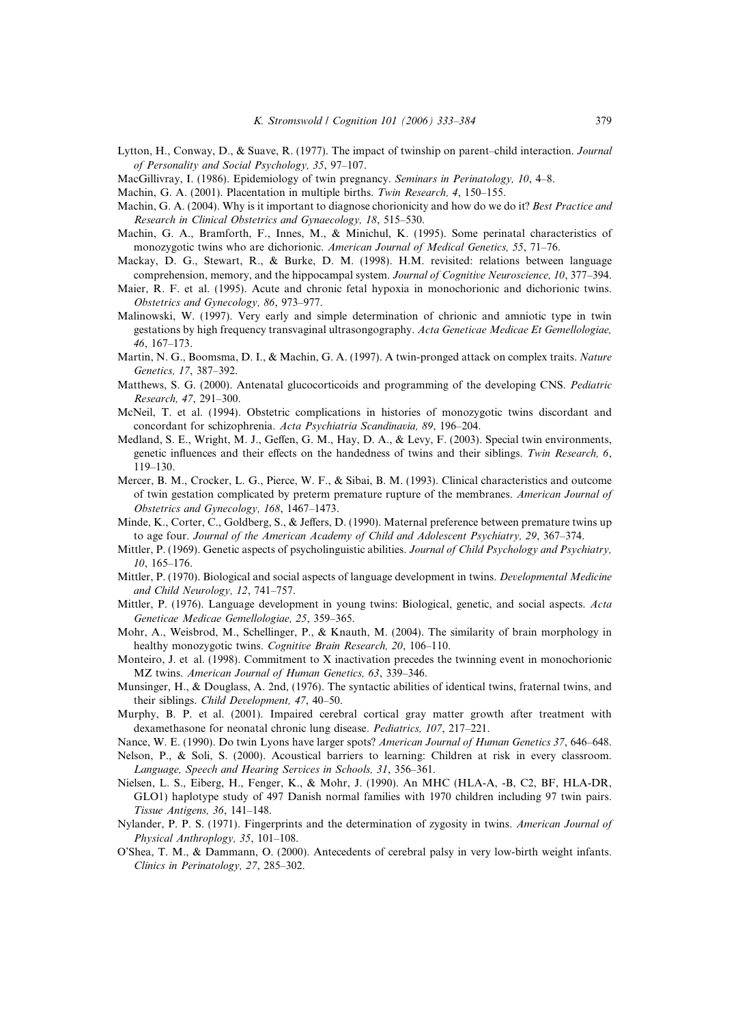- <span id="page-46-0"></span>Lytton, H., Conway, D., & Suave, R. (1977). The impact of twinship on parent–child interaction. *Journal* of Personality and Social Psychology, 35, 97–107.
- MacGillivray, I. (1986). Epidemiology of twin pregnancy. Seminars in Perinatology, 10, 4-8.
- Machin, G. A. (2001). Placentation in multiple births. Twin Research, 4, 150-155.
- Machin, G. A. (2004). Why is it important to diagnose chorionicity and how do we do it? Best Practice and Research in Clinical Obstetrics and Gynaecology, 18, 515–530.
- Machin, G. A., Bramforth, F., Innes, M., & Minichul, K. (1995). Some perinatal characteristics of monozygotic twins who are dichorionic. American Journal of Medical Genetics, 55, 71–76.
- Mackay, D. G., Stewart, R., & Burke, D. M. (1998). H.M. revisited: relations between language comprehension, memory, and the hippocampal system. Journal of Cognitive Neuroscience, 10, 377–394.
- Maier, R. F. et al. (1995). Acute and chronic fetal hypoxia in monochorionic and dichorionic twins. Obstetrics and Gynecology, 86, 973–977.
- Malinowski, W. (1997). Very early and simple determination of chrionic and amniotic type in twin gestations by high frequency transvaginal ultrasongography. Acta Geneticae Medicae Et Gemellologiae, 46, 167–173.
- Martin, N. G., Boomsma, D. I., & Machin, G. A. (1997). A twin-pronged attack on complex traits. Nature Genetics, 17, 387–392.
- Matthews, S. G. (2000). Antenatal glucocorticoids and programming of the developing CNS. Pediatric Research, 47, 291–300.
- McNeil, T. et al. (1994). Obstetric complications in histories of monozygotic twins discordant and concordant for schizophrenia. Acta Psychiatria Scandinavia, 89, 196–204.
- Medland, S. E., Wright, M. J., Geffen, G. M., Hay, D. A., & Levy, F. (2003). Special twin environments, genetic influences and their effects on the handedness of twins and their siblings. Twin Research, 6, 119–130.
- Mercer, B. M., Crocker, L. G., Pierce, W. F., & Sibai, B. M. (1993). Clinical characteristics and outcome of twin gestation complicated by preterm premature rupture of the membranes. American Journal of Obstetrics and Gynecology, 168, 1467–1473.
- Minde, K., Corter, C., Goldberg, S., & Jeffers, D. (1990). Maternal preference between premature twins up to age four. Journal of the American Academy of Child and Adolescent Psychiatry, 29, 367–374.
- Mittler, P. (1969). Genetic aspects of psycholinguistic abilities. Journal of Child Psychology and Psychiatry, 10, 165–176.
- Mittler, P. (1970). Biological and social aspects of language development in twins. *Developmental Medicine* and Child Neurology, 12, 741–757.
- Mittler, P. (1976). Language development in young twins: Biological, genetic, and social aspects. Acta Geneticae Medicae Gemellologiae, 25, 359–365.
- Mohr, A., Weisbrod, M., Schellinger, P., & Knauth, M. (2004). The similarity of brain morphology in healthy monozygotic twins. Cognitive Brain Research, 20, 106-110.
- Monteiro, J. et al. (1998). Commitment to X inactivation precedes the twinning event in monochorionic MZ twins. American Journal of Human Genetics, 63, 339–346.
- Munsinger, H., & Douglass, A. 2nd, (1976). The syntactic abilities of identical twins, fraternal twins, and their siblings. Child Development, 47, 40–50.
- Murphy, B. P. et al. (2001). Impaired cerebral cortical gray matter growth after treatment with dexamethasone for neonatal chronic lung disease. Pediatrics, 107, 217–221.
- Nance, W. E. (1990). Do twin Lyons have larger spots? American Journal of Human Genetics 37, 646–648.
- Nelson, P., & Soli, S. (2000). Acoustical barriers to learning: Children at risk in every classroom. Language, Speech and Hearing Services in Schools, 31, 356–361.
- Nielsen, L. S., Eiberg, H., Fenger, K., & Mohr, J. (1990). An MHC (HLA-A, -B, C2, BF, HLA-DR, GLO1) haplotype study of 497 Danish normal families with 1970 children including 97 twin pairs. Tissue Antigens, 36, 141–148.
- Nylander, P. P. S. (1971). Fingerprints and the determination of zygosity in twins. American Journal of Physical Anthroplogy, 35, 101–108.
- O'Shea, T. M., & Dammann, O. (2000). Antecedents of cerebral palsy in very low-birth weight infants. Clinics in Perinatology, 27, 285–302.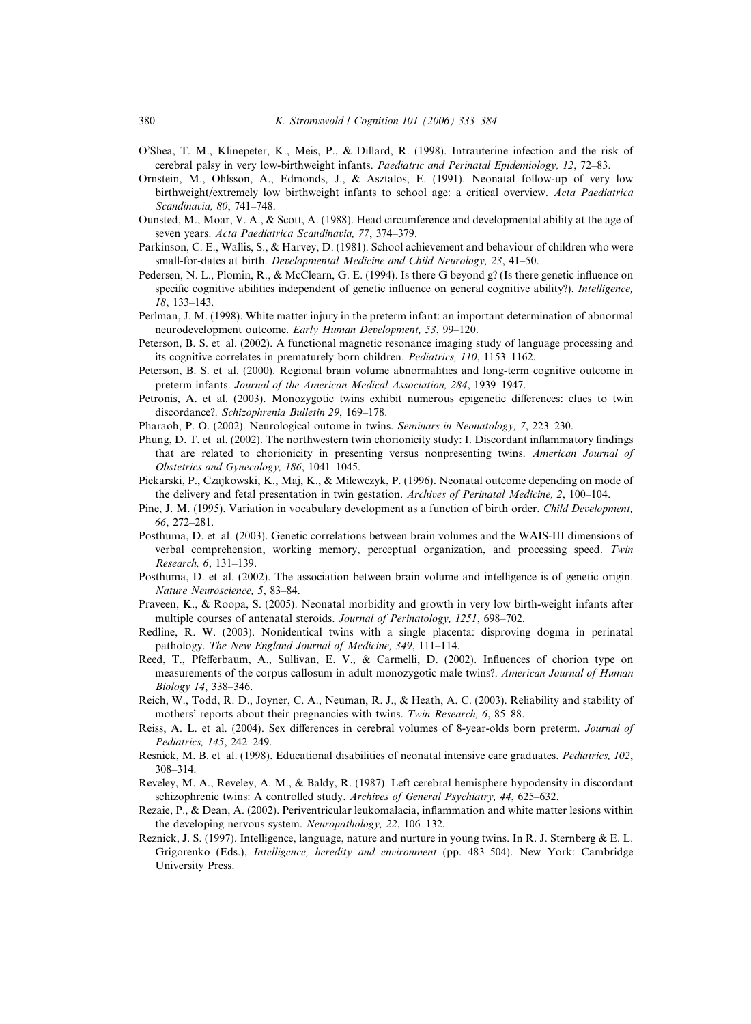- <span id="page-47-0"></span>O'Shea, T. M., Klinepeter, K., Meis, P., & Dillard, R. (1998). Intrauterine infection and the risk of cerebral palsy in very low-birthweight infants. Paediatric and Perinatal Epidemiology, 12, 72–83.
- Ornstein, M., Ohlsson, A., Edmonds, J., & Asztalos, E. (1991). Neonatal follow-up of very low birthweight/extremely low birthweight infants to school age: a critical overview. Acta Paediatrica Scandinavia, 80, 741–748.
- Ounsted, M., Moar, V. A., & Scott, A. (1988). Head circumference and developmental ability at the age of seven years. Acta Paediatrica Scandinavia, 77, 374–379.
- Parkinson, C. E., Wallis, S., & Harvey, D. (1981). School achievement and behaviour of children who were small-for-dates at birth. Developmental Medicine and Child Neurology, 23, 41-50.
- Pedersen, N. L., Plomin, R., & McClearn, G. E. (1994). Is there G beyond g? (Is there genetic influence on specific cognitive abilities independent of genetic influence on general cognitive ability?). Intelligence, 18, 133–143.
- Perlman, J. M. (1998). White matter injury in the preterm infant: an important determination of abnormal neurodevelopment outcome. Early Human Development, 53, 99–120.
- Peterson, B. S. et al. (2002). A functional magnetic resonance imaging study of language processing and its cognitive correlates in prematurely born children. Pediatrics, 110, 1153–1162.
- Peterson, B. S. et al. (2000). Regional brain volume abnormalities and long-term cognitive outcome in preterm infants. Journal of the American Medical Association, 284, 1939–1947.
- Petronis, A. et al. (2003). Monozygotic twins exhibit numerous epigenetic differences: clues to twin discordance?. Schizophrenia Bulletin 29, 169–178.
- Pharaoh, P. O. (2002). Neurological outome in twins. Seminars in Neonatology, 7, 223–230.
- Phung, D. T. et al. (2002). The northwestern twin chorionicity study: I. Discordant inflammatory findings that are related to chorionicity in presenting versus nonpresenting twins. American Journal of Obstetrics and Gynecology, 186, 1041–1045.
- Piekarski, P., Czajkowski, K., Maj, K., & Milewczyk, P. (1996). Neonatal outcome depending on mode of the delivery and fetal presentation in twin gestation. Archives of Perinatal Medicine, 2, 100–104.
- Pine, J. M. (1995). Variation in vocabulary development as a function of birth order. Child Development, 66, 272–281.
- Posthuma, D. et al. (2003). Genetic correlations between brain volumes and the WAIS-III dimensions of verbal comprehension, working memory, perceptual organization, and processing speed. Twin Research, 6, 131–139.
- Posthuma, D. et al. (2002). The association between brain volume and intelligence is of genetic origin. Nature Neuroscience, 5, 83–84.
- Praveen, K., & Roopa, S. (2005). Neonatal morbidity and growth in very low birth-weight infants after multiple courses of antenatal steroids. Journal of Perinatology, 1251, 698–702.
- Redline, R. W. (2003). Nonidentical twins with a single placenta: disproving dogma in perinatal pathology. The New England Journal of Medicine, 349, 111-114.
- Reed, T., Pfefferbaum, A., Sullivan, E. V., & Carmelli, D. (2002). Influences of chorion type on measurements of the corpus callosum in adult monozygotic male twins?. American Journal of Human Biology 14, 338–346.
- Reich, W., Todd, R. D., Joyner, C. A., Neuman, R. J., & Heath, A. C. (2003). Reliability and stability of mothers' reports about their pregnancies with twins. Twin Research, 6, 85-88.
- Reiss, A. L. et al. (2004). Sex differences in cerebral volumes of 8-year-olds born preterm. Journal of Pediatrics, 145, 242–249.
- Resnick, M. B. et al. (1998). Educational disabilities of neonatal intensive care graduates. Pediatrics, 102, 308–314.
- Reveley, M. A., Reveley, A. M., & Baldy, R. (1987). Left cerebral hemisphere hypodensity in discordant schizophrenic twins: A controlled study. Archives of General Psychiatry, 44, 625–632.
- Rezaie, P., & Dean, A. (2002). Periventricular leukomalacia, inflammation and white matter lesions within the developing nervous system. Neuropathology, 22, 106–132.
- Reznick, J. S. (1997). Intelligence, language, nature and nurture in young twins. In R. J. Sternberg & E. L. Grigorenko (Eds.), Intelligence, heredity and environment (pp. 483–504). New York: Cambridge University Press.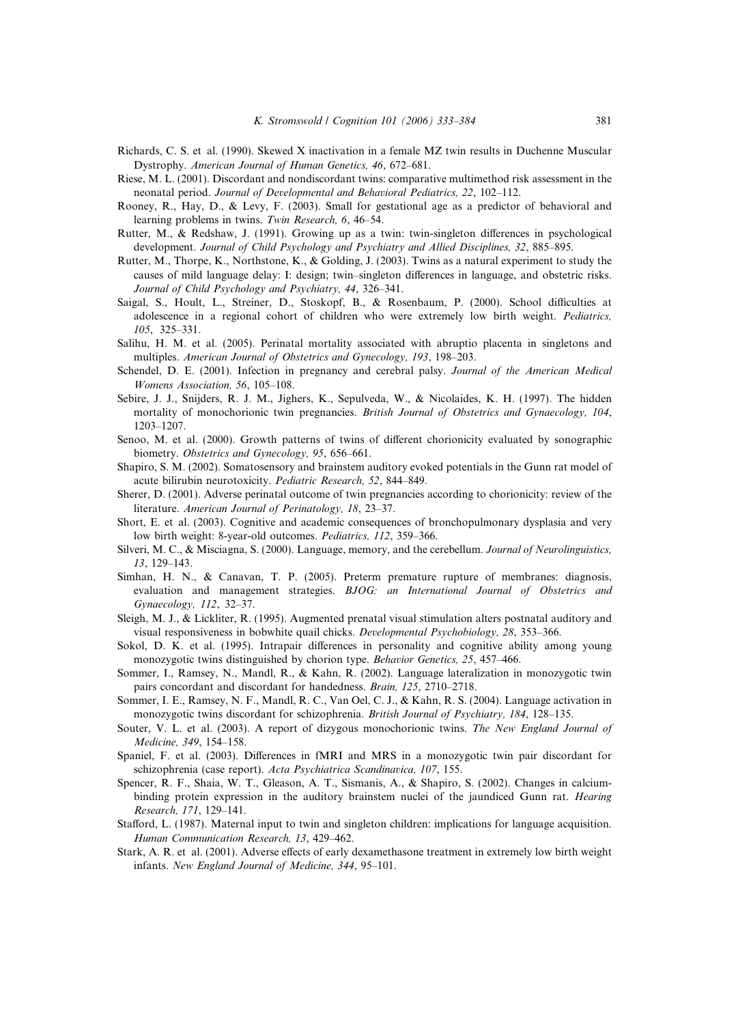- <span id="page-48-0"></span>Richards, C. S. et al. (1990). Skewed X inactivation in a female MZ twin results in Duchenne Muscular Dystrophy. American Journal of Human Genetics, 46, 672–681.
- Riese, M. L. (2001). Discordant and nondiscordant twins: comparative multimethod risk assessment in the neonatal period. Journal of Developmental and Behavioral Pediatrics, 22, 102–112.
- Rooney, R., Hay, D., & Levy, F. (2003). Small for gestational age as a predictor of behavioral and learning problems in twins. Twin Research, 6, 46–54.
- Rutter, M., & Redshaw, J. (1991). Growing up as a twin: twin-singleton differences in psychological development. Journal of Child Psychology and Psychiatry and Allied Disciplines, 32, 885–895.
- Rutter, M., Thorpe, K., Northstone, K., & Golding, J. (2003). Twins as a natural experiment to study the causes of mild language delay: I: design; twin–singleton differences in language, and obstetric risks. Journal of Child Psychology and Psychiatry, 44, 326–341.
- Saigal, S., Hoult, L., Streiner, D., Stoskopf, B., & Rosenbaum, P. (2000). School difficulties at adolescence in a regional cohort of children who were extremely low birth weight. Pediatrics, 105, 325–331.
- Salihu, H. M. et al. (2005). Perinatal mortality associated with abruptio placenta in singletons and multiples. American Journal of Obstetrics and Gynecology, 193, 198–203.
- Schendel, D. E. (2001). Infection in pregnancy and cerebral palsy. Journal of the American Medical Womens Association, 56, 105–108.
- Sebire, J. J., Snijders, R. J. M., Jighers, K., Sepulveda, W., & Nicolaides, K. H. (1997). The hidden mortality of monochorionic twin pregnancies. British Journal of Obstetrics and Gynaecology, 104, 1203–1207.
- Senoo, M. et al. (2000). Growth patterns of twins of different chorionicity evaluated by sonographic biometry. Obstetrics and Gynecology, 95, 656–661.
- Shapiro, S. M. (2002). Somatosensory and brainstem auditory evoked potentials in the Gunn rat model of acute bilirubin neurotoxicity. Pediatric Research, 52, 844–849.
- Sherer, D. (2001). Adverse perinatal outcome of twin pregnancies according to chorionicity: review of the literature. American Journal of Perinatology, 18, 23–37.
- Short, E. et al. (2003). Cognitive and academic consequences of bronchopulmonary dysplasia and very low birth weight: 8-year-old outcomes. Pediatrics, 112, 359–366.
- Silveri, M. C., & Misciagna, S. (2000). Language, memory, and the cerebellum. Journal of Neurolinguistics, 13, 129–143.
- Simhan, H. N., & Canavan, T. P. (2005). Preterm premature rupture of membranes: diagnosis, evaluation and management strategies. BJOG: an International Journal of Obstetrics and Gynaecology, 112, 32–37.
- Sleigh, M. J., & Lickliter, R. (1995). Augmented prenatal visual stimulation alters postnatal auditory and visual responsiveness in bobwhite quail chicks. Developmental Psychobiology, 28, 353–366.
- Sokol, D. K. et al. (1995). Intrapair differences in personality and cognitive ability among young monozygotic twins distinguished by chorion type. Behavior Genetics, 25, 457–466.
- Sommer, I., Ramsey, N., Mandl, R., & Kahn, R. (2002). Language lateralization in monozygotic twin pairs concordant and discordant for handedness. Brain, 125, 2710–2718.
- Sommer, I. E., Ramsey, N. F., Mandl, R. C., Van Oel, C. J., & Kahn, R. S. (2004). Language activation in monozygotic twins discordant for schizophrenia. British Journal of Psychiatry, 184, 128–135.
- Souter, V. L. et al. (2003). A report of dizygous monochorionic twins. The New England Journal of Medicine, 349, 154–158.
- Spaniel, F. et al. (2003). Differences in fMRI and MRS in a monozygotic twin pair discordant for schizophrenia (case report). Acta Psychiatrica Scandinavica, 107, 155.
- Spencer, R. F., Shaia, W. T., Gleason, A. T., Sismanis, A., & Shapiro, S. (2002). Changes in calciumbinding protein expression in the auditory brainstem nuclei of the jaundiced Gunn rat. Hearing Research, 171, 129–141.
- Stafford, L. (1987). Maternal input to twin and singleton children: implications for language acquisition. Human Communication Research, 13, 429–462.
- Stark, A. R. et al. (2001). Adverse effects of early dexamethasone treatment in extremely low birth weight infants. New England Journal of Medicine, 344, 95–101.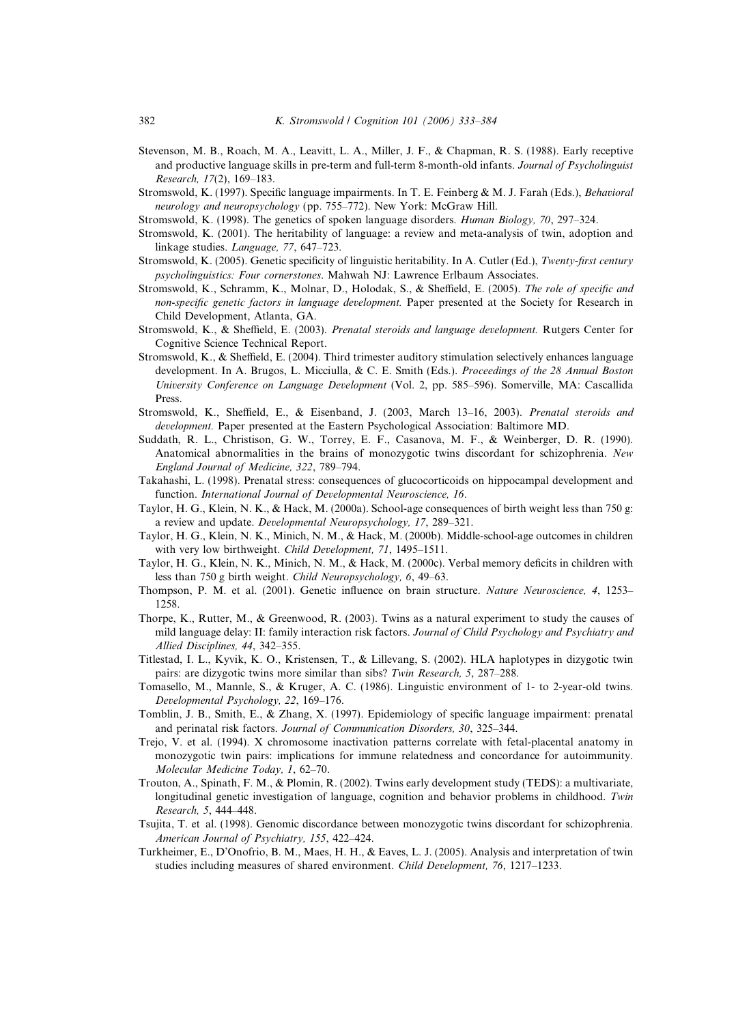- <span id="page-49-0"></span>Stevenson, M. B., Roach, M. A., Leavitt, L. A., Miller, J. F., & Chapman, R. S. (1988). Early receptive and productive language skills in pre-term and full-term 8-month-old infants. Journal of Psycholinguist Research, 17(2), 169–183.
- Stromswold, K. (1997). Specific language impairments. In T. E. Feinberg & M. J. Farah (Eds.), Behavioral neurology and neuropsychology (pp. 755–772). New York: McGraw Hill.
- Stromswold, K. (1998). The genetics of spoken language disorders. Human Biology, 70, 297–324.
- Stromswold, K. (2001). The heritability of language: a review and meta-analysis of twin, adoption and linkage studies. Language, 77, 647–723.
- Stromswold, K. (2005). Genetic specificity of linguistic heritability. In A. Cutler (Ed.), Twenty-first century psycholinguistics: Four cornerstones. Mahwah NJ: Lawrence Erlbaum Associates.
- Stromswold, K., Schramm, K., Molnar, D., Holodak, S., & Sheffield, E. (2005). The role of specific and non-specific genetic factors in language development. Paper presented at the Society for Research in Child Development, Atlanta, GA.
- Stromswold, K., & Sheffield, E. (2003). Prenatal steroids and language development. Rutgers Center for Cognitive Science Technical Report.
- Stromswold, K., & Sheffield, E. (2004). Third trimester auditory stimulation selectively enhances language development. In A. Brugos, L. Micciulla, & C. E. Smith (Eds.). Proceedings of the 28 Annual Boston University Conference on Language Development (Vol. 2, pp. 585–596). Somerville, MA: Cascallida Press.
- Stromswold, K., Sheffield, E., & Eisenband, J. (2003, March 13–16, 2003). Prenatal steroids and development. Paper presented at the Eastern Psychological Association: Baltimore MD.
- Suddath, R. L., Christison, G. W., Torrey, E. F., Casanova, M. F., & Weinberger, D. R. (1990). Anatomical abnormalities in the brains of monozygotic twins discordant for schizophrenia. New England Journal of Medicine, 322, 789–794.
- Takahashi, L. (1998). Prenatal stress: consequences of glucocorticoids on hippocampal development and function. International Journal of Developmental Neuroscience, 16.
- Taylor, H. G., Klein, N. K., & Hack, M. (2000a). School-age consequences of birth weight less than 750 g: a review and update. Developmental Neuropsychology, 17, 289–321.
- Taylor, H. G., Klein, N. K., Minich, N. M., & Hack, M. (2000b). Middle-school-age outcomes in children with very low birthweight. Child Development, 71, 1495-1511.
- Taylor, H. G., Klein, N. K., Minich, N. M., & Hack, M. (2000c). Verbal memory deficits in children with less than 750 g birth weight. Child Neuropsychology, 6, 49–63.
- Thompson, P. M. et al. (2001). Genetic influence on brain structure. Nature Neuroscience, 4, 1253– 1258.
- Thorpe, K., Rutter, M., & Greenwood, R. (2003). Twins as a natural experiment to study the causes of mild language delay: II: family interaction risk factors. Journal of Child Psychology and Psychiatry and Allied Disciplines, 44, 342–355.
- Titlestad, I. L., Kyvik, K. O., Kristensen, T., & Lillevang, S. (2002). HLA haplotypes in dizygotic twin pairs: are dizygotic twins more similar than sibs? Twin Research, 5, 287–288.
- Tomasello, M., Mannle, S., & Kruger, A. C. (1986). Linguistic environment of 1- to 2-year-old twins. Developmental Psychology, 22, 169–176.
- Tomblin, J. B., Smith, E., & Zhang, X. (1997). Epidemiology of specific language impairment: prenatal and perinatal risk factors. Journal of Communication Disorders, 30, 325–344.
- Trejo, V. et al. (1994). X chromosome inactivation patterns correlate with fetal-placental anatomy in monozygotic twin pairs: implications for immune relatedness and concordance for autoimmunity. Molecular Medicine Today, 1, 62–70.
- Trouton, A., Spinath, F. M., & Plomin, R. (2002). Twins early development study (TEDS): a multivariate, longitudinal genetic investigation of language, cognition and behavior problems in childhood. Twin Research, 5, 444–448.
- Tsujita, T. et al. (1998). Genomic discordance between monozygotic twins discordant for schizophrenia. American Journal of Psychiatry, 155, 422–424.
- Turkheimer, E., D'Onofrio, B. M., Maes, H. H., & Eaves, L. J. (2005). Analysis and interpretation of twin studies including measures of shared environment. Child Development, 76, 1217–1233.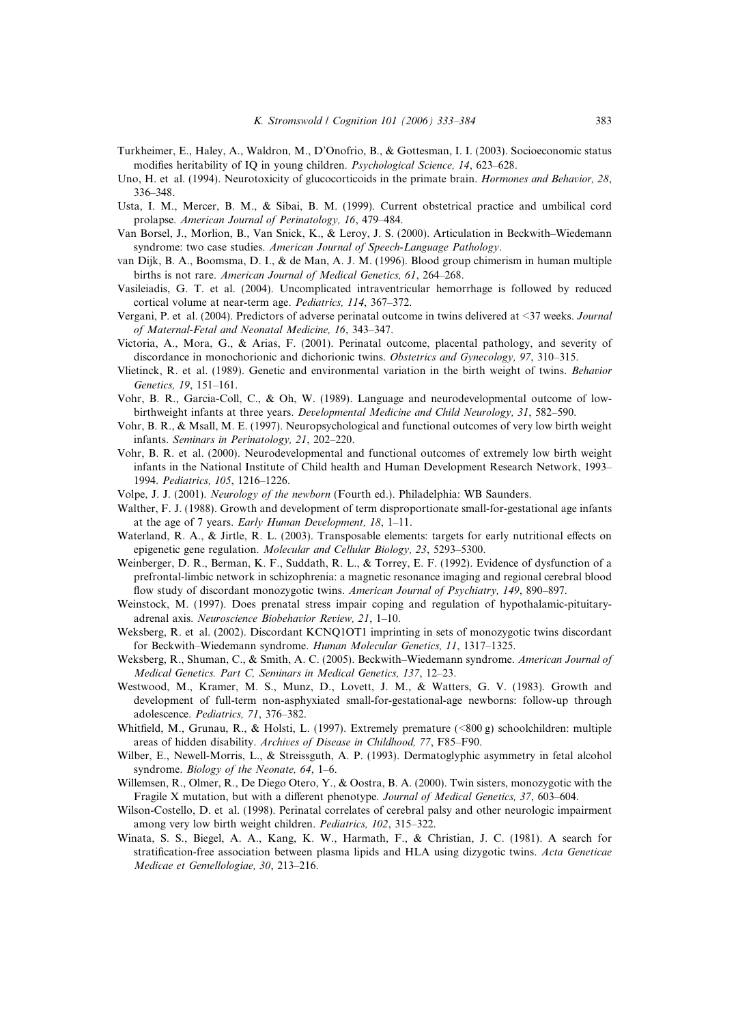- <span id="page-50-0"></span>Turkheimer, E., Haley, A., Waldron, M., D'Onofrio, B., & Gottesman, I. I. (2003). Socioeconomic status modifies heritability of IQ in young children. Psychological Science, 14, 623–628.
- Uno, H. et al. (1994). Neurotoxicity of glucocorticoids in the primate brain. Hormones and Behavior, 28, 336–348.
- Usta, I. M., Mercer, B. M., & Sibai, B. M. (1999). Current obstetrical practice and umbilical cord prolapse. American Journal of Perinatology, 16, 479–484.
- Van Borsel, J., Morlion, B., Van Snick, K., & Leroy, J. S. (2000). Articulation in Beckwith–Wiedemann syndrome: two case studies. American Journal of Speech-Language Pathology.
- van Dijk, B. A., Boomsma, D. I., & de Man, A. J. M. (1996). Blood group chimerism in human multiple births is not rare. American Journal of Medical Genetics, 61, 264–268.
- Vasileiadis, G. T. et al. (2004). Uncomplicated intraventricular hemorrhage is followed by reduced cortical volume at near-term age. Pediatrics, 114, 367–372.
- Vergani, P. et al. (2004). Predictors of adverse perinatal outcome in twins delivered at <37 weeks. Journal of Maternal-Fetal and Neonatal Medicine, 16, 343–347.
- Victoria, A., Mora, G., & Arias, F. (2001). Perinatal outcome, placental pathology, and severity of discordance in monochorionic and dichorionic twins. Obstetrics and Gynecology, 97, 310–315.
- Vlietinck, R. et al. (1989). Genetic and environmental variation in the birth weight of twins. Behavior Genetics, 19, 151–161.
- Vohr, B. R., Garcia-Coll, C., & Oh, W. (1989). Language and neurodevelopmental outcome of lowbirthweight infants at three years. Developmental Medicine and Child Neurology, 31, 582–590.
- Vohr, B. R., & Msall, M. E. (1997). Neuropsychological and functional outcomes of very low birth weight infants. Seminars in Perinatology, 21, 202–220.
- Vohr, B. R. et al. (2000). Neurodevelopmental and functional outcomes of extremely low birth weight infants in the National Institute of Child health and Human Development Research Network, 1993– 1994. Pediatrics, 105, 1216–1226.
- Volpe, J. J. (2001). Neurology of the newborn (Fourth ed.). Philadelphia: WB Saunders.
- Walther, F. J. (1988). Growth and development of term disproportionate small-for-gestational age infants at the age of 7 years. Early Human Development, 18, 1–11.
- Waterland, R. A., & Jirtle, R. L. (2003). Transposable elements: targets for early nutritional effects on epigenetic gene regulation. Molecular and Cellular Biology, 23, 5293–5300.
- Weinberger, D. R., Berman, K. F., Suddath, R. L., & Torrey, E. F. (1992). Evidence of dysfunction of a prefrontal-limbic network in schizophrenia: a magnetic resonance imaging and regional cerebral blood flow study of discordant monozygotic twins. American Journal of Psychiatry, 149, 890–897.
- Weinstock, M. (1997). Does prenatal stress impair coping and regulation of hypothalamic-pituitaryadrenal axis. Neuroscience Biobehavior Review, 21, 1–10.
- Weksberg, R. et al. (2002). Discordant KCNQ1OT1 imprinting in sets of monozygotic twins discordant for Beckwith–Wiedemann syndrome. Human Molecular Genetics, 11, 1317–1325.
- Weksberg, R., Shuman, C., & Smith, A. C. (2005). Beckwith–Wiedemann syndrome. American Journal of Medical Genetics. Part C, Seminars in Medical Genetics, 137, 12–23.
- Westwood, M., Kramer, M. S., Munz, D., Lovett, J. M., & Watters, G. V. (1983). Growth and development of full-term non-asphyxiated small-for-gestational-age newborns: follow-up through adolescence. Pediatrics, 71, 376–382.
- Whitfield, M., Grunau, R., & Holsti, L. (1997). Extremely premature (<800 g) schoolchildren: multiple areas of hidden disability. Archives of Disease in Childhood, 77, F85–F90.
- Wilber, E., Newell-Morris, L., & Streissguth, A. P. (1993). Dermatoglyphic asymmetry in fetal alcohol syndrome. Biology of the Neonate, 64, 1-6.
- Willemsen, R., Olmer, R., De Diego Otero, Y., & Oostra, B. A. (2000). Twin sisters, monozygotic with the Fragile X mutation, but with a different phenotype. Journal of Medical Genetics, 37, 603–604.
- Wilson-Costello, D. et al. (1998). Perinatal correlates of cerebral palsy and other neurologic impairment among very low birth weight children. Pediatrics, 102, 315–322.
- Winata, S. S., Biegel, A. A., Kang, K. W., Harmath, F., & Christian, J. C. (1981). A search for stratification-free association between plasma lipids and HLA using dizygotic twins. Acta Geneticae Medicae et Gemellologiae, 30, 213–216.